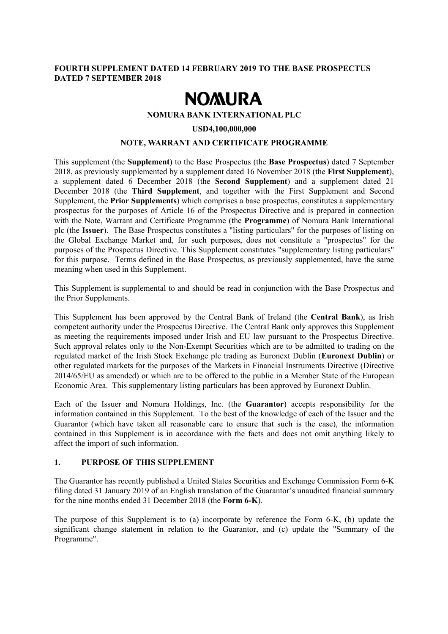## **FOURTH SUPPLEMENT DATED 14 FEBRUARY 2019 TO THE BASE PROSPECTUS DATED 7 SEPTEMBER 2018**

# **NOMURA**

#### **NOMURA BANK INTERNATIONAL PLC**

#### **USD4,100,000,000**

#### **NOTE, WARRANT AND CERTIFICATE PROGRAMME**

This supplement (the **Supplement**) to the Base Prospectus (the **Base Prospectus**) dated 7 September 2018, as previously supplemented by a supplement dated 16 November 2018 (the **First Supplement**), a supplement dated 6 December 2018 (the **Second Supplement**) and a supplement dated 21 December 2018 (the **Third Supplement**, and together with the First Supplement and Second Supplement, the **Prior Supplements**) which comprises a base prospectus, constitutes a supplementary prospectus for the purposes of Article 16 of the Prospectus Directive and is prepared in connection with the Note, Warrant and Certificate Programme (the **Programme**) of Nomura Bank International plc (the **Issuer**). The Base Prospectus constitutes a "listing particulars" for the purposes of listing on the Global Exchange Market and, for such purposes, does not constitute a "prospectus" for the purposes of the Prospectus Directive. This Supplement constitutes "supplementary listing particulars" for this purpose. Terms defined in the Base Prospectus, as previously supplemented, have the same meaning when used in this Supplement.

This Supplement is supplemental to and should be read in conjunction with the Base Prospectus and the Prior Supplements.

This Supplement has been approved by the Central Bank of Ireland (the **Central Bank**), as Irish competent authority under the Prospectus Directive. The Central Bank only approves this Supplement as meeting the requirements imposed under Irish and EU law pursuant to the Prospectus Directive. Such approval relates only to the Non-Exempt Securities which are to be admitted to trading on the regulated market of the Irish Stock Exchange plc trading as Euronext Dublin (**Euronext Dublin**) or other regulated markets for the purposes of the Markets in Financial Instruments Directive (Directive 2014/65/EU as amended) or which are to be offered to the public in a Member State of the European Economic Area. This supplementary listing particulars has been approved by Euronext Dublin.

Each of the Issuer and Nomura Holdings, Inc. (the **Guarantor**) accepts responsibility for the information contained in this Supplement. To the best of the knowledge of each of the Issuer and the Guarantor (which have taken all reasonable care to ensure that such is the case), the information contained in this Supplement is in accordance with the facts and does not omit anything likely to affect the import of such information.

#### **1. PURPOSE OF THIS SUPPLEMENT**

The Guarantor has recently published a United States Securities and Exchange Commission Form 6-K filing dated 31 January 2019 of an English translation of the Guarantor's unaudited financial summary for the nine months ended 31 December 2018 (the **Form 6-K**).

The purpose of this Supplement is to (a) incorporate by reference the Form 6-K, (b) update the significant change statement in relation to the Guarantor, and (c) update the "Summary of the Programme".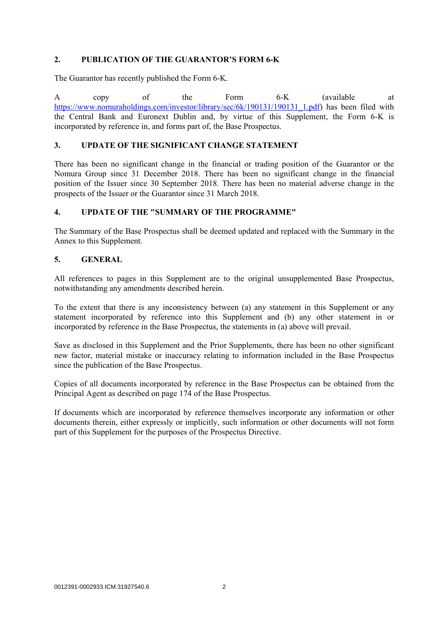## **2. PUBLICATION OF THE GUARANTOR'S FORM 6-K**

The Guarantor has recently published the Form 6-K.

A copy of the Form 6-K (available at https://www.nomuraholdings.com/investor/library/sec/6k/190131/190131\_1.pdf) has been filed with the Central Bank and Euronext Dublin and, by virtue of this Supplement, the Form 6-K is incorporated by reference in, and forms part of, the Base Prospectus.

## **3. UPDATE OF THE SIGNIFICANT CHANGE STATEMENT**

There has been no significant change in the financial or trading position of the Guarantor or the Nomura Group since 31 December 2018. There has been no significant change in the financial position of the Issuer since 30 September 2018. There has been no material adverse change in the prospects of the Issuer or the Guarantor since 31 March 2018.

## **4. UPDATE OF THE "SUMMARY OF THE PROGRAMME"**

The Summary of the Base Prospectus shall be deemed updated and replaced with the Summary in the Annex to this Supplement.

## **5. GENERAL**

All references to pages in this Supplement are to the original unsupplemented Base Prospectus, notwithstanding any amendments described herein.

To the extent that there is any inconsistency between (a) any statement in this Supplement or any statement incorporated by reference into this Supplement and (b) any other statement in or incorporated by reference in the Base Prospectus, the statements in (a) above will prevail.

Save as disclosed in this Supplement and the Prior Supplements, there has been no other significant new factor, material mistake or inaccuracy relating to information included in the Base Prospectus since the publication of the Base Prospectus.

Copies of all documents incorporated by reference in the Base Prospectus can be obtained from the Principal Agent as described on page 174 of the Base Prospectus.

If documents which are incorporated by reference themselves incorporate any information or other documents therein, either expressly or implicitly, such information or other documents will not form part of this Supplement for the purposes of the Prospectus Directive.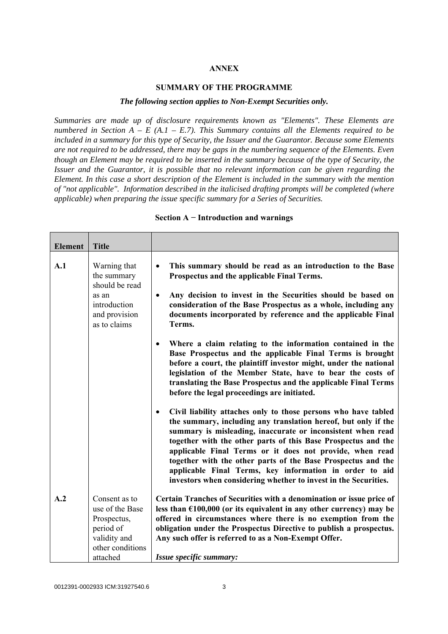#### **ANNEX**

#### **SUMMARY OF THE PROGRAMME**

#### *The following section applies to Non-Exempt Securities only.*

*Summaries are made up of disclosure requirements known as "Elements". These Elements are numbered in Section A – E (A.1 – E.7). This Summary contains all the Elements required to be included in a summary for this type of Security, the Issuer and the Guarantor. Because some Elements are not required to be addressed, there may be gaps in the numbering sequence of the Elements. Even though an Element may be required to be inserted in the summary because of the type of Security, the Issuer and the Guarantor, it is possible that no relevant information can be given regarding the Element. In this case a short description of the Element is included in the summary with the mention of "not applicable". Information described in the italicised drafting prompts will be completed (where applicable) when preparing the issue specific summary for a Series of Securities.*

| <b>Element</b> | <b>Title</b>                                                                                     |                                                                                                                                                                                                                                                                                                                                                                                                                                                                                                                                         |
|----------------|--------------------------------------------------------------------------------------------------|-----------------------------------------------------------------------------------------------------------------------------------------------------------------------------------------------------------------------------------------------------------------------------------------------------------------------------------------------------------------------------------------------------------------------------------------------------------------------------------------------------------------------------------------|
| A.1            | Warning that<br>the summary<br>should be read                                                    | This summary should be read as an introduction to the Base<br>$\bullet$<br>Prospectus and the applicable Final Terms.                                                                                                                                                                                                                                                                                                                                                                                                                   |
|                | as an<br>introduction<br>and provision<br>as to claims                                           | Any decision to invest in the Securities should be based on<br>$\bullet$<br>consideration of the Base Prospectus as a whole, including any<br>documents incorporated by reference and the applicable Final<br>Terms.                                                                                                                                                                                                                                                                                                                    |
|                |                                                                                                  | Where a claim relating to the information contained in the<br>Base Prospectus and the applicable Final Terms is brought<br>before a court, the plaintiff investor might, under the national<br>legislation of the Member State, have to bear the costs of<br>translating the Base Prospectus and the applicable Final Terms<br>before the legal proceedings are initiated.                                                                                                                                                              |
|                |                                                                                                  | Civil liability attaches only to those persons who have tabled<br>$\bullet$<br>the summary, including any translation hereof, but only if the<br>summary is misleading, inaccurate or inconsistent when read<br>together with the other parts of this Base Prospectus and the<br>applicable Final Terms or it does not provide, when read<br>together with the other parts of the Base Prospectus and the<br>applicable Final Terms, key information in order to aid<br>investors when considering whether to invest in the Securities. |
| A.2            | Consent as to<br>use of the Base<br>Prospectus,<br>period of<br>validity and<br>other conditions | Certain Tranches of Securities with a denomination or issue price of<br>less than $£100,000$ (or its equivalent in any other currency) may be<br>offered in circumstances where there is no exemption from the<br>obligation under the Prospectus Directive to publish a prospectus.<br>Any such offer is referred to as a Non-Exempt Offer.                                                                                                                                                                                            |
|                | attached                                                                                         | Issue specific summary:                                                                                                                                                                                                                                                                                                                                                                                                                                                                                                                 |

#### **Section A − Introduction and warnings**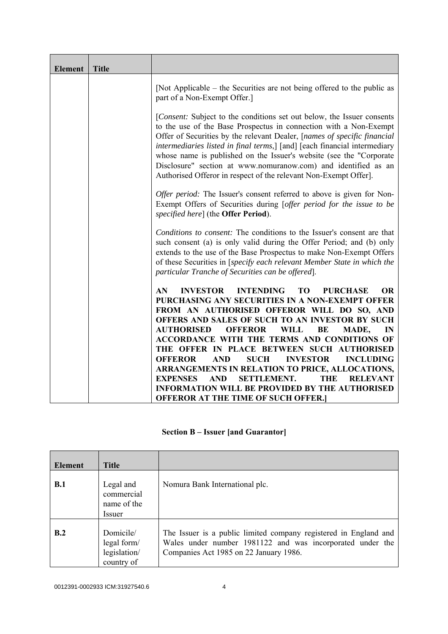| <b>Element</b> | <b>Title</b> |                                                                                                                                                                                                                                                                                                                                                                                                                                                                                                                   |
|----------------|--------------|-------------------------------------------------------------------------------------------------------------------------------------------------------------------------------------------------------------------------------------------------------------------------------------------------------------------------------------------------------------------------------------------------------------------------------------------------------------------------------------------------------------------|
|                |              | [Not Applicable – the Securities are not being offered to the public as<br>part of a Non-Exempt Offer.]                                                                                                                                                                                                                                                                                                                                                                                                           |
|                |              | [Consent: Subject to the conditions set out below, the Issuer consents<br>to the use of the Base Prospectus in connection with a Non-Exempt<br>Offer of Securities by the relevant Dealer, [names of specific financial<br>intermediaries listed in final terms,] [and] [each financial intermediary<br>whose name is published on the Issuer's website (see the "Corporate<br>Disclosure" section at www.nomuranow.com) and identified as an<br>Authorised Offeror in respect of the relevant Non-Exempt Offer]. |
|                |              | Offer period: The Issuer's consent referred to above is given for Non-<br>Exempt Offers of Securities during [offer period for the issue to be<br>specified here] (the Offer Period).                                                                                                                                                                                                                                                                                                                             |
|                |              | Conditions to consent: The conditions to the Issuer's consent are that<br>such consent (a) is only valid during the Offer Period; and (b) only<br>extends to the use of the Base Prospectus to make Non-Exempt Offers<br>of these Securities in [specify each relevant Member State in which the<br>particular Tranche of Securities can be offered].                                                                                                                                                             |
|                |              | <b>INVESTOR</b><br><b>INTENDING</b><br><b>OR</b><br>AN.<br>T <sub>O</sub><br><b>PURCHASE</b><br>PURCHASING ANY SECURITIES IN A NON-EXEMPT OFFER                                                                                                                                                                                                                                                                                                                                                                   |
|                |              | FROM AN AUTHORISED OFFEROR WILL DO SO, AND<br>OFFERS AND SALES OF SUCH TO AN INVESTOR BY SUCH<br><b>AUTHORISED</b><br><b>OFFEROR</b><br><b>WILL</b><br>BE<br>MADE,<br>IN                                                                                                                                                                                                                                                                                                                                          |
|                |              | ACCORDANCE WITH THE TERMS AND CONDITIONS OF<br>THE OFFER IN PLACE BETWEEN SUCH AUTHORISED<br><b>OFFEROR</b><br><b>AND</b><br><b>SUCH</b><br><b>INVESTOR</b><br><b>INCLUDING</b>                                                                                                                                                                                                                                                                                                                                   |
|                |              | ARRANGEMENTS IN RELATION TO PRICE, ALLOCATIONS,<br><b>EXPENSES</b><br><b>SETTLEMENT.</b><br><b>AND</b><br><b>THE</b><br><b>RELEVANT</b><br><b>INFORMATION WILL BE PROVIDED BY THE AUTHORISED</b>                                                                                                                                                                                                                                                                                                                  |
|                |              | <b>OFFEROR AT THE TIME OF SUCH OFFER.</b>                                                                                                                                                                                                                                                                                                                                                                                                                                                                         |

## **Section B – Issuer [and Guarantor]**

| <b>Element</b> | <b>Title</b>                                           |                                                                                                                                                                         |
|----------------|--------------------------------------------------------|-------------------------------------------------------------------------------------------------------------------------------------------------------------------------|
| B.1            | Legal and<br>commercial<br>name of the<br>Issuer       | Nomura Bank International plc.                                                                                                                                          |
| B.2            | Domicile/<br>legal form/<br>legislation/<br>country of | The Issuer is a public limited company registered in England and<br>Wales under number 1981122 and was incorporated under the<br>Companies Act 1985 on 22 January 1986. |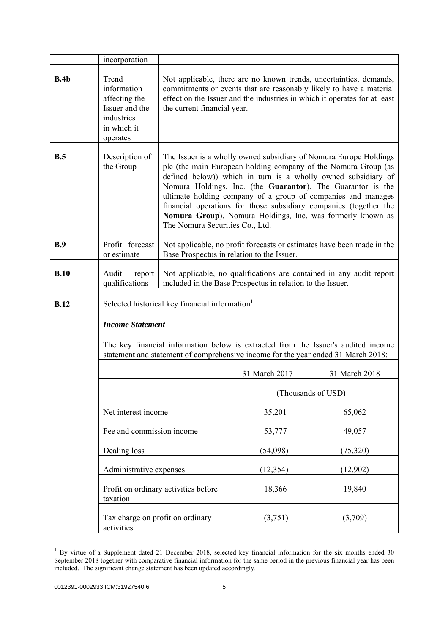|             | incorporation                                                                                                                                                                                                                                      |                                                                                                                                                                                                                                                                                                                                                                                                                                                                                                           |                                                                                                                                   |                    |
|-------------|----------------------------------------------------------------------------------------------------------------------------------------------------------------------------------------------------------------------------------------------------|-----------------------------------------------------------------------------------------------------------------------------------------------------------------------------------------------------------------------------------------------------------------------------------------------------------------------------------------------------------------------------------------------------------------------------------------------------------------------------------------------------------|-----------------------------------------------------------------------------------------------------------------------------------|--------------------|
| B.4b        | Trend<br>information<br>affecting the<br>Issuer and the<br>industries<br>in which it<br>operates                                                                                                                                                   | Not applicable, there are no known trends, uncertainties, demands,<br>commitments or events that are reasonably likely to have a material<br>effect on the Issuer and the industries in which it operates for at least<br>the current financial year.                                                                                                                                                                                                                                                     |                                                                                                                                   |                    |
| B.5         | Description of<br>the Group                                                                                                                                                                                                                        | The Issuer is a wholly owned subsidiary of Nomura Europe Holdings<br>plc (the main European holding company of the Nomura Group (as<br>defined below)) which in turn is a wholly owned subsidiary of<br>Nomura Holdings, Inc. (the Guarantor). The Guarantor is the<br>ultimate holding company of a group of companies and manages<br>financial operations for those subsidiary companies (together the<br>Nomura Group). Nomura Holdings, Inc. was formerly known as<br>The Nomura Securities Co., Ltd. |                                                                                                                                   |                    |
| B.9         | Profit forecast<br>or estimate                                                                                                                                                                                                                     |                                                                                                                                                                                                                                                                                                                                                                                                                                                                                                           | Not applicable, no profit forecasts or estimates have been made in the<br>Base Prospectus in relation to the Issuer.              |                    |
| B.10        | Audit<br>report<br>qualifications                                                                                                                                                                                                                  |                                                                                                                                                                                                                                                                                                                                                                                                                                                                                                           | Not applicable, no qualifications are contained in any audit report<br>included in the Base Prospectus in relation to the Issuer. |                    |
| <b>B.12</b> | Selected historical key financial information<br><b>Income Statement</b><br>The key financial information below is extracted from the Issuer's audited income<br>statement and statement of comprehensive income for the year ended 31 March 2018: |                                                                                                                                                                                                                                                                                                                                                                                                                                                                                                           |                                                                                                                                   |                    |
|             |                                                                                                                                                                                                                                                    |                                                                                                                                                                                                                                                                                                                                                                                                                                                                                                           | 31 March 2017                                                                                                                     | 31 March 2018      |
|             |                                                                                                                                                                                                                                                    |                                                                                                                                                                                                                                                                                                                                                                                                                                                                                                           |                                                                                                                                   | (Thousands of USD) |
|             | Net interest income                                                                                                                                                                                                                                |                                                                                                                                                                                                                                                                                                                                                                                                                                                                                                           | 35,201                                                                                                                            | 65,062             |
|             | Fee and commission income                                                                                                                                                                                                                          |                                                                                                                                                                                                                                                                                                                                                                                                                                                                                                           | 53,777                                                                                                                            | 49,057             |
|             | Dealing loss                                                                                                                                                                                                                                       |                                                                                                                                                                                                                                                                                                                                                                                                                                                                                                           | (54,098)                                                                                                                          | (75, 320)          |
|             | Administrative expenses                                                                                                                                                                                                                            |                                                                                                                                                                                                                                                                                                                                                                                                                                                                                                           | (12, 354)                                                                                                                         | (12,902)           |
|             | taxation                                                                                                                                                                                                                                           | Profit on ordinary activities before                                                                                                                                                                                                                                                                                                                                                                                                                                                                      | 18,366                                                                                                                            | 19,840             |
|             | Tax charge on profit on ordinary<br>activities                                                                                                                                                                                                     |                                                                                                                                                                                                                                                                                                                                                                                                                                                                                                           | (3,751)                                                                                                                           | (3,709)            |

 $1$  By virtue of a Supplement dated 21 December 2018, selected key financial information for the six months ended 30 September 2018 together with comparative financial information for the same period in the previous financial year has been included. The significant change statement has been updated accordingly.

l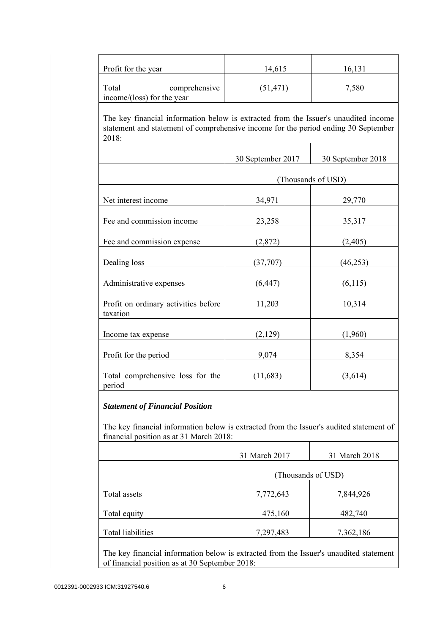| Profit for the year                                                                                                                                                                | 14,615            | 16,131             |
|------------------------------------------------------------------------------------------------------------------------------------------------------------------------------------|-------------------|--------------------|
| comprehensive<br>Total<br>income/(loss) for the year                                                                                                                               | (51, 471)         | 7,580              |
| The key financial information below is extracted from the Issuer's unaudited income<br>statement and statement of comprehensive income for the period ending 30 September<br>2018: |                   |                    |
|                                                                                                                                                                                    | 30 September 2017 | 30 September 2018  |
|                                                                                                                                                                                    |                   | (Thousands of USD) |
| Net interest income                                                                                                                                                                | 34,971            | 29,770             |
| Fee and commission income                                                                                                                                                          | 23,258            | 35,317             |
| Fee and commission expense                                                                                                                                                         | (2,872)           | (2, 405)           |
| Dealing loss                                                                                                                                                                       | (37,707)          | (46, 253)          |
| Administrative expenses                                                                                                                                                            | (6, 447)          | (6,115)            |
| Profit on ordinary activities before<br>taxation                                                                                                                                   | 11,203            | 10,314             |
| Income tax expense                                                                                                                                                                 | (2,129)           | (1,960)            |
| Profit for the period                                                                                                                                                              | 9,074             | 8,354              |
| Total comprehensive loss for the<br>period                                                                                                                                         | (11,683)          | (3,614)            |
| <b>Statement of Financial Position</b>                                                                                                                                             |                   |                    |
| The key financial information below is extracted from the Issuer's audited statement of<br>financial position as at 31 March 2018:                                                 |                   |                    |
|                                                                                                                                                                                    | 31 March 2017     | 31 March 2018      |
|                                                                                                                                                                                    |                   | (Thousands of USD) |
| Total assets                                                                                                                                                                       | 7,772,643         | 7,844,926          |
| Total equity                                                                                                                                                                       | 475,160           | 482,740            |
|                                                                                                                                                                                    | 7,297,483         | 7,362,186          |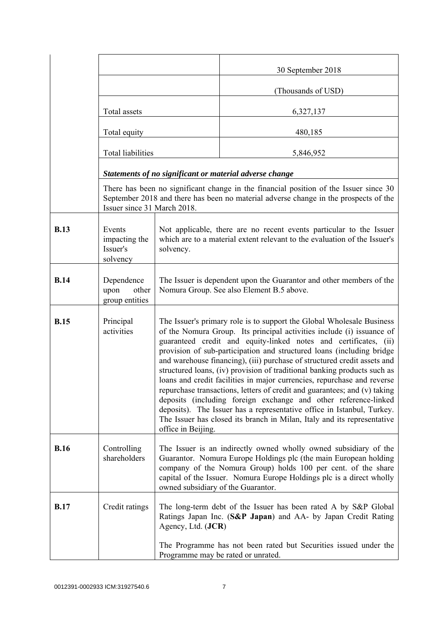|             |                                                 |                                                                                                                                                                                                                                                                                                                                                                                                                                                                                                                                                                                                                                                                                                                                                                                                                                                           | 30 September 2018                                                                                                                                                             |
|-------------|-------------------------------------------------|-----------------------------------------------------------------------------------------------------------------------------------------------------------------------------------------------------------------------------------------------------------------------------------------------------------------------------------------------------------------------------------------------------------------------------------------------------------------------------------------------------------------------------------------------------------------------------------------------------------------------------------------------------------------------------------------------------------------------------------------------------------------------------------------------------------------------------------------------------------|-------------------------------------------------------------------------------------------------------------------------------------------------------------------------------|
|             |                                                 |                                                                                                                                                                                                                                                                                                                                                                                                                                                                                                                                                                                                                                                                                                                                                                                                                                                           | (Thousands of USD)                                                                                                                                                            |
|             | Total assets                                    |                                                                                                                                                                                                                                                                                                                                                                                                                                                                                                                                                                                                                                                                                                                                                                                                                                                           | 6,327,137                                                                                                                                                                     |
|             | Total equity                                    |                                                                                                                                                                                                                                                                                                                                                                                                                                                                                                                                                                                                                                                                                                                                                                                                                                                           | 480,185                                                                                                                                                                       |
|             | <b>Total liabilities</b>                        |                                                                                                                                                                                                                                                                                                                                                                                                                                                                                                                                                                                                                                                                                                                                                                                                                                                           | 5,846,952                                                                                                                                                                     |
|             |                                                 |                                                                                                                                                                                                                                                                                                                                                                                                                                                                                                                                                                                                                                                                                                                                                                                                                                                           | Statements of no significant or material adverse change                                                                                                                       |
|             | Issuer since 31 March 2018.                     |                                                                                                                                                                                                                                                                                                                                                                                                                                                                                                                                                                                                                                                                                                                                                                                                                                                           | There has been no significant change in the financial position of the Issuer since 30<br>September 2018 and there has been no material adverse change in the prospects of the |
| <b>B.13</b> | Events<br>impacting the<br>Issuer's<br>solvency | Not applicable, there are no recent events particular to the Issuer<br>which are to a material extent relevant to the evaluation of the Issuer's<br>solvency.                                                                                                                                                                                                                                                                                                                                                                                                                                                                                                                                                                                                                                                                                             |                                                                                                                                                                               |
| <b>B.14</b> | Dependence<br>upon<br>other<br>group entities   | The Issuer is dependent upon the Guarantor and other members of the<br>Nomura Group. See also Element B.5 above.                                                                                                                                                                                                                                                                                                                                                                                                                                                                                                                                                                                                                                                                                                                                          |                                                                                                                                                                               |
| <b>B.15</b> | Principal<br>activities                         | The Issuer's primary role is to support the Global Wholesale Business<br>of the Nomura Group. Its principal activities include (i) issuance of<br>guaranteed credit and equity-linked notes and certificates, (ii)<br>provision of sub-participation and structured loans (including bridge<br>and warehouse financing), (iii) purchase of structured credit assets and<br>structured loans, (iv) provision of traditional banking products such as<br>loans and credit facilities in major currencies, repurchase and reverse<br>repurchase transactions, letters of credit and guarantees; and (v) taking<br>deposits (including foreign exchange and other reference-linked<br>deposits). The Issuer has a representative office in Istanbul, Turkey.<br>The Issuer has closed its branch in Milan, Italy and its representative<br>office in Beijing. |                                                                                                                                                                               |
| <b>B.16</b> | Controlling<br>shareholders                     | The Issuer is an indirectly owned wholly owned subsidiary of the<br>Guarantor. Nomura Europe Holdings plc (the main European holding<br>company of the Nomura Group) holds 100 per cent. of the share<br>capital of the Issuer. Nomura Europe Holdings plc is a direct wholly<br>owned subsidiary of the Guarantor.                                                                                                                                                                                                                                                                                                                                                                                                                                                                                                                                       |                                                                                                                                                                               |
| <b>B.17</b> | Credit ratings                                  | Agency, Ltd. (JCR)                                                                                                                                                                                                                                                                                                                                                                                                                                                                                                                                                                                                                                                                                                                                                                                                                                        | The long-term debt of the Issuer has been rated A by S&P Global<br>Ratings Japan Inc. (S&P Japan) and AA- by Japan Credit Rating                                              |
|             |                                                 | Programme may be rated or unrated.                                                                                                                                                                                                                                                                                                                                                                                                                                                                                                                                                                                                                                                                                                                                                                                                                        | The Programme has not been rated but Securities issued under the                                                                                                              |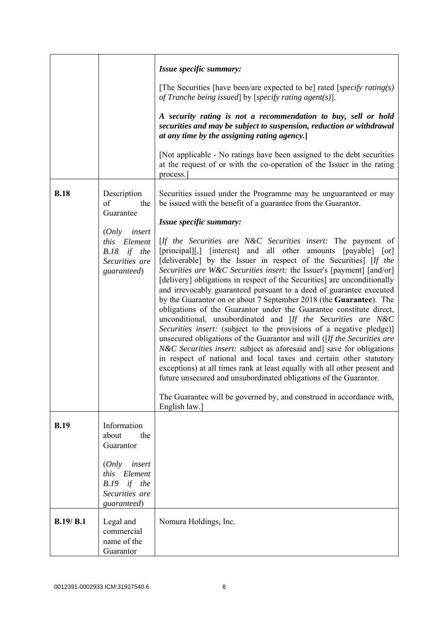|             |                                                                                                                                    | Issue specific summary:<br>[The Securities [have been/are expected to be] rated [specify rating(s)]                                                                                                                                                                                                                                                                                                                                                                                                                                                                                                                                                                                                                                                                                                                                                                                                                                                                                                                                                                                                                                                                                                                                                                                                                                                    |
|-------------|------------------------------------------------------------------------------------------------------------------------------------|--------------------------------------------------------------------------------------------------------------------------------------------------------------------------------------------------------------------------------------------------------------------------------------------------------------------------------------------------------------------------------------------------------------------------------------------------------------------------------------------------------------------------------------------------------------------------------------------------------------------------------------------------------------------------------------------------------------------------------------------------------------------------------------------------------------------------------------------------------------------------------------------------------------------------------------------------------------------------------------------------------------------------------------------------------------------------------------------------------------------------------------------------------------------------------------------------------------------------------------------------------------------------------------------------------------------------------------------------------|
|             |                                                                                                                                    | of Tranche being issued by [specify rating agent(s)].<br>A security rating is not a recommendation to buy, sell or hold<br>securities and may be subject to suspension, reduction or withdrawal<br>at any time by the assigning rating agency.<br>[Not applicable - No ratings have been assigned to the debt securities]                                                                                                                                                                                                                                                                                                                                                                                                                                                                                                                                                                                                                                                                                                                                                                                                                                                                                                                                                                                                                              |
|             |                                                                                                                                    | at the request of or with the co-operation of the Issuer in the rating<br>process.                                                                                                                                                                                                                                                                                                                                                                                                                                                                                                                                                                                                                                                                                                                                                                                                                                                                                                                                                                                                                                                                                                                                                                                                                                                                     |
| <b>B.18</b> | Description<br>of<br>the<br>Guarantee<br>insert<br>(Only<br>Element<br><i>this</i><br>B.18 if the<br>Securities are<br>guaranteed) | Securities issued under the Programme may be unguaranteed or may<br>be issued with the benefit of a guarantee from the Guarantor.<br>Issue specific summary:<br>[If the Securities are N&C Securities insert: The payment of<br>[principal][,] [interest] and all other amounts [payable] [or]<br>[deliverable] by the Issuer in respect of the Securities] [If the<br>Securities are W&C Securities insert: the Issuer's [payment] [and/or]<br>[delivery] obligations in respect of the Securities] are unconditionally<br>and irrevocably guaranteed pursuant to a deed of guarantee executed<br>by the Guarantor on or about 7 September 2018 (the Guarantee). The<br>obligations of the Guarantor under the Guarantee constitute direct,<br>unconditional, unsubordinated and [If the Securities are N&C<br>Securities insert: (subject to the provisions of a negative pledge)]<br>unsecured obligations of the Guarantor and will ( $[If the Securities are$<br><i>N&amp;C Securities insert:</i> subject as aforesaid and] save for obligations<br>in respect of national and local taxes and certain other statutory<br>exceptions) at all times rank at least equally with all other present and<br>future unsecured and unsubordinated obligations of the Guarantor.<br>The Guarantee will be governed by, and construed in accordance with, |
|             |                                                                                                                                    | English law.]                                                                                                                                                                                                                                                                                                                                                                                                                                                                                                                                                                                                                                                                                                                                                                                                                                                                                                                                                                                                                                                                                                                                                                                                                                                                                                                                          |
| <b>B.19</b> | Information<br>about<br>the<br>Guarantor                                                                                           |                                                                                                                                                                                                                                                                                                                                                                                                                                                                                                                                                                                                                                                                                                                                                                                                                                                                                                                                                                                                                                                                                                                                                                                                                                                                                                                                                        |
|             | (Only<br>insert<br>this Element<br>$B.19$ if the<br>Securities are<br>guaranteed)                                                  |                                                                                                                                                                                                                                                                                                                                                                                                                                                                                                                                                                                                                                                                                                                                                                                                                                                                                                                                                                                                                                                                                                                                                                                                                                                                                                                                                        |
| B.19/ B.1   | Legal and<br>commercial<br>name of the<br>Guarantor                                                                                | Nomura Holdings, Inc.                                                                                                                                                                                                                                                                                                                                                                                                                                                                                                                                                                                                                                                                                                                                                                                                                                                                                                                                                                                                                                                                                                                                                                                                                                                                                                                                  |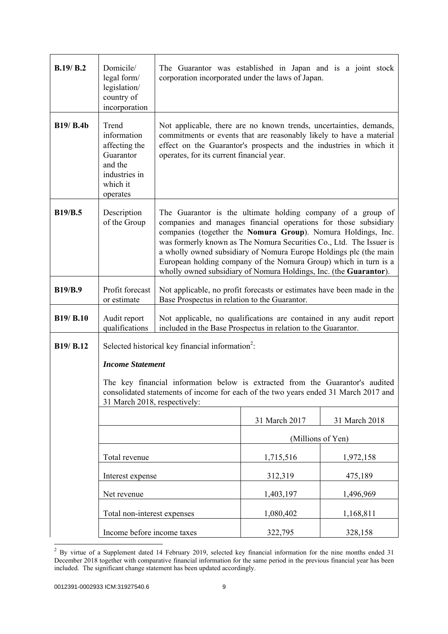| B.19/B.2         | Domicile/<br>legal form/<br>legislation/<br>country of<br>incorporation                                                                                                                              | The Guarantor was established in Japan and is a joint stock<br>corporation incorporated under the laws of Japan.                                                                                                                                                                                                                                                                                                                                                                    |                   |               |
|------------------|------------------------------------------------------------------------------------------------------------------------------------------------------------------------------------------------------|-------------------------------------------------------------------------------------------------------------------------------------------------------------------------------------------------------------------------------------------------------------------------------------------------------------------------------------------------------------------------------------------------------------------------------------------------------------------------------------|-------------------|---------------|
| <b>B19/ B.4b</b> | Trend<br>information<br>affecting the<br>Guarantor<br>and the<br>industries in<br>which it<br>operates                                                                                               | Not applicable, there are no known trends, uncertainties, demands,<br>commitments or events that are reasonably likely to have a material<br>effect on the Guarantor's prospects and the industries in which it<br>operates, for its current financial year.                                                                                                                                                                                                                        |                   |               |
| <b>B19/B.5</b>   | Description<br>of the Group                                                                                                                                                                          | The Guarantor is the ultimate holding company of a group of<br>companies and manages financial operations for those subsidiary<br>companies (together the Nomura Group). Nomura Holdings, Inc.<br>was formerly known as The Nomura Securities Co., Ltd. The Issuer is<br>a wholly owned subsidiary of Nomura Europe Holdings plc (the main<br>European holding company of the Nomura Group) which in turn is a<br>wholly owned subsidiary of Nomura Holdings, Inc. (the Guarantor). |                   |               |
| <b>B19/B.9</b>   | Profit forecast<br>or estimate                                                                                                                                                                       | Not applicable, no profit forecasts or estimates have been made in the<br>Base Prospectus in relation to the Guarantor.                                                                                                                                                                                                                                                                                                                                                             |                   |               |
| <b>B19/ B.10</b> | Audit report<br>qualifications                                                                                                                                                                       | Not applicable, no qualifications are contained in any audit report<br>included in the Base Prospectus in relation to the Guarantor.                                                                                                                                                                                                                                                                                                                                                |                   |               |
| B19/ B.12        | Selected historical key financial information <sup>2</sup> :                                                                                                                                         |                                                                                                                                                                                                                                                                                                                                                                                                                                                                                     |                   |               |
|                  | <b>Income Statement</b>                                                                                                                                                                              |                                                                                                                                                                                                                                                                                                                                                                                                                                                                                     |                   |               |
|                  | The key financial information below is extracted from the Guarantor's audited<br>consolidated statements of income for each of the two years ended 31 March 2017 and<br>31 March 2018, respectively: |                                                                                                                                                                                                                                                                                                                                                                                                                                                                                     |                   |               |
|                  |                                                                                                                                                                                                      |                                                                                                                                                                                                                                                                                                                                                                                                                                                                                     | 31 March 2017     | 31 March 2018 |
|                  |                                                                                                                                                                                                      |                                                                                                                                                                                                                                                                                                                                                                                                                                                                                     | (Millions of Yen) |               |
|                  | Total revenue                                                                                                                                                                                        |                                                                                                                                                                                                                                                                                                                                                                                                                                                                                     | 1,715,516         | 1,972,158     |
|                  | Interest expense                                                                                                                                                                                     |                                                                                                                                                                                                                                                                                                                                                                                                                                                                                     | 312,319           | 475,189       |
|                  | Net revenue                                                                                                                                                                                          |                                                                                                                                                                                                                                                                                                                                                                                                                                                                                     | 1,403,197         | 1,496,969     |
|                  | Total non-interest expenses                                                                                                                                                                          |                                                                                                                                                                                                                                                                                                                                                                                                                                                                                     | 1,080,402         | 1,168,811     |
|                  | Income before income taxes                                                                                                                                                                           |                                                                                                                                                                                                                                                                                                                                                                                                                                                                                     | 322,795           | 328,158       |

 $2^2$  By virtue of a Supplement dated 14 February 2019, selected key financial information for the nine months ended 31 December 2018 together with comparative financial information for the same period in the previous financial year has been included. The significant change statement has been updated accordingly.

l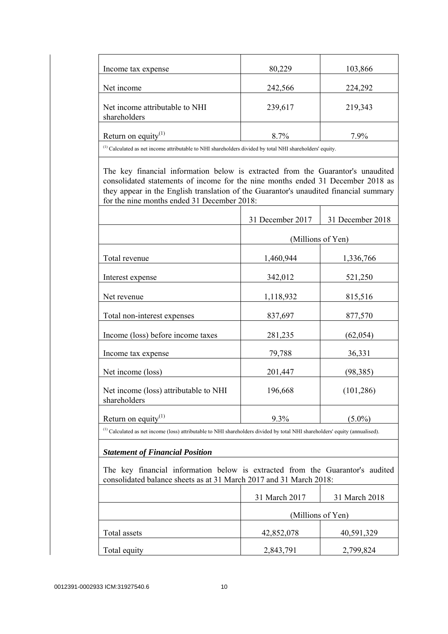| Income tax expense                                                                                                                                                                                                                                                                                         | 80,229            | 103,866          |
|------------------------------------------------------------------------------------------------------------------------------------------------------------------------------------------------------------------------------------------------------------------------------------------------------------|-------------------|------------------|
| Net income                                                                                                                                                                                                                                                                                                 | 242,566           | 224,292          |
| Net income attributable to NHI<br>shareholders                                                                                                                                                                                                                                                             | 239,617           | 219,343          |
| Return on equity <sup>(1)</sup>                                                                                                                                                                                                                                                                            | 8.7%              | 7.9%             |
| $^{(1)}$ Calculated as net income attributable to NHI shareholders divided by total NHI shareholders' equity.                                                                                                                                                                                              |                   |                  |
| The key financial information below is extracted from the Guarantor's unaudited<br>consolidated statements of income for the nine months ended 31 December 2018 as<br>they appear in the English translation of the Guarantor's unaudited financial summary<br>for the nine months ended 31 December 2018: |                   |                  |
|                                                                                                                                                                                                                                                                                                            | 31 December 2017  | 31 December 2018 |
|                                                                                                                                                                                                                                                                                                            | (Millions of Yen) |                  |
| Total revenue                                                                                                                                                                                                                                                                                              | 1,460,944         | 1,336,766        |
| Interest expense                                                                                                                                                                                                                                                                                           | 342,012           | 521,250          |
| Net revenue                                                                                                                                                                                                                                                                                                | 1,118,932         | 815,516          |
| Total non-interest expenses                                                                                                                                                                                                                                                                                | 837,697           | 877,570          |
| Income (loss) before income taxes                                                                                                                                                                                                                                                                          | 281,235           | (62,054)         |
| Income tax expense                                                                                                                                                                                                                                                                                         | 79,788            | 36,331           |
| Net income (loss)                                                                                                                                                                                                                                                                                          | 201,447           | (98, 385)        |
| Net income (loss) attributable to NHI<br>shareholders                                                                                                                                                                                                                                                      | 196,668           | (101, 286)       |
| Return on equity $(1)$                                                                                                                                                                                                                                                                                     | 9.3%              | $(5.0\%)$        |
| $^{(1)}$ Calculated as net income (loss) attributable to NHI shareholders divided by total NHI shareholders' equity (annualised).                                                                                                                                                                          |                   |                  |
| <b>Statement of Financial Position</b>                                                                                                                                                                                                                                                                     |                   |                  |
| The key financial information below is extracted from the Guarantor's audited<br>consolidated balance sheets as at 31 March 2017 and 31 March 2018:                                                                                                                                                        |                   |                  |
|                                                                                                                                                                                                                                                                                                            | 31 March 2017     | 31 March 2018    |
|                                                                                                                                                                                                                                                                                                            | (Millions of Yen) |                  |
| Total assets                                                                                                                                                                                                                                                                                               | 42,852,078        | 40,591,329       |
| Total equity                                                                                                                                                                                                                                                                                               | 2,843,791         | 2,799,824        |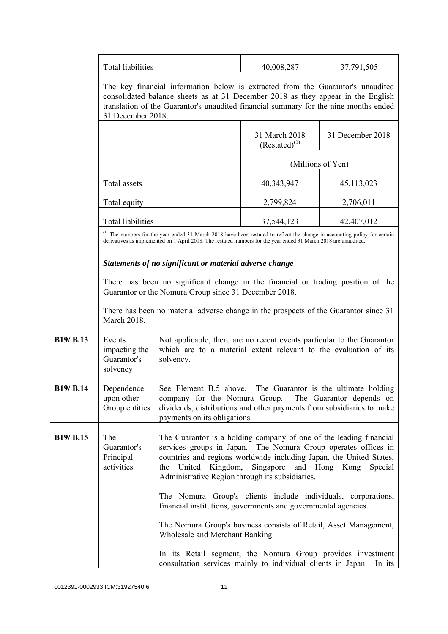|           | Total liabilities                                                                                                                                                                                                                                                                |                                                                                                                                                                                                                                                                                                                  | 40,008,287                          | 37,791,505       |
|-----------|----------------------------------------------------------------------------------------------------------------------------------------------------------------------------------------------------------------------------------------------------------------------------------|------------------------------------------------------------------------------------------------------------------------------------------------------------------------------------------------------------------------------------------------------------------------------------------------------------------|-------------------------------------|------------------|
|           | The key financial information below is extracted from the Guarantor's unaudited<br>consolidated balance sheets as at 31 December 2018 as they appear in the English<br>translation of the Guarantor's unaudited financial summary for the nine months ended<br>31 December 2018: |                                                                                                                                                                                                                                                                                                                  |                                     |                  |
|           |                                                                                                                                                                                                                                                                                  |                                                                                                                                                                                                                                                                                                                  | 31 March 2018<br>$(Restated)^{(1)}$ | 31 December 2018 |
|           |                                                                                                                                                                                                                                                                                  |                                                                                                                                                                                                                                                                                                                  | (Millions of Yen)                   |                  |
|           | Total assets                                                                                                                                                                                                                                                                     |                                                                                                                                                                                                                                                                                                                  | 40,343,947                          | 45,113,023       |
|           | Total equity                                                                                                                                                                                                                                                                     |                                                                                                                                                                                                                                                                                                                  | 2,799,824                           | 2,706,011        |
|           | <b>Total liabilities</b>                                                                                                                                                                                                                                                         |                                                                                                                                                                                                                                                                                                                  | 37,544,123                          | 42,407,012       |
|           |                                                                                                                                                                                                                                                                                  | <sup>(1)</sup> The numbers for the year ended 31 March 2018 have been restated to reflect the change in accounting policy for certain<br>derivatives as implemented on 1 April 2018. The restated numbers for the year ended 31 March 2018 are unaudited.                                                        |                                     |                  |
|           |                                                                                                                                                                                                                                                                                  | Statements of no significant or material adverse change                                                                                                                                                                                                                                                          |                                     |                  |
|           | There has been no significant change in the financial or trading position of the<br>Guarantor or the Nomura Group since 31 December 2018.                                                                                                                                        |                                                                                                                                                                                                                                                                                                                  |                                     |                  |
|           | March 2018.                                                                                                                                                                                                                                                                      | There has been no material adverse change in the prospects of the Guarantor since 31                                                                                                                                                                                                                             |                                     |                  |
| B19/ B.13 | Events<br>impacting the<br>Guarantor's<br>solvency                                                                                                                                                                                                                               | Not applicable, there are no recent events particular to the Guarantor<br>which are to a material extent relevant to the evaluation of its<br>solvency.                                                                                                                                                          |                                     |                  |
| B19/ B.14 | Dependence<br>upon other<br>Group entities                                                                                                                                                                                                                                       | See Element B.5 above. The Guarantor is the ultimate holding<br>company for the Nomura Group. The Guarantor depends on<br>dividends, distributions and other payments from subsidiaries to make<br>payments on its obligations.                                                                                  |                                     |                  |
| B19/ B.15 | The<br>Guarantor's<br>Principal<br>activities                                                                                                                                                                                                                                    | The Guarantor is a holding company of one of the leading financial<br>services groups in Japan. The Nomura Group operates offices in<br>countries and regions worldwide including Japan, the United States,<br>Singapore and Hong Kong<br>the United Kingdom,<br>Administrative Region through its subsidiaries. |                                     | Special          |
|           |                                                                                                                                                                                                                                                                                  | The Nomura Group's clients include individuals, corporations,<br>financial institutions, governments and governmental agencies.                                                                                                                                                                                  |                                     |                  |
|           |                                                                                                                                                                                                                                                                                  | The Nomura Group's business consists of Retail, Asset Management,<br>Wholesale and Merchant Banking.                                                                                                                                                                                                             |                                     |                  |
|           |                                                                                                                                                                                                                                                                                  | In its Retail segment, the Nomura Group provides investment<br>consultation services mainly to individual clients in Japan.                                                                                                                                                                                      |                                     | In its           |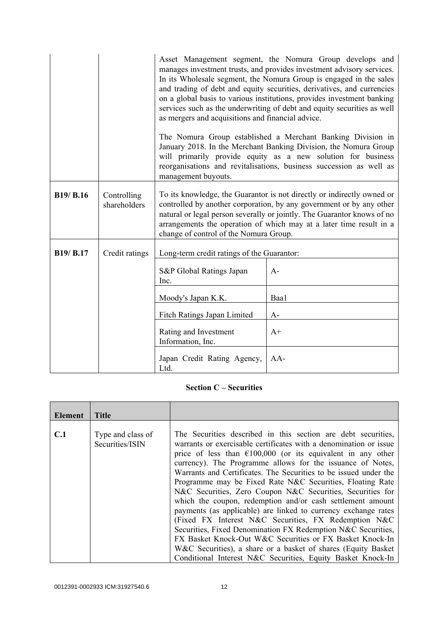|                  |                             | as mergers and acquisitions and financial advice.<br>management buyouts.                                                                                                                                                                                                                                                                   | Asset Management segment, the Nomura Group develops and<br>manages investment trusts, and provides investment advisory services.<br>In its Wholesale segment, the Nomura Group is engaged in the sales<br>and trading of debt and equity securities, derivatives, and currencies<br>on a global basis to various institutions, provides investment banking<br>services such as the underwriting of debt and equity securities as well<br>The Nomura Group established a Merchant Banking Division in<br>January 2018. In the Merchant Banking Division, the Nomura Group<br>will primarily provide equity as a new solution for business<br>reorganisations and revitalisations, business succession as well as |
|------------------|-----------------------------|--------------------------------------------------------------------------------------------------------------------------------------------------------------------------------------------------------------------------------------------------------------------------------------------------------------------------------------------|-----------------------------------------------------------------------------------------------------------------------------------------------------------------------------------------------------------------------------------------------------------------------------------------------------------------------------------------------------------------------------------------------------------------------------------------------------------------------------------------------------------------------------------------------------------------------------------------------------------------------------------------------------------------------------------------------------------------|
| <b>B19/ B.16</b> | Controlling<br>shareholders | To its knowledge, the Guarantor is not directly or indirectly owned or<br>controlled by another corporation, by any government or by any other<br>natural or legal person severally or jointly. The Guarantor knows of no<br>arrangements the operation of which may at a later time result in a<br>change of control of the Nomura Group. |                                                                                                                                                                                                                                                                                                                                                                                                                                                                                                                                                                                                                                                                                                                 |
| B19/ B.17        | Credit ratings              | Long-term credit ratings of the Guarantor:                                                                                                                                                                                                                                                                                                 |                                                                                                                                                                                                                                                                                                                                                                                                                                                                                                                                                                                                                                                                                                                 |
|                  |                             | S&P Global Ratings Japan<br>Inc.                                                                                                                                                                                                                                                                                                           | $A-$                                                                                                                                                                                                                                                                                                                                                                                                                                                                                                                                                                                                                                                                                                            |
|                  |                             | Moody's Japan K.K.                                                                                                                                                                                                                                                                                                                         | Baa1                                                                                                                                                                                                                                                                                                                                                                                                                                                                                                                                                                                                                                                                                                            |
|                  |                             | Fitch Ratings Japan Limited                                                                                                                                                                                                                                                                                                                | $A-$                                                                                                                                                                                                                                                                                                                                                                                                                                                                                                                                                                                                                                                                                                            |
|                  |                             | Rating and Investment<br>Information, Inc.                                                                                                                                                                                                                                                                                                 | $A+$                                                                                                                                                                                                                                                                                                                                                                                                                                                                                                                                                                                                                                                                                                            |
|                  |                             | Japan Credit Rating Agency,<br>Ltd.                                                                                                                                                                                                                                                                                                        | $AA-$                                                                                                                                                                                                                                                                                                                                                                                                                                                                                                                                                                                                                                                                                                           |

## **Section C – Securities**

| Element | <b>Title</b>                         |                                                                                                                                                                                                                                                                                                                                                                                                                                                                                                                                                                                                                                                                                                                                                                                                                                                                |
|---------|--------------------------------------|----------------------------------------------------------------------------------------------------------------------------------------------------------------------------------------------------------------------------------------------------------------------------------------------------------------------------------------------------------------------------------------------------------------------------------------------------------------------------------------------------------------------------------------------------------------------------------------------------------------------------------------------------------------------------------------------------------------------------------------------------------------------------------------------------------------------------------------------------------------|
|         |                                      |                                                                                                                                                                                                                                                                                                                                                                                                                                                                                                                                                                                                                                                                                                                                                                                                                                                                |
| C.1     | Type and class of<br>Securities/ISIN | The Securities described in this section are debt securities,<br>warrants or exercisable certificates with a denomination or issue<br>price of less than $\epsilon$ 100,000 (or its equivalent in any other<br>currency). The Programme allows for the issuance of Notes,<br>Warrants and Certificates. The Securities to be issued under the<br>Programme may be Fixed Rate N&C Securities, Floating Rate<br>N&C Securities, Zero Coupon N&C Securities, Securities for<br>which the coupon, redemption and/or cash settlement amount<br>payments (as applicable) are linked to currency exchange rates<br>(Fixed FX Interest N&C Securities, FX Redemption N&C<br>Securities, Fixed Denomination FX Redemption N&C Securities,<br>FX Basket Knock-Out W&C Securities or FX Basket Knock-In<br>W&C Securities), a share or a basket of shares (Equity Basket) |
|         |                                      | Conditional Interest N&C Securities, Equity Basket Knock-In                                                                                                                                                                                                                                                                                                                                                                                                                                                                                                                                                                                                                                                                                                                                                                                                    |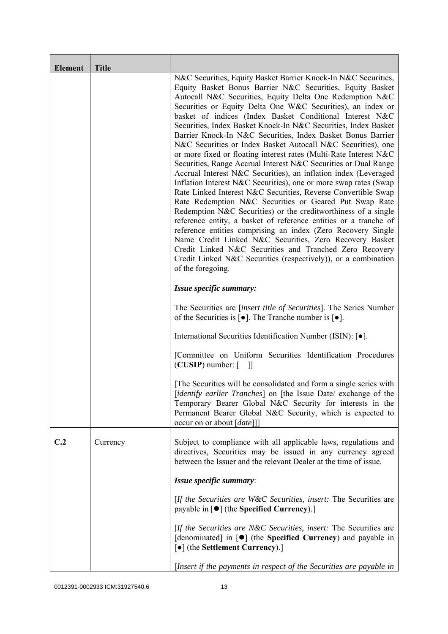| <b>Element</b> | <b>Title</b> |                                                                                                                                                                                                                                                                                                                                                                                                                                                                                                                                                                                                                                                                                                                                                                                                                                                                                                                                                                                                                                                                                                                                                                                                                                                                                                                                                  |
|----------------|--------------|--------------------------------------------------------------------------------------------------------------------------------------------------------------------------------------------------------------------------------------------------------------------------------------------------------------------------------------------------------------------------------------------------------------------------------------------------------------------------------------------------------------------------------------------------------------------------------------------------------------------------------------------------------------------------------------------------------------------------------------------------------------------------------------------------------------------------------------------------------------------------------------------------------------------------------------------------------------------------------------------------------------------------------------------------------------------------------------------------------------------------------------------------------------------------------------------------------------------------------------------------------------------------------------------------------------------------------------------------|
|                |              | N&C Securities, Equity Basket Barrier Knock-In N&C Securities,<br>Equity Basket Bonus Barrier N&C Securities, Equity Basket<br>Autocall N&C Securities, Equity Delta One Redemption N&C<br>Securities or Equity Delta One W&C Securities), an index or<br>basket of indices (Index Basket Conditional Interest N&C<br>Securities, Index Basket Knock-In N&C Securities, Index Basket<br>Barrier Knock-In N&C Securities, Index Basket Bonus Barrier<br>N&C Securities or Index Basket Autocall N&C Securities), one<br>or more fixed or floating interest rates (Multi-Rate Interest N&C<br>Securities, Range Accrual Interest N&C Securities or Dual Range<br>Accrual Interest N&C Securities), an inflation index (Leveraged<br>Inflation Interest N&C Securities), one or more swap rates (Swap<br>Rate Linked Interest N&C Securities, Reverse Convertible Swap<br>Rate Redemption N&C Securities or Geared Put Swap Rate<br>Redemption N&C Securities) or the creditworthiness of a single<br>reference entity, a basket of reference entities or a tranche of<br>reference entities comprising an index (Zero Recovery Single<br>Name Credit Linked N&C Securities, Zero Recovery Basket<br>Credit Linked N&C Securities and Tranched Zero Recovery<br>Credit Linked N&C Securities (respectively)), or a combination<br>of the foregoing. |
|                |              | Issue specific summary:                                                                                                                                                                                                                                                                                                                                                                                                                                                                                                                                                                                                                                                                                                                                                                                                                                                                                                                                                                                                                                                                                                                                                                                                                                                                                                                          |
|                |              | The Securities are <i>[insert title of Securities]</i> . The Series Number<br>of the Securities is $\lceil \bullet \rceil$ . The Tranche number is $\lceil \bullet \rceil$ .                                                                                                                                                                                                                                                                                                                                                                                                                                                                                                                                                                                                                                                                                                                                                                                                                                                                                                                                                                                                                                                                                                                                                                     |
|                |              | International Securities Identification Number (ISIN): [•].                                                                                                                                                                                                                                                                                                                                                                                                                                                                                                                                                                                                                                                                                                                                                                                                                                                                                                                                                                                                                                                                                                                                                                                                                                                                                      |
|                |              | [Committee on Uniform Securities Identification Procedures<br>$(CUSIP)$ number: $[$ ]]                                                                                                                                                                                                                                                                                                                                                                                                                                                                                                                                                                                                                                                                                                                                                                                                                                                                                                                                                                                                                                                                                                                                                                                                                                                           |
|                |              | The Securities will be consolidated and form a single series with<br>[identify earlier Tranches] on [the Issue Date/ exchange of the<br>Temporary Bearer Global N&C Security for interests in the<br>Permanent Bearer Global N&C Security, which is expected to<br>occur on or about [date]]]                                                                                                                                                                                                                                                                                                                                                                                                                                                                                                                                                                                                                                                                                                                                                                                                                                                                                                                                                                                                                                                    |
| C.2            | Currency     | Subject to compliance with all applicable laws, regulations and<br>directives, Securities may be issued in any currency agreed<br>between the Issuer and the relevant Dealer at the time of issue.                                                                                                                                                                                                                                                                                                                                                                                                                                                                                                                                                                                                                                                                                                                                                                                                                                                                                                                                                                                                                                                                                                                                               |
|                |              | Issue specific summary:                                                                                                                                                                                                                                                                                                                                                                                                                                                                                                                                                                                                                                                                                                                                                                                                                                                                                                                                                                                                                                                                                                                                                                                                                                                                                                                          |
|                |              | [If the Securities are W&C Securities, insert: The Securities are<br>payable in $\lceil \bullet \rceil$ (the Specified Currency).]                                                                                                                                                                                                                                                                                                                                                                                                                                                                                                                                                                                                                                                                                                                                                                                                                                                                                                                                                                                                                                                                                                                                                                                                               |
|                |              | [If the Securities are N&C Securities, insert: The Securities are<br>[denominated] in [ $\bullet$ ] (the Specified Currency) and payable in<br>[•] (the Settlement Currency).]                                                                                                                                                                                                                                                                                                                                                                                                                                                                                                                                                                                                                                                                                                                                                                                                                                                                                                                                                                                                                                                                                                                                                                   |
|                |              | [Insert if the payments in respect of the Securities are payable in                                                                                                                                                                                                                                                                                                                                                                                                                                                                                                                                                                                                                                                                                                                                                                                                                                                                                                                                                                                                                                                                                                                                                                                                                                                                              |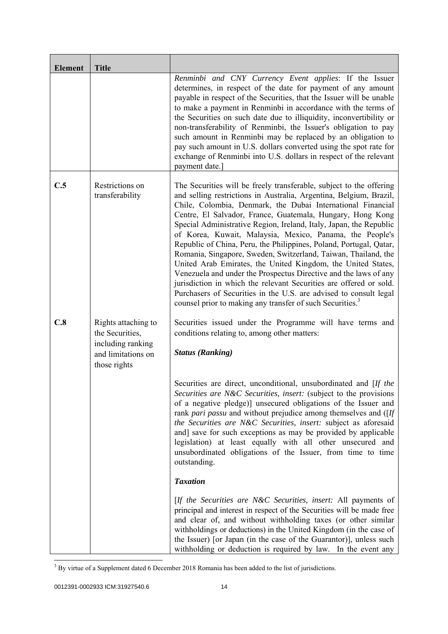| <b>Element</b> | <b>Title</b>                                                                                      |                                                                                                                                                                                                                                                                                                                                                                                                                                                                                                                                                                                                                                                                                                                                                                                                                                                                                                          |
|----------------|---------------------------------------------------------------------------------------------------|----------------------------------------------------------------------------------------------------------------------------------------------------------------------------------------------------------------------------------------------------------------------------------------------------------------------------------------------------------------------------------------------------------------------------------------------------------------------------------------------------------------------------------------------------------------------------------------------------------------------------------------------------------------------------------------------------------------------------------------------------------------------------------------------------------------------------------------------------------------------------------------------------------|
|                |                                                                                                   | Renminbi and CNY Currency Event applies: If the Issuer<br>determines, in respect of the date for payment of any amount<br>payable in respect of the Securities, that the Issuer will be unable<br>to make a payment in Renminbi in accordance with the terms of<br>the Securities on such date due to illiquidity, inconvertibility or<br>non-transferability of Renminbi, the Issuer's obligation to pay<br>such amount in Renminbi may be replaced by an obligation to<br>pay such amount in U.S. dollars converted using the spot rate for<br>exchange of Renminbi into U.S. dollars in respect of the relevant<br>payment date.]                                                                                                                                                                                                                                                                     |
| C.5            | Restrictions on<br>transferability                                                                | The Securities will be freely transferable, subject to the offering<br>and selling restrictions in Australia, Argentina, Belgium, Brazil,<br>Chile, Colombia, Denmark, the Dubai International Financial<br>Centre, El Salvador, France, Guatemala, Hungary, Hong Kong<br>Special Administrative Region, Ireland, Italy, Japan, the Republic<br>of Korea, Kuwait, Malaysia, Mexico, Panama, the People's<br>Republic of China, Peru, the Philippines, Poland, Portugal, Qatar,<br>Romania, Singapore, Sweden, Switzerland, Taiwan, Thailand, the<br>United Arab Emirates, the United Kingdom, the United States,<br>Venezuela and under the Prospectus Directive and the laws of any<br>jurisdiction in which the relevant Securities are offered or sold.<br>Purchasers of Securities in the U.S. are advised to consult legal<br>counsel prior to making any transfer of such Securities. <sup>3</sup> |
| C.8            | Rights attaching to<br>the Securities,<br>including ranking<br>and limitations on<br>those rights | Securities issued under the Programme will have terms and<br>conditions relating to, among other matters:<br><b>Status (Ranking)</b>                                                                                                                                                                                                                                                                                                                                                                                                                                                                                                                                                                                                                                                                                                                                                                     |
|                |                                                                                                   | Securities are direct, unconditional, unsubordinated and [If the<br>Securities are N&C Securities, insert: (subject to the provisions<br>of a negative pledge)] unsecured obligations of the Issuer and<br>rank pari passu and without prejudice among themselves and ([If<br>the Securities are N&C Securities, insert: subject as aforesaid<br>and] save for such exceptions as may be provided by applicable<br>legislation) at least equally with all other unsecured and<br>unsubordinated obligations of the Issuer, from time to time<br>outstanding.                                                                                                                                                                                                                                                                                                                                             |
|                |                                                                                                   | <b>Taxation</b>                                                                                                                                                                                                                                                                                                                                                                                                                                                                                                                                                                                                                                                                                                                                                                                                                                                                                          |
|                |                                                                                                   | [If the Securities are N&C Securities, insert: All payments of<br>principal and interest in respect of the Securities will be made free<br>and clear of, and without withholding taxes (or other similar<br>withholdings or deductions) in the United Kingdom (in the case of<br>the Issuer) [or Japan (in the case of the Guarantor)], unless such<br>withholding or deduction is required by law. In the event any                                                                                                                                                                                                                                                                                                                                                                                                                                                                                     |

<sup>&</sup>lt;sup>3</sup> By virtue of a Supplement dated 6 December 2018 Romania has been added to the list of jurisdictions.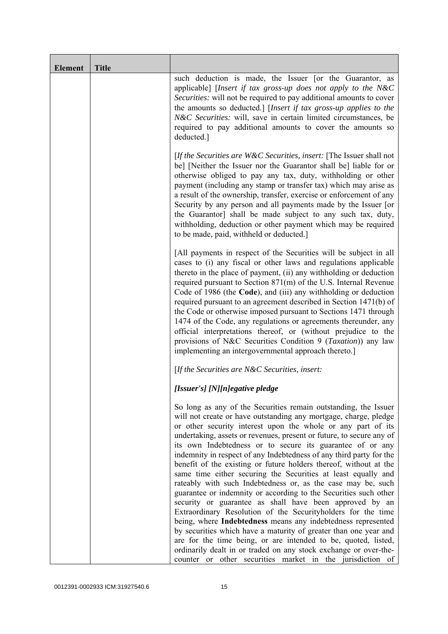| <b>Element</b> | <b>Title</b> |                                                                                                                                                                                                                                                                                                                                                                                                                                                                                                                                                                                                                                                                                                                                                                                                                                                                                                                                                                                                                                                                                                                                                             |
|----------------|--------------|-------------------------------------------------------------------------------------------------------------------------------------------------------------------------------------------------------------------------------------------------------------------------------------------------------------------------------------------------------------------------------------------------------------------------------------------------------------------------------------------------------------------------------------------------------------------------------------------------------------------------------------------------------------------------------------------------------------------------------------------------------------------------------------------------------------------------------------------------------------------------------------------------------------------------------------------------------------------------------------------------------------------------------------------------------------------------------------------------------------------------------------------------------------|
|                |              | such deduction is made, the Issuer [or the Guarantor, as<br>applicable] [Insert if tax gross-up does not apply to the N&C<br>Securities: will not be required to pay additional amounts to cover<br>the amounts so deducted.] [Insert if tax gross-up applies to the<br>N&C Securities: will, save in certain limited circumstances, be<br>required to pay additional amounts to cover the amounts so<br>deducted.]                                                                                                                                                                                                                                                                                                                                                                                                                                                                                                                                                                                                                                                                                                                                         |
|                |              | [If the Securities are $W\&C$ Securities, insert: [The Issuer shall not<br>be] [Neither the Issuer nor the Guarantor shall be] liable for or<br>otherwise obliged to pay any tax, duty, withholding or other<br>payment (including any stamp or transfer tax) which may arise as<br>a result of the ownership, transfer, exercise or enforcement of any<br>Security by any person and all payments made by the Issuer [or<br>the Guarantor] shall be made subject to any such tax, duty,<br>withholding, deduction or other payment which may be required<br>to be made, paid, withheld or deducted.]                                                                                                                                                                                                                                                                                                                                                                                                                                                                                                                                                       |
|                |              | [All payments in respect of the Securities will be subject in all<br>cases to (i) any fiscal or other laws and regulations applicable<br>thereto in the place of payment, (ii) any withholding or deduction<br>required pursuant to Section 871(m) of the U.S. Internal Revenue<br>Code of 1986 (the Code), and (iii) any withholding or deduction<br>required pursuant to an agreement described in Section 1471(b) of<br>the Code or otherwise imposed pursuant to Sections 1471 through<br>1474 of the Code, any regulations or agreements thereunder, any<br>official interpretations thereof, or (without prejudice to the<br>provisions of N&C Securities Condition 9 (Taxation)) any law<br>implementing an intergovernmental approach thereto.]                                                                                                                                                                                                                                                                                                                                                                                                     |
|                |              | [If the Securities are $N\&C$ Securities, insert:                                                                                                                                                                                                                                                                                                                                                                                                                                                                                                                                                                                                                                                                                                                                                                                                                                                                                                                                                                                                                                                                                                           |
|                |              | [Issuer's] [N][n]egative pledge                                                                                                                                                                                                                                                                                                                                                                                                                                                                                                                                                                                                                                                                                                                                                                                                                                                                                                                                                                                                                                                                                                                             |
|                |              | So long as any of the Securities remain outstanding, the Issuer<br>will not create or have outstanding any mortgage, charge, pledge<br>or other security interest upon the whole or any part of its<br>undertaking, assets or revenues, present or future, to secure any of<br>its own Indebtedness or to secure its guarantee of or any<br>indemnity in respect of any Indebtedness of any third party for the<br>benefit of the existing or future holders thereof, without at the<br>same time either securing the Securities at least equally and<br>rateably with such Indebtedness or, as the case may be, such<br>guarantee or indemnity or according to the Securities such other<br>security or guarantee as shall have been approved by an<br>Extraordinary Resolution of the Securityholders for the time<br>being, where Indebtedness means any indebtedness represented<br>by securities which have a maturity of greater than one year and<br>are for the time being, or are intended to be, quoted, listed,<br>ordinarily dealt in or traded on any stock exchange or over-the-<br>counter or other securities market in the jurisdiction of |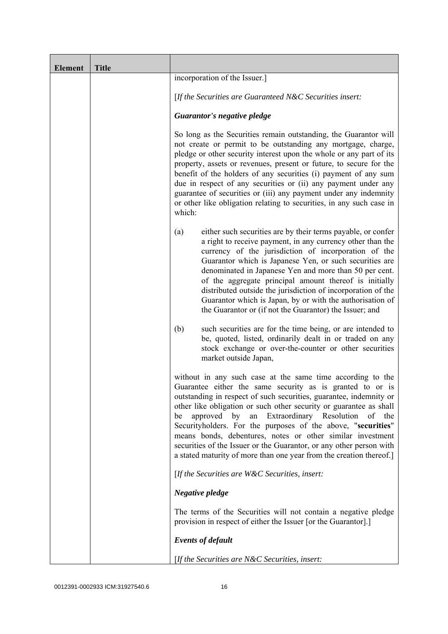| <b>Element</b> | <b>Title</b> |                                                                                                                                                                                                                                                                                                                                                                                                                                                                                                                                                                                                               |
|----------------|--------------|---------------------------------------------------------------------------------------------------------------------------------------------------------------------------------------------------------------------------------------------------------------------------------------------------------------------------------------------------------------------------------------------------------------------------------------------------------------------------------------------------------------------------------------------------------------------------------------------------------------|
|                |              | incorporation of the Issuer.]                                                                                                                                                                                                                                                                                                                                                                                                                                                                                                                                                                                 |
|                |              | [If the Securities are Guaranteed N&C Securities insert:                                                                                                                                                                                                                                                                                                                                                                                                                                                                                                                                                      |
|                |              | Guarantor's negative pledge                                                                                                                                                                                                                                                                                                                                                                                                                                                                                                                                                                                   |
|                |              | So long as the Securities remain outstanding, the Guarantor will<br>not create or permit to be outstanding any mortgage, charge,<br>pledge or other security interest upon the whole or any part of its<br>property, assets or revenues, present or future, to secure for the<br>benefit of the holders of any securities (i) payment of any sum<br>due in respect of any securities or (ii) any payment under any<br>guarantee of securities or (iii) any payment under any indemnity<br>or other like obligation relating to securities, in any such case in<br>which:                                      |
|                |              | either such securities are by their terms payable, or confer<br>(a)<br>a right to receive payment, in any currency other than the<br>currency of the jurisdiction of incorporation of the<br>Guarantor which is Japanese Yen, or such securities are<br>denominated in Japanese Yen and more than 50 per cent.<br>of the aggregate principal amount thereof is initially<br>distributed outside the jurisdiction of incorporation of the<br>Guarantor which is Japan, by or with the authorisation of<br>the Guarantor or (if not the Guarantor) the Issuer; and                                              |
|                |              | such securities are for the time being, or are intended to<br>(b)<br>be, quoted, listed, ordinarily dealt in or traded on any<br>stock exchange or over-the-counter or other securities<br>market outside Japan,                                                                                                                                                                                                                                                                                                                                                                                              |
|                |              | without in any such case at the same time according to the<br>Guarantee either the same security as is granted to or is<br>outstanding in respect of such securities, guarantee, indemnity or<br>other like obligation or such other security or guarantee as shall<br>an Extraordinary Resolution<br>approved by<br>of the<br>be<br>Securityholders. For the purposes of the above, "securities"<br>means bonds, debentures, notes or other similar investment<br>securities of the Issuer or the Guarantor, or any other person with<br>a stated maturity of more than one year from the creation thereof.] |
|                |              | [If the Securities are W&C Securities, insert:                                                                                                                                                                                                                                                                                                                                                                                                                                                                                                                                                                |
|                |              | Negative pledge                                                                                                                                                                                                                                                                                                                                                                                                                                                                                                                                                                                               |
|                |              | The terms of the Securities will not contain a negative pledge<br>provision in respect of either the Issuer [or the Guarantor].]                                                                                                                                                                                                                                                                                                                                                                                                                                                                              |
|                |              | <b>Events of default</b>                                                                                                                                                                                                                                                                                                                                                                                                                                                                                                                                                                                      |
|                |              | [If the Securities are $N\&C$ Securities, insert:                                                                                                                                                                                                                                                                                                                                                                                                                                                                                                                                                             |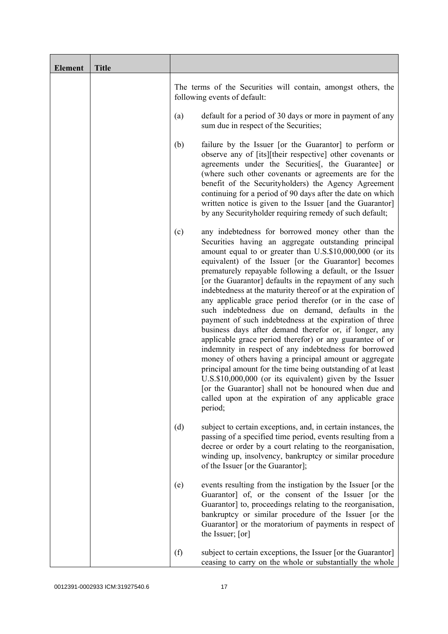| <b>Element</b> | <b>Title</b> |                                                                                                                                                                                                                                                                                                                                                                                                                                                                                                                                                                                                                                                                                                                                                                                                                                                                                                                                                                                                                                                                                                          |
|----------------|--------------|----------------------------------------------------------------------------------------------------------------------------------------------------------------------------------------------------------------------------------------------------------------------------------------------------------------------------------------------------------------------------------------------------------------------------------------------------------------------------------------------------------------------------------------------------------------------------------------------------------------------------------------------------------------------------------------------------------------------------------------------------------------------------------------------------------------------------------------------------------------------------------------------------------------------------------------------------------------------------------------------------------------------------------------------------------------------------------------------------------|
|                |              | The terms of the Securities will contain, amongst others, the<br>following events of default:                                                                                                                                                                                                                                                                                                                                                                                                                                                                                                                                                                                                                                                                                                                                                                                                                                                                                                                                                                                                            |
|                |              | default for a period of 30 days or more in payment of any<br>(a)<br>sum due in respect of the Securities;                                                                                                                                                                                                                                                                                                                                                                                                                                                                                                                                                                                                                                                                                                                                                                                                                                                                                                                                                                                                |
|                |              | failure by the Issuer [or the Guarantor] to perform or<br>(b)<br>observe any of [its][their respective] other covenants or<br>agreements under the Securities <sup>[1]</sup> , the Guarantee] or<br>(where such other covenants or agreements are for the<br>benefit of the Securityholders) the Agency Agreement<br>continuing for a period of 90 days after the date on which<br>written notice is given to the Issuer [and the Guarantor]<br>by any Securityholder requiring remedy of such default;                                                                                                                                                                                                                                                                                                                                                                                                                                                                                                                                                                                                  |
|                |              | any indebtedness for borrowed money other than the<br>(c)<br>Securities having an aggregate outstanding principal<br>amount equal to or greater than U.S.\$10,000,000 (or its<br>equivalent) of the Issuer [or the Guarantor] becomes<br>prematurely repayable following a default, or the Issuer<br>[or the Guarantor] defaults in the repayment of any such<br>indebtedness at the maturity thereof or at the expiration of<br>any applicable grace period therefor (or in the case of<br>such indebtedness due on demand, defaults in the<br>payment of such indebtedness at the expiration of three<br>business days after demand therefor or, if longer, any<br>applicable grace period therefor) or any guarantee of or<br>indemnity in respect of any indebtedness for borrowed<br>money of others having a principal amount or aggregate<br>principal amount for the time being outstanding of at least<br>U.S.\$10,000,000 (or its equivalent) given by the Issuer<br>[or the Guarantor] shall not be honoured when due and<br>called upon at the expiration of any applicable grace<br>period; |
|                |              | (d)<br>subject to certain exceptions, and, in certain instances, the<br>passing of a specified time period, events resulting from a<br>decree or order by a court relating to the reorganisation,<br>winding up, insolvency, bankruptcy or similar procedure<br>of the Issuer [or the Guarantor];                                                                                                                                                                                                                                                                                                                                                                                                                                                                                                                                                                                                                                                                                                                                                                                                        |
|                |              | events resulting from the instigation by the Issuer [or the<br>(e)<br>Guarantor] of, or the consent of the Issuer [or the<br>Guarantor] to, proceedings relating to the reorganisation,<br>bankruptcy or similar procedure of the Issuer [or the<br>Guarantor] or the moratorium of payments in respect of<br>the Issuer; [or]                                                                                                                                                                                                                                                                                                                                                                                                                                                                                                                                                                                                                                                                                                                                                                           |
|                |              | (f)<br>subject to certain exceptions, the Issuer [or the Guarantor]<br>ceasing to carry on the whole or substantially the whole                                                                                                                                                                                                                                                                                                                                                                                                                                                                                                                                                                                                                                                                                                                                                                                                                                                                                                                                                                          |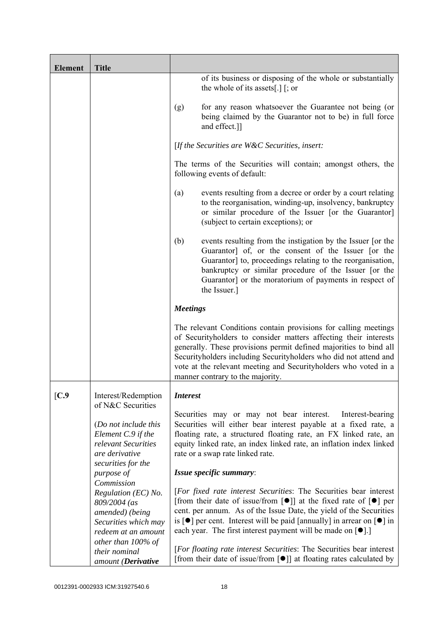| <b>Element</b> | <b>Title</b>                                                                                                                   |                                                                                                                                                                                                                                                                                                                                                                                                                                         |
|----------------|--------------------------------------------------------------------------------------------------------------------------------|-----------------------------------------------------------------------------------------------------------------------------------------------------------------------------------------------------------------------------------------------------------------------------------------------------------------------------------------------------------------------------------------------------------------------------------------|
|                |                                                                                                                                | of its business or disposing of the whole or substantially<br>the whole of its assets[.] $\lceil$ ; or                                                                                                                                                                                                                                                                                                                                  |
|                |                                                                                                                                | for any reason whatsoever the Guarantee not being (or<br>(g)<br>being claimed by the Guarantor not to be) in full force<br>and effect.]]                                                                                                                                                                                                                                                                                                |
|                |                                                                                                                                | [If the Securities are $W\&C$ Securities, insert:                                                                                                                                                                                                                                                                                                                                                                                       |
|                |                                                                                                                                | The terms of the Securities will contain; amongst others, the<br>following events of default:                                                                                                                                                                                                                                                                                                                                           |
|                |                                                                                                                                | events resulting from a decree or order by a court relating<br>(a)<br>to the reorganisation, winding-up, insolvency, bankruptcy<br>or similar procedure of the Issuer [or the Guarantor]<br>(subject to certain exceptions); or                                                                                                                                                                                                         |
|                |                                                                                                                                | (b)<br>events resulting from the instigation by the Issuer [or the<br>Guarantor] of, or the consent of the Issuer [or the<br>Guarantor] to, proceedings relating to the reorganisation,<br>bankruptcy or similar procedure of the Issuer [or the<br>Guarantor] or the moratorium of payments in respect of<br>the Issuer.]                                                                                                              |
|                |                                                                                                                                | <b>Meetings</b>                                                                                                                                                                                                                                                                                                                                                                                                                         |
|                |                                                                                                                                | The relevant Conditions contain provisions for calling meetings<br>of Securityholders to consider matters affecting their interests<br>generally. These provisions permit defined majorities to bind all<br>Securityholders including Securityholders who did not attend and<br>vote at the relevant meeting and Securityholders who voted in a<br>manner contrary to the majority.                                                     |
| [C.9           | Interest/Redemption                                                                                                            | <i>Interest</i>                                                                                                                                                                                                                                                                                                                                                                                                                         |
|                | of N&C Securities<br>(Do not include this<br>Element C.9 if the<br>relevant Securities<br>are derivative<br>securities for the | Securities may or may not bear interest.<br>Interest-bearing<br>Securities will either bear interest payable at a fixed rate, a<br>floating rate, a structured floating rate, an FX linked rate, an<br>equity linked rate, an index linked rate, an inflation index linked<br>rate or a swap rate linked rate.                                                                                                                          |
|                | purpose of<br>Commission                                                                                                       | Issue specific summary:                                                                                                                                                                                                                                                                                                                                                                                                                 |
|                | Regulation (EC) No.<br>809/2004 (as<br>amended) (being<br>Securities which may<br>redeem at an amount                          | [For fixed rate interest Securities: The Securities bear interest<br>[from their date of issue/from $\lceil \bullet \rceil$ ] at the fixed rate of $\lceil \bullet \rceil$ per<br>cent. per annum. As of the Issue Date, the yield of the Securities<br>is $\lceil \bullet \rceil$ per cent. Interest will be paid [annually] in arrear on $\lceil \bullet \rceil$ in<br>each year. The first interest payment will be made on $[•]$ .] |
|                | other than 100% of<br>their nominal<br>amount (Derivative                                                                      | [For floating rate interest Securities: The Securities bear interest<br>[from their date of issue/from $\lceil \bullet \rceil$ ] at floating rates calculated by                                                                                                                                                                                                                                                                        |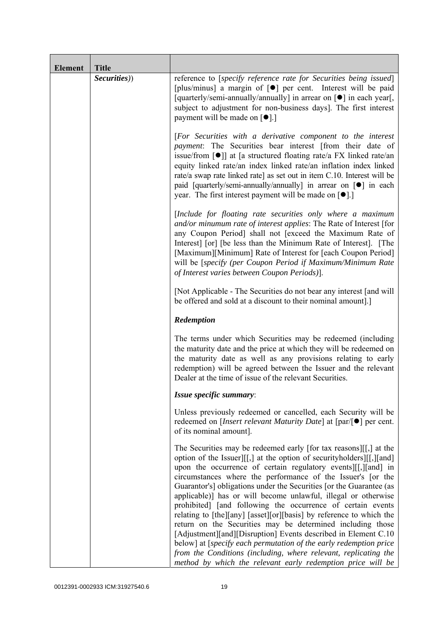| <b>Element</b> | <b>Title</b> |                                                                                                                                                                                                                                                                                                                                                                                                                                                                                                                                                                                                                                                                                                                                                                                                                                                                                                    |
|----------------|--------------|----------------------------------------------------------------------------------------------------------------------------------------------------------------------------------------------------------------------------------------------------------------------------------------------------------------------------------------------------------------------------------------------------------------------------------------------------------------------------------------------------------------------------------------------------------------------------------------------------------------------------------------------------------------------------------------------------------------------------------------------------------------------------------------------------------------------------------------------------------------------------------------------------|
|                | Securities)) | reference to [specify reference rate for Securities being issued]<br>[plus/minus] a margin of [ $\bullet$ ] per cent. Interest will be paid<br>[quarterly/semi-annually/annually] in arrear on [ $\bullet$ ] in each year[,<br>subject to adjustment for non-business days]. The first interest<br>payment will be made on $\lceil \bullet \rceil$ .]                                                                                                                                                                                                                                                                                                                                                                                                                                                                                                                                              |
|                |              | [For Securities with a derivative component to the interest<br>payment: The Securities bear interest [from their date of<br>issue/from $\lceil \bullet \rceil$ at [a structured floating rate/a FX linked rate/an<br>equity linked rate/an index linked rate/an inflation index linked<br>rate/a swap rate linked rate] as set out in item C.10. Interest will be<br>paid [quarterly/semi-annually/annually] in arrear on [ $\bullet$ ] in each<br>year. The first interest payment will be made on $[•]$ .                                                                                                                                                                                                                                                                                                                                                                                        |
|                |              | [Include for floating rate securities only where a maximum<br>and/or minumum rate of interest applies: The Rate of Interest [for<br>any Coupon Period] shall not [exceed the Maximum Rate of<br>Interest [or] [be less than the Minimum Rate of Interest]. [The<br>[Maximum][Minimum] Rate of Interest for [each Coupon Period]<br>will be [specify (per Coupon Period if Maximum/Minimum Rate<br>of Interest varies between Coupon Periods)].                                                                                                                                                                                                                                                                                                                                                                                                                                                     |
|                |              | [Not Applicable - The Securities do not bear any interest [and will]<br>be offered and sold at a discount to their nominal amount.]                                                                                                                                                                                                                                                                                                                                                                                                                                                                                                                                                                                                                                                                                                                                                                |
|                |              | Redemption                                                                                                                                                                                                                                                                                                                                                                                                                                                                                                                                                                                                                                                                                                                                                                                                                                                                                         |
|                |              | The terms under which Securities may be redeemed (including<br>the maturity date and the price at which they will be redeemed on<br>the maturity date as well as any provisions relating to early<br>redemption) will be agreed between the Issuer and the relevant<br>Dealer at the time of issue of the relevant Securities.                                                                                                                                                                                                                                                                                                                                                                                                                                                                                                                                                                     |
|                |              | Issue specific summary:                                                                                                                                                                                                                                                                                                                                                                                                                                                                                                                                                                                                                                                                                                                                                                                                                                                                            |
|                |              | Unless previously redeemed or cancelled, each Security will be<br>redeemed on [ <i>Insert relevant Maturity Date</i> ] at $\lceil \text{par}/\rceil \bullet \rceil$ per cent.<br>of its nominal amount].                                                                                                                                                                                                                                                                                                                                                                                                                                                                                                                                                                                                                                                                                           |
|                |              | The Securities may be redeemed early [for tax reasons][[,] at the<br>option of the Issuer][[,] at the option of security holders][[,][and]<br>upon the occurrence of certain regulatory events [[[, ][and] in<br>circumstances where the performance of the Issuer's [or the<br>Guarantor's] obligations under the Securities [or the Guarantee (as<br>applicable)] has or will become unlawful, illegal or otherwise<br>prohibited] [and following the occurrence of certain events<br>relating to [the][any] [asset][or][basis] by reference to which the<br>return on the Securities may be determined including those<br>[Adjustment][and][Disruption] Events described in Element C.10<br>below] at [specify each permutation of the early redemption price<br>from the Conditions (including, where relevant, replicating the<br>method by which the relevant early redemption price will be |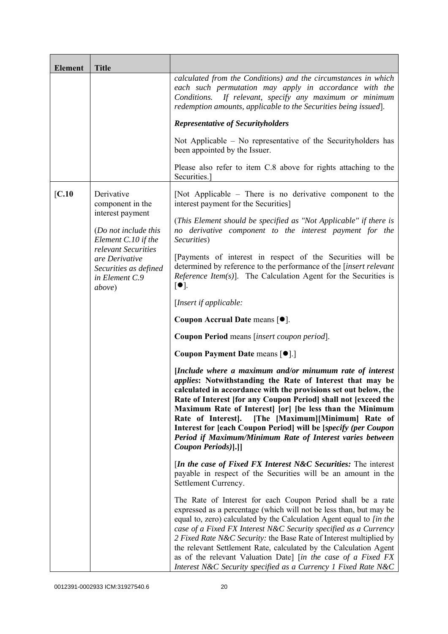| <b>Element</b> | <b>Title</b>                                                                               |                                                                                                                                                                                                                                                                                                                                                                                                                                                                                                                                                             |
|----------------|--------------------------------------------------------------------------------------------|-------------------------------------------------------------------------------------------------------------------------------------------------------------------------------------------------------------------------------------------------------------------------------------------------------------------------------------------------------------------------------------------------------------------------------------------------------------------------------------------------------------------------------------------------------------|
|                |                                                                                            | calculated from the Conditions) and the circumstances in which<br>each such permutation may apply in accordance with the<br>Conditions.<br>If relevant, specify any maximum or minimum<br>redemption amounts, applicable to the Securities being issued].                                                                                                                                                                                                                                                                                                   |
|                |                                                                                            | <b>Representative of Securityholders</b>                                                                                                                                                                                                                                                                                                                                                                                                                                                                                                                    |
|                |                                                                                            | Not Applicable – No representative of the Security holders has<br>been appointed by the Issuer.                                                                                                                                                                                                                                                                                                                                                                                                                                                             |
|                |                                                                                            | Please also refer to item C.8 above for rights attaching to the<br>Securities.]                                                                                                                                                                                                                                                                                                                                                                                                                                                                             |
| [C.10]         | Derivative<br>component in the                                                             | [Not Applicable – There is no derivative component to the<br>interest payment for the Securities]                                                                                                                                                                                                                                                                                                                                                                                                                                                           |
|                | interest payment<br>(Do not include this<br>Element C.10 if the                            | (This Element should be specified as "Not Applicable" if there is<br>no derivative component to the interest payment for the<br>Securities)                                                                                                                                                                                                                                                                                                                                                                                                                 |
|                | relevant Securities<br>are Derivative<br>Securities as defined<br>in Element C.9<br>above) | [Payments of interest in respect of the Securities will be<br>determined by reference to the performance of the [insert relevant<br><i>Reference Item(s)</i> ]. The Calculation Agent for the Securities is<br>$\lceil \bullet \rceil$ .                                                                                                                                                                                                                                                                                                                    |
|                |                                                                                            | [Insert if applicable:                                                                                                                                                                                                                                                                                                                                                                                                                                                                                                                                      |
|                |                                                                                            | Coupon Accrual Date means [ $\bullet$ ].                                                                                                                                                                                                                                                                                                                                                                                                                                                                                                                    |
|                |                                                                                            | Coupon Period means [insert coupon period].                                                                                                                                                                                                                                                                                                                                                                                                                                                                                                                 |
|                |                                                                                            | Coupon Payment Date means [ $\bullet$ ].]                                                                                                                                                                                                                                                                                                                                                                                                                                                                                                                   |
|                |                                                                                            | [Include where a maximum and/or minumum rate of interest<br><i>applies:</i> Notwithstanding the Rate of Interest that may be<br>calculated in accordance with the provisions set out below, the<br>Rate of Interest [for any Coupon Period] shall not [exceed the<br>Maximum Rate of Interest [or] [be less than the Minimum<br>Rate of Interest].<br>[The [Maximum][Minimum] Rate of<br>Interest for [each Coupon Period] will be [specify (per Coupon<br>Period if Maximum/Minimum Rate of Interest varies between<br>Coupon Periods)[.]]                 |
|                |                                                                                            | <i>In the case of Fixed FX Interest N&amp;C Securities:</i> The interest<br>payable in respect of the Securities will be an amount in the<br>Settlement Currency.                                                                                                                                                                                                                                                                                                                                                                                           |
|                |                                                                                            | The Rate of Interest for each Coupon Period shall be a rate<br>expressed as a percentage (which will not be less than, but may be<br>equal to, zero) calculated by the Calculation Agent equal to [in the<br>case of a Fixed FX Interest N&C Security specified as a Currency<br>2 Fixed Rate N&C Security: the Base Rate of Interest multiplied by<br>the relevant Settlement Rate, calculated by the Calculation Agent<br>as of the relevant Valuation Date] [in the case of a Fixed FX<br>Interest N&C Security specified as a Currency 1 Fixed Rate N&C |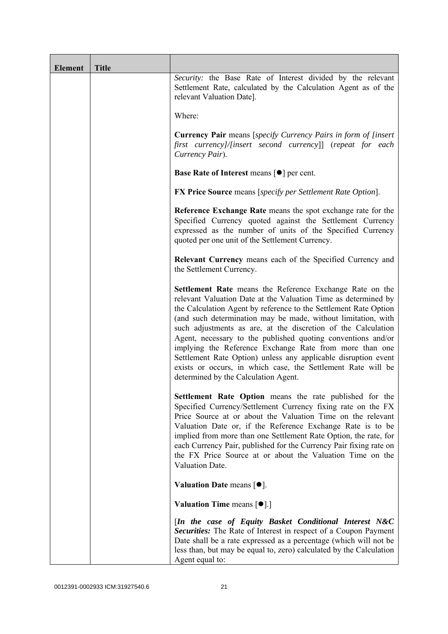| <b>Element</b> | <b>Title</b> |                                                                                                                                                                                                                                                                                                                                                                                                                                                                                                                                                                                                                                       |
|----------------|--------------|---------------------------------------------------------------------------------------------------------------------------------------------------------------------------------------------------------------------------------------------------------------------------------------------------------------------------------------------------------------------------------------------------------------------------------------------------------------------------------------------------------------------------------------------------------------------------------------------------------------------------------------|
|                |              | Security: the Base Rate of Interest divided by the relevant<br>Settlement Rate, calculated by the Calculation Agent as of the<br>relevant Valuation Date].                                                                                                                                                                                                                                                                                                                                                                                                                                                                            |
|                |              | Where:                                                                                                                                                                                                                                                                                                                                                                                                                                                                                                                                                                                                                                |
|                |              | <b>Currency Pair</b> means [specify Currency Pairs in form of [insert]<br>first currency]/[insert second currency]] (repeat for each<br>Currency Pair).                                                                                                                                                                                                                                                                                                                                                                                                                                                                               |
|                |              | <b>Base Rate of Interest means <math>\lceil \bullet \rceil</math> per cent.</b>                                                                                                                                                                                                                                                                                                                                                                                                                                                                                                                                                       |
|                |              | <b>FX Price Source</b> means [specify per Settlement Rate Option].                                                                                                                                                                                                                                                                                                                                                                                                                                                                                                                                                                    |
|                |              | Reference Exchange Rate means the spot exchange rate for the<br>Specified Currency quoted against the Settlement Currency<br>expressed as the number of units of the Specified Currency<br>quoted per one unit of the Settlement Currency.                                                                                                                                                                                                                                                                                                                                                                                            |
|                |              | Relevant Currency means each of the Specified Currency and<br>the Settlement Currency.                                                                                                                                                                                                                                                                                                                                                                                                                                                                                                                                                |
|                |              | Settlement Rate means the Reference Exchange Rate on the<br>relevant Valuation Date at the Valuation Time as determined by<br>the Calculation Agent by reference to the Settlement Rate Option<br>(and such determination may be made, without limitation, with<br>such adjustments as are, at the discretion of the Calculation<br>Agent, necessary to the published quoting conventions and/or<br>implying the Reference Exchange Rate from more than one<br>Settlement Rate Option) unless any applicable disruption event<br>exists or occurs, in which case, the Settlement Rate will be<br>determined by the Calculation Agent. |
|                |              | Settlement Rate Option means the rate published for the<br>Specified Currency/Settlement Currency fixing rate on the FX<br>Price Source at or about the Valuation Time on the relevant<br>Valuation Date or, if the Reference Exchange Rate is to be<br>implied from more than one Settlement Rate Option, the rate, for<br>each Currency Pair, published for the Currency Pair fixing rate on<br>the FX Price Source at or about the Valuation Time on the<br>Valuation Date.                                                                                                                                                        |
|                |              | Valuation Date means $[•]$ .                                                                                                                                                                                                                                                                                                                                                                                                                                                                                                                                                                                                          |
|                |              | <b>Valuation Time means <math>\lceil \bullet \rceil</math>.</b>                                                                                                                                                                                                                                                                                                                                                                                                                                                                                                                                                                       |
|                |              | [In the case of Equity Basket Conditional Interest N&C<br><b>Securities:</b> The Rate of Interest in respect of a Coupon Payment<br>Date shall be a rate expressed as a percentage (which will not be<br>less than, but may be equal to, zero) calculated by the Calculation<br>Agent equal to:                                                                                                                                                                                                                                                                                                                                       |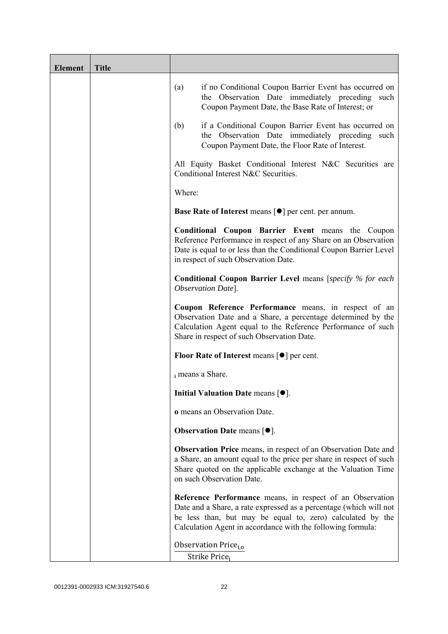| <b>Element</b> | <b>Title</b> |                                                                                                                                                                                                                                                              |
|----------------|--------------|--------------------------------------------------------------------------------------------------------------------------------------------------------------------------------------------------------------------------------------------------------------|
|                |              | if no Conditional Coupon Barrier Event has occurred on<br>(a)<br>the Observation Date immediately preceding such<br>Coupon Payment Date, the Base Rate of Interest; or                                                                                       |
|                |              | if a Conditional Coupon Barrier Event has occurred on<br>(b)<br>the Observation Date immediately preceding<br>such<br>Coupon Payment Date, the Floor Rate of Interest.                                                                                       |
|                |              | All Equity Basket Conditional Interest N&C Securities are<br>Conditional Interest N&C Securities.                                                                                                                                                            |
|                |              | Where:                                                                                                                                                                                                                                                       |
|                |              | Base Rate of Interest means [ $\bullet$ ] per cent. per annum.                                                                                                                                                                                               |
|                |              | <b>Conditional Coupon Barrier Event means the Coupon</b><br>Reference Performance in respect of any Share on an Observation<br>Date is equal to or less than the Conditional Coupon Barrier Level<br>in respect of such Observation Date.                    |
|                |              | <b>Conditional Coupon Barrier Level</b> means [specify % for each<br>Observation Date].                                                                                                                                                                      |
|                |              | Coupon Reference Performance means, in respect of an<br>Observation Date and a Share, a percentage determined by the<br>Calculation Agent equal to the Reference Performance of such<br>Share in respect of such Observation Date.                           |
|                |              | <b>Floor Rate of Interest means <math>\lceil \bullet \rceil</math> per cent.</b>                                                                                                                                                                             |
|                |              | i means a Share.                                                                                                                                                                                                                                             |
|                |              | Initial Valuation Date means [ $\bullet$ ].                                                                                                                                                                                                                  |
|                |              | o means an Observation Date.                                                                                                                                                                                                                                 |
|                |              | <b>Observation Date means <math>\lceil \bullet \rceil</math>.</b>                                                                                                                                                                                            |
|                |              | Observation Price means, in respect of an Observation Date and<br>a Share, an amount equal to the price per share in respect of such<br>Share quoted on the applicable exchange at the Valuation Time<br>on such Observation Date.                           |
|                |              | Reference Performance means, in respect of an Observation<br>Date and a Share, a rate expressed as a percentage (which will not<br>be less than, but may be equal to, zero) calculated by the<br>Calculation Agent in accordance with the following formula: |
|                |              | Observation Price <sub>i.o</sub>                                                                                                                                                                                                                             |
|                |              | Strike Price <sub>i</sub>                                                                                                                                                                                                                                    |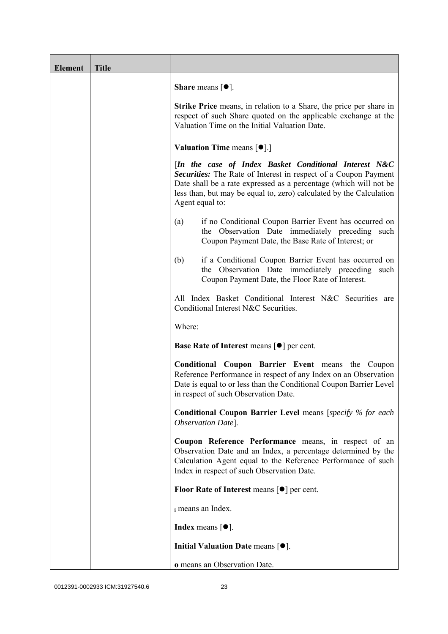| <b>Element</b> | <b>Title</b> |                                                                                                                                                                                                                                                                                         |
|----------------|--------------|-----------------------------------------------------------------------------------------------------------------------------------------------------------------------------------------------------------------------------------------------------------------------------------------|
|                |              | <b>Share</b> means $\lceil \bullet \rceil$ .                                                                                                                                                                                                                                            |
|                |              | <b>Strike Price</b> means, in relation to a Share, the price per share in<br>respect of such Share quoted on the applicable exchange at the<br>Valuation Time on the Initial Valuation Date.                                                                                            |
|                |              | Valuation Time means [ $\bullet$ ].]                                                                                                                                                                                                                                                    |
|                |              | [In the case of Index Basket Conditional Interest N&C<br>Securities: The Rate of Interest in respect of a Coupon Payment<br>Date shall be a rate expressed as a percentage (which will not be<br>less than, but may be equal to, zero) calculated by the Calculation<br>Agent equal to: |
|                |              | if no Conditional Coupon Barrier Event has occurred on<br>(a)<br>the Observation Date immediately preceding such<br>Coupon Payment Date, the Base Rate of Interest; or                                                                                                                  |
|                |              | if a Conditional Coupon Barrier Event has occurred on<br>(b)<br>the Observation Date immediately preceding such<br>Coupon Payment Date, the Floor Rate of Interest.                                                                                                                     |
|                |              | All Index Basket Conditional Interest N&C Securities are<br>Conditional Interest N&C Securities.                                                                                                                                                                                        |
|                |              | Where:                                                                                                                                                                                                                                                                                  |
|                |              | <b>Base Rate of Interest means <math>\lceil \bullet \rceil</math> per cent.</b>                                                                                                                                                                                                         |
|                |              | <b>Conditional Coupon Barrier Event means the Coupon</b><br>Reference Performance in respect of any Index on an Observation<br>Date is equal to or less than the Conditional Coupon Barrier Level<br>in respect of such Observation Date.                                               |
|                |              | <b>Conditional Coupon Barrier Level means [specify % for each</b><br>Observation Date].                                                                                                                                                                                                 |
|                |              | Coupon Reference Performance means, in respect of an<br>Observation Date and an Index, a percentage determined by the<br>Calculation Agent equal to the Reference Performance of such<br>Index in respect of such Observation Date.                                                     |
|                |              | <b>Floor Rate of Interest means <math>\lceil \bullet \rceil</math> per cent.</b>                                                                                                                                                                                                        |
|                |              | i means an Index.                                                                                                                                                                                                                                                                       |
|                |              | <b>Index</b> means $\lceil \bullet \rceil$ .                                                                                                                                                                                                                                            |
|                |              | Initial Valuation Date means $[•]$ .                                                                                                                                                                                                                                                    |
|                |              | o means an Observation Date.                                                                                                                                                                                                                                                            |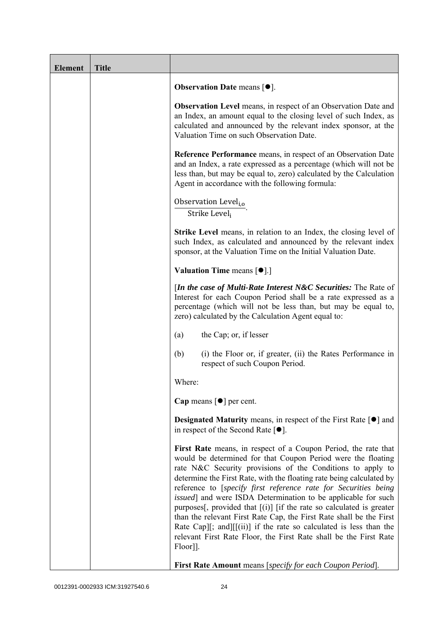| <b>Element</b> | <b>Title</b> |                                                                                                                                                                                                                                                                                                                                                                                                                                                                                                                                                                                                                                                                                                                             |
|----------------|--------------|-----------------------------------------------------------------------------------------------------------------------------------------------------------------------------------------------------------------------------------------------------------------------------------------------------------------------------------------------------------------------------------------------------------------------------------------------------------------------------------------------------------------------------------------------------------------------------------------------------------------------------------------------------------------------------------------------------------------------------|
|                |              | Observation Date means [ $\bullet$ ].                                                                                                                                                                                                                                                                                                                                                                                                                                                                                                                                                                                                                                                                                       |
|                |              | <b>Observation Level</b> means, in respect of an Observation Date and<br>an Index, an amount equal to the closing level of such Index, as<br>calculated and announced by the relevant index sponsor, at the<br>Valuation Time on such Observation Date.                                                                                                                                                                                                                                                                                                                                                                                                                                                                     |
|                |              | <b>Reference Performance</b> means, in respect of an Observation Date<br>and an Index, a rate expressed as a percentage (which will not be<br>less than, but may be equal to, zero) calculated by the Calculation<br>Agent in accordance with the following formula:                                                                                                                                                                                                                                                                                                                                                                                                                                                        |
|                |              | Observation Level <sub>i,o</sub><br>Strike Level <sub>i</sub>                                                                                                                                                                                                                                                                                                                                                                                                                                                                                                                                                                                                                                                               |
|                |              | <b>Strike Level</b> means, in relation to an Index, the closing level of<br>such Index, as calculated and announced by the relevant index<br>sponsor, at the Valuation Time on the Initial Valuation Date.                                                                                                                                                                                                                                                                                                                                                                                                                                                                                                                  |
|                |              | <b>Valuation Time means <math>\lceil \bullet \rceil</math>.</b>                                                                                                                                                                                                                                                                                                                                                                                                                                                                                                                                                                                                                                                             |
|                |              | [In the case of Multi-Rate Interest N&C Securities: The Rate of<br>Interest for each Coupon Period shall be a rate expressed as a<br>percentage (which will not be less than, but may be equal to,<br>zero) calculated by the Calculation Agent equal to:                                                                                                                                                                                                                                                                                                                                                                                                                                                                   |
|                |              | the Cap; or, if lesser<br>(a)                                                                                                                                                                                                                                                                                                                                                                                                                                                                                                                                                                                                                                                                                               |
|                |              | (b)<br>(i) the Floor or, if greater, (ii) the Rates Performance in<br>respect of such Coupon Period.                                                                                                                                                                                                                                                                                                                                                                                                                                                                                                                                                                                                                        |
|                |              | Where:                                                                                                                                                                                                                                                                                                                                                                                                                                                                                                                                                                                                                                                                                                                      |
|                |              | Cap means $\lceil \bullet \rceil$ per cent.                                                                                                                                                                                                                                                                                                                                                                                                                                                                                                                                                                                                                                                                                 |
|                |              | <b>Designated Maturity means, in respect of the First Rate <math>\lceil \bullet \rceil</math> and</b><br>in respect of the Second Rate $[•]$ .                                                                                                                                                                                                                                                                                                                                                                                                                                                                                                                                                                              |
|                |              | First Rate means, in respect of a Coupon Period, the rate that<br>would be determined for that Coupon Period were the floating<br>rate N&C Security provisions of the Conditions to apply to<br>determine the First Rate, with the floating rate being calculated by<br>reference to [specify first reference rate for Securities being<br><i>issued</i> ] and were ISDA Determination to be applicable for such<br>purposes[, provided that $[(i)]$ [if the rate so calculated is greater<br>than the relevant First Rate Cap, the First Rate shall be the First<br>Rate Cap][; and][ $[(ii)]$ if the rate so calculated is less than the<br>relevant First Rate Floor, the First Rate shall be the First Rate<br>Floor]]. |
|                |              | First Rate Amount means [specify for each Coupon Period].                                                                                                                                                                                                                                                                                                                                                                                                                                                                                                                                                                                                                                                                   |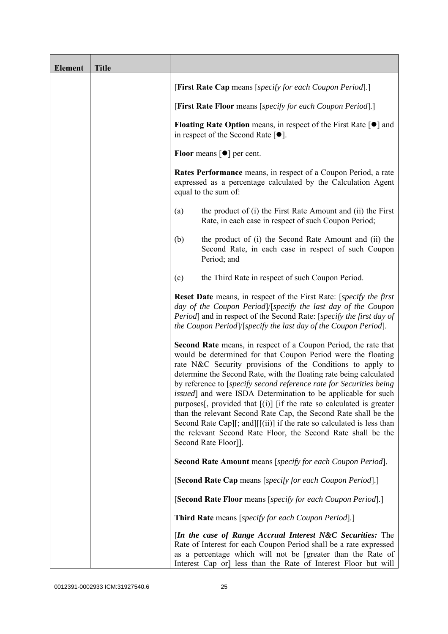| <b>Element</b> | <b>Title</b> |                                                                                                                                                                                                                                                                                                                                                                                                                                                                                                                                                                                                                                                                                                                           |
|----------------|--------------|---------------------------------------------------------------------------------------------------------------------------------------------------------------------------------------------------------------------------------------------------------------------------------------------------------------------------------------------------------------------------------------------------------------------------------------------------------------------------------------------------------------------------------------------------------------------------------------------------------------------------------------------------------------------------------------------------------------------------|
|                |              | [First Rate Cap means [specify for each Coupon Period].]                                                                                                                                                                                                                                                                                                                                                                                                                                                                                                                                                                                                                                                                  |
|                |              | [First Rate Floor means [specify for each Coupon Period].]                                                                                                                                                                                                                                                                                                                                                                                                                                                                                                                                                                                                                                                                |
|                |              | <b>Floating Rate Option</b> means, in respect of the First Rate $\lceil \bullet \rceil$ and<br>in respect of the Second Rate $[•]$ .                                                                                                                                                                                                                                                                                                                                                                                                                                                                                                                                                                                      |
|                |              | Floor means $\lceil \bullet \rceil$ per cent.                                                                                                                                                                                                                                                                                                                                                                                                                                                                                                                                                                                                                                                                             |
|                |              | <b>Rates Performance</b> means, in respect of a Coupon Period, a rate<br>expressed as a percentage calculated by the Calculation Agent<br>equal to the sum of:                                                                                                                                                                                                                                                                                                                                                                                                                                                                                                                                                            |
|                |              | the product of (i) the First Rate Amount and (ii) the First<br>(a)<br>Rate, in each case in respect of such Coupon Period;                                                                                                                                                                                                                                                                                                                                                                                                                                                                                                                                                                                                |
|                |              | the product of (i) the Second Rate Amount and (ii) the<br>(b)<br>Second Rate, in each case in respect of such Coupon<br>Period; and                                                                                                                                                                                                                                                                                                                                                                                                                                                                                                                                                                                       |
|                |              | the Third Rate in respect of such Coupon Period.<br>(c)                                                                                                                                                                                                                                                                                                                                                                                                                                                                                                                                                                                                                                                                   |
|                |              | Reset Date means, in respect of the First Rate: [specify the first<br>day of the Coupon Period /[specify the last day of the Coupon<br>Period] and in respect of the Second Rate: [specify the first day of<br>the Coupon Period /[specify the last day of the Coupon Period].                                                                                                                                                                                                                                                                                                                                                                                                                                            |
|                |              | Second Rate means, in respect of a Coupon Period, the rate that<br>would be determined for that Coupon Period were the floating<br>rate N&C Security provisions of the Conditions to apply to<br>determine the Second Rate, with the floating rate being calculated<br>by reference to [specify second reference rate for Securities being<br>issued] and were ISDA Determination to be applicable for such<br>purposes[, provided that $[(i)]$ [if the rate so calculated is greater<br>than the relevant Second Rate Cap, the Second Rate shall be the<br>Second Rate Cap][; and][[(ii)] if the rate so calculated is less than<br>the relevant Second Rate Floor, the Second Rate shall be the<br>Second Rate Floor]]. |
|                |              | <b>Second Rate Amount</b> means [specify for each Coupon Period].                                                                                                                                                                                                                                                                                                                                                                                                                                                                                                                                                                                                                                                         |
|                |              | [Second Rate Cap means [specify for each Coupon Period].]                                                                                                                                                                                                                                                                                                                                                                                                                                                                                                                                                                                                                                                                 |
|                |              | [Second Rate Floor means [specify for each Coupon Period].]                                                                                                                                                                                                                                                                                                                                                                                                                                                                                                                                                                                                                                                               |
|                |              | <b>Third Rate</b> means [specify for each Coupon Period].]                                                                                                                                                                                                                                                                                                                                                                                                                                                                                                                                                                                                                                                                |
|                |              | [In the case of Range Accrual Interest N&C Securities: The<br>Rate of Interest for each Coupon Period shall be a rate expressed<br>as a percentage which will not be [greater than the Rate of<br>Interest Cap or] less than the Rate of Interest Floor but will                                                                                                                                                                                                                                                                                                                                                                                                                                                          |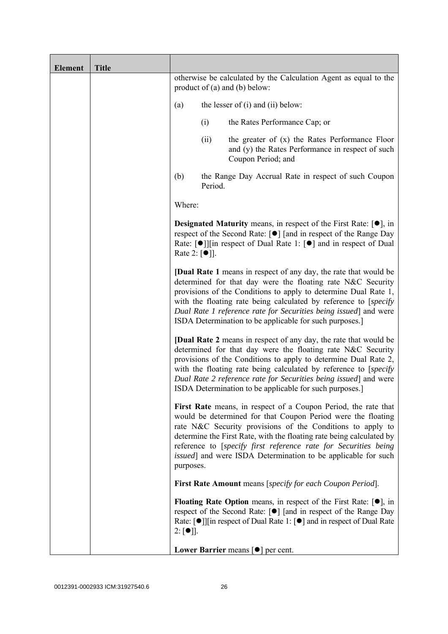| <b>Element</b> | <b>Title</b> |                                   |         |                                                                                                                                                                                                                                                                                                                                                                                                                  |
|----------------|--------------|-----------------------------------|---------|------------------------------------------------------------------------------------------------------------------------------------------------------------------------------------------------------------------------------------------------------------------------------------------------------------------------------------------------------------------------------------------------------------------|
|                |              |                                   |         | otherwise be calculated by the Calculation Agent as equal to the<br>product of $(a)$ and $(b)$ below:                                                                                                                                                                                                                                                                                                            |
|                |              | (a)                               |         | the lesser of $(i)$ and $(ii)$ below:                                                                                                                                                                                                                                                                                                                                                                            |
|                |              |                                   | (i)     | the Rates Performance Cap; or                                                                                                                                                                                                                                                                                                                                                                                    |
|                |              |                                   | (ii)    | the greater of $(x)$ the Rates Performance Floor<br>and (y) the Rates Performance in respect of such<br>Coupon Period; and                                                                                                                                                                                                                                                                                       |
|                |              | (b)                               | Period. | the Range Day Accrual Rate in respect of such Coupon                                                                                                                                                                                                                                                                                                                                                             |
|                |              | Where:                            |         |                                                                                                                                                                                                                                                                                                                                                                                                                  |
|                |              | Rate 2: $\lceil \bullet \rceil$ . |         | <b>Designated Maturity</b> means, in respect of the First Rate: $[•]$ , in<br>respect of the Second Rate: [●] [and in respect of the Range Day<br>Rate: $\lceil \bullet \rceil$   in respect of Dual Rate 1: $\lceil \bullet \rceil$ and in respect of Dual                                                                                                                                                      |
|                |              |                                   |         | <b>[Dual Rate 1</b> means in respect of any day, the rate that would be<br>determined for that day were the floating rate N&C Security<br>provisions of the Conditions to apply to determine Dual Rate 1,<br>with the floating rate being calculated by reference to [specify]<br>Dual Rate 1 reference rate for Securities being issued] and were<br>ISDA Determination to be applicable for such purposes.]    |
|                |              |                                   |         | <b>[Dual Rate 2</b> means in respect of any day, the rate that would be<br>determined for that day were the floating rate N&C Security<br>provisions of the Conditions to apply to determine Dual Rate 2,<br>with the floating rate being calculated by reference to [specify]<br>Dual Rate 2 reference rate for Securities being issued and were<br>ISDA Determination to be applicable for such purposes.]     |
|                |              | purposes.                         |         | First Rate means, in respect of a Coupon Period, the rate that<br>would be determined for that Coupon Period were the floating<br>rate N&C Security provisions of the Conditions to apply to<br>determine the First Rate, with the floating rate being calculated by<br>reference to [specify first reference rate for Securities being<br><i>issued</i> ] and were ISDA Determination to be applicable for such |
|                |              |                                   |         | <b>First Rate Amount</b> means [specify for each Coupon Period].                                                                                                                                                                                                                                                                                                                                                 |
|                |              | $2: [\bullet]$ .                  |         | <b>Floating Rate Option</b> means, in respect of the First Rate: $[•]$ , in<br>respect of the Second Rate: [●] [and in respect of the Range Day<br>Rate: $\lceil \bullet \rceil$   [in respect of Dual Rate 1: $\lceil \bullet \rceil$ and in respect of Dual Rate                                                                                                                                               |
|                |              |                                   |         | Lower Barrier means $\lceil \bullet \rceil$ per cent.                                                                                                                                                                                                                                                                                                                                                            |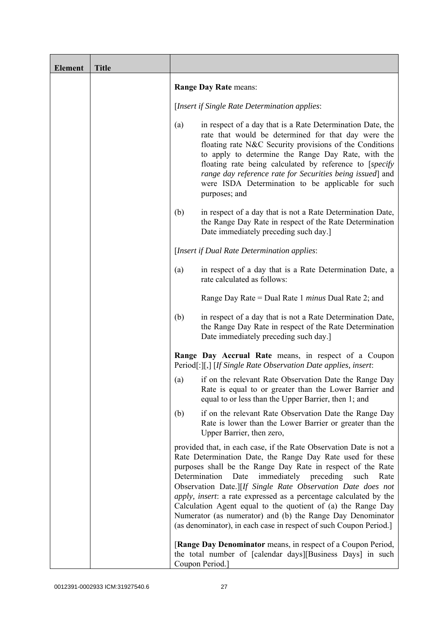| <b>Element</b> | <b>Title</b> |                                                                                                                                                                                                                                                                                                                                                                                                                                                                                                                                                                                                             |
|----------------|--------------|-------------------------------------------------------------------------------------------------------------------------------------------------------------------------------------------------------------------------------------------------------------------------------------------------------------------------------------------------------------------------------------------------------------------------------------------------------------------------------------------------------------------------------------------------------------------------------------------------------------|
|                |              | Range Day Rate means:                                                                                                                                                                                                                                                                                                                                                                                                                                                                                                                                                                                       |
|                |              | [Insert if Single Rate Determination applies:                                                                                                                                                                                                                                                                                                                                                                                                                                                                                                                                                               |
|                |              | in respect of a day that is a Rate Determination Date, the<br>(a)<br>rate that would be determined for that day were the<br>floating rate N&C Security provisions of the Conditions<br>to apply to determine the Range Day Rate, with the<br>floating rate being calculated by reference to [specify]<br>range day reference rate for Securities being issued] and<br>were ISDA Determination to be applicable for such<br>purposes; and                                                                                                                                                                    |
|                |              | in respect of a day that is not a Rate Determination Date,<br>(b)<br>the Range Day Rate in respect of the Rate Determination<br>Date immediately preceding such day.                                                                                                                                                                                                                                                                                                                                                                                                                                        |
|                |              | [Insert if Dual Rate Determination applies:                                                                                                                                                                                                                                                                                                                                                                                                                                                                                                                                                                 |
|                |              | in respect of a day that is a Rate Determination Date, a<br>(a)<br>rate calculated as follows:                                                                                                                                                                                                                                                                                                                                                                                                                                                                                                              |
|                |              | Range Day Rate = Dual Rate 1 <i>minus</i> Dual Rate 2; and                                                                                                                                                                                                                                                                                                                                                                                                                                                                                                                                                  |
|                |              | (b)<br>in respect of a day that is not a Rate Determination Date,<br>the Range Day Rate in respect of the Rate Determination<br>Date immediately preceding such day.                                                                                                                                                                                                                                                                                                                                                                                                                                        |
|                |              | Range Day Accrual Rate means, in respect of a Coupon<br>Period[:][,] [If Single Rate Observation Date applies, insert:                                                                                                                                                                                                                                                                                                                                                                                                                                                                                      |
|                |              | if on the relevant Rate Observation Date the Range Day<br>(a)<br>Rate is equal to or greater than the Lower Barrier and<br>equal to or less than the Upper Barrier, then 1; and                                                                                                                                                                                                                                                                                                                                                                                                                             |
|                |              | if on the relevant Rate Observation Date the Range Day<br>(b)<br>Rate is lower than the Lower Barrier or greater than the<br>Upper Barrier, then zero,                                                                                                                                                                                                                                                                                                                                                                                                                                                      |
|                |              | provided that, in each case, if the Rate Observation Date is not a<br>Rate Determination Date, the Range Day Rate used for these<br>purposes shall be the Range Day Rate in respect of the Rate<br>Determination<br>immediately<br>preceding<br>Date<br>such<br>Rate<br>Observation Date.][If Single Rate Observation Date does not<br>apply, insert: a rate expressed as a percentage calculated by the<br>Calculation Agent equal to the quotient of (a) the Range Day<br>Numerator (as numerator) and (b) the Range Day Denominator<br>(as denominator), in each case in respect of such Coupon Period.] |
|                |              | [Range Day Denominator means, in respect of a Coupon Period,<br>the total number of [calendar days][Business Days] in such<br>Coupon Period.]                                                                                                                                                                                                                                                                                                                                                                                                                                                               |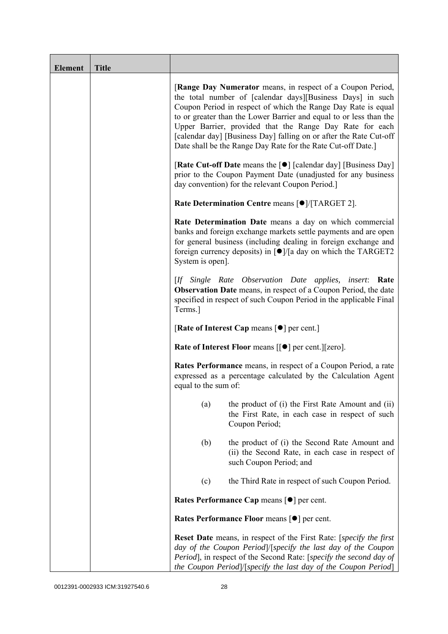| <b>Element</b> | <b>Title</b> |                                                                                                                                                                                                                                                                                                                                                                                                                                                                   |
|----------------|--------------|-------------------------------------------------------------------------------------------------------------------------------------------------------------------------------------------------------------------------------------------------------------------------------------------------------------------------------------------------------------------------------------------------------------------------------------------------------------------|
|                |              | [Range Day Numerator means, in respect of a Coupon Period,<br>the total number of [calendar days][Business Days] in such<br>Coupon Period in respect of which the Range Day Rate is equal<br>to or greater than the Lower Barrier and equal to or less than the<br>Upper Barrier, provided that the Range Day Rate for each<br>[calendar day] [Business Day] falling on or after the Rate Cut-off<br>Date shall be the Range Day Rate for the Rate Cut-off Date.] |
|                |              | [Rate Cut-off Date means the [●] [calendar day] [Business Day]<br>prior to the Coupon Payment Date (unadjusted for any business<br>day convention) for the relevant Coupon Period.]                                                                                                                                                                                                                                                                               |
|                |              | Rate Determination Centre means [ $\bullet$ ]/[TARGET 2].                                                                                                                                                                                                                                                                                                                                                                                                         |
|                |              | Rate Determination Date means a day on which commercial<br>banks and foreign exchange markets settle payments and are open<br>for general business (including dealing in foreign exchange and<br>foreign currency deposits) in $\lceil \bullet \rceil / \lceil a \rceil$ day on which the TARGET2<br>System is open].                                                                                                                                             |
|                |              | [If Single Rate Observation Date applies, insert: Rate<br><b>Observation Date</b> means, in respect of a Coupon Period, the date<br>specified in respect of such Coupon Period in the applicable Final<br>Terms.]                                                                                                                                                                                                                                                 |
|                |              | [Rate of Interest Cap means $\lceil \bullet \rceil$ per cent.]                                                                                                                                                                                                                                                                                                                                                                                                    |
|                |              | Rate of Interest Floor means [[ $\bullet$ ] per cent.][zero].                                                                                                                                                                                                                                                                                                                                                                                                     |
|                |              | Rates Performance means, in respect of a Coupon Period, a rate<br>expressed as a percentage calculated by the Calculation Agent<br>equal to the sum of:                                                                                                                                                                                                                                                                                                           |
|                |              | the product of (i) the First Rate Amount and (ii)<br>(a)<br>the First Rate, in each case in respect of such<br>Coupon Period;                                                                                                                                                                                                                                                                                                                                     |
|                |              | (b)<br>the product of (i) the Second Rate Amount and<br>(ii) the Second Rate, in each case in respect of<br>such Coupon Period; and                                                                                                                                                                                                                                                                                                                               |
|                |              | the Third Rate in respect of such Coupon Period.<br>(c)                                                                                                                                                                                                                                                                                                                                                                                                           |
|                |              | Rates Performance Cap means [ $\bullet$ ] per cent.                                                                                                                                                                                                                                                                                                                                                                                                               |
|                |              | Rates Performance Floor means [ $\bullet$ ] per cent.                                                                                                                                                                                                                                                                                                                                                                                                             |
|                |              | <b>Reset Date</b> means, in respect of the First Rate: [specify the first<br>day of the Coupon Period /[specify the last day of the Coupon<br>Period], in respect of the Second Rate: [specify the second day of<br>the Coupon Period]/[specify the last day of the Coupon Period]                                                                                                                                                                                |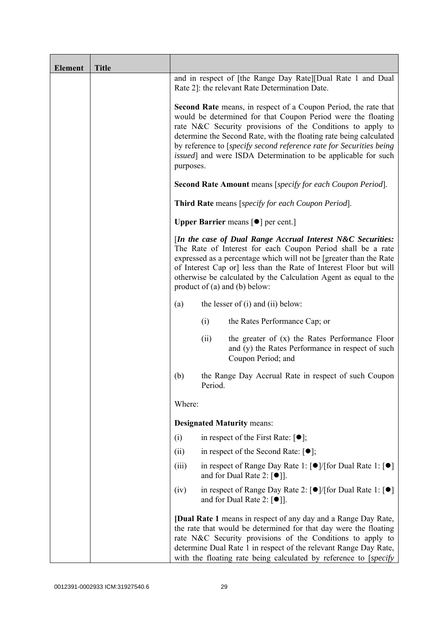| <b>Element</b> | <b>Title</b> |           |         |                                                                                                                                                                                                                                                                                                                                                                                                                     |
|----------------|--------------|-----------|---------|---------------------------------------------------------------------------------------------------------------------------------------------------------------------------------------------------------------------------------------------------------------------------------------------------------------------------------------------------------------------------------------------------------------------|
|                |              |           |         | and in respect of [the Range Day Rate][Dual Rate 1 and Dual<br>Rate 2]: the relevant Rate Determination Date.                                                                                                                                                                                                                                                                                                       |
|                |              | purposes. |         | <b>Second Rate</b> means, in respect of a Coupon Period, the rate that<br>would be determined for that Coupon Period were the floating<br>rate N&C Security provisions of the Conditions to apply to<br>determine the Second Rate, with the floating rate being calculated<br>by reference to [specify second reference rate for Securities being]<br>issued] and were ISDA Determination to be applicable for such |
|                |              |           |         | <b>Second Rate Amount</b> means [specify for each Coupon Period].                                                                                                                                                                                                                                                                                                                                                   |
|                |              |           |         | Third Rate means [specify for each Coupon Period].                                                                                                                                                                                                                                                                                                                                                                  |
|                |              |           |         | <b>Upper Barrier</b> means $\lceil \bullet \rceil$ per cent.]                                                                                                                                                                                                                                                                                                                                                       |
|                |              |           |         | [In the case of Dual Range Accrual Interest N&C Securities:<br>The Rate of Interest for each Coupon Period shall be a rate<br>expressed as a percentage which will not be [greater than the Rate<br>of Interest Cap or] less than the Rate of Interest Floor but will<br>otherwise be calculated by the Calculation Agent as equal to the<br>product of $(a)$ and $(b)$ below:                                      |
|                |              | (a)       |         | the lesser of $(i)$ and $(ii)$ below:                                                                                                                                                                                                                                                                                                                                                                               |
|                |              |           | (i)     | the Rates Performance Cap; or                                                                                                                                                                                                                                                                                                                                                                                       |
|                |              |           | (ii)    | the greater of $(x)$ the Rates Performance Floor<br>and (y) the Rates Performance in respect of such<br>Coupon Period; and                                                                                                                                                                                                                                                                                          |
|                |              | (b)       | Period. | the Range Day Accrual Rate in respect of such Coupon                                                                                                                                                                                                                                                                                                                                                                |
|                |              | Where:    |         |                                                                                                                                                                                                                                                                                                                                                                                                                     |
|                |              |           |         | <b>Designated Maturity means:</b>                                                                                                                                                                                                                                                                                                                                                                                   |
|                |              | (i)       |         | in respect of the First Rate: $[•]$ ;                                                                                                                                                                                                                                                                                                                                                                               |
|                |              | (ii)      |         | in respect of the Second Rate: $[•]$ ;                                                                                                                                                                                                                                                                                                                                                                              |
|                |              | (iii)     |         | in respect of Range Day Rate 1: $\lceil \bullet \rceil / \lceil \text{for Dual Rate 1} \rceil \lceil \bullet \rceil$<br>and for Dual Rate 2: $[•]$ ].                                                                                                                                                                                                                                                               |
|                |              | (iv)      |         | in respect of Range Day Rate 2: [●]/[for Dual Rate 1: [●]<br>and for Dual Rate 2: $[\bullet]$ ].                                                                                                                                                                                                                                                                                                                    |
|                |              |           |         | [Dual Rate 1 means in respect of any day and a Range Day Rate,<br>the rate that would be determined for that day were the floating<br>rate N&C Security provisions of the Conditions to apply to<br>determine Dual Rate 1 in respect of the relevant Range Day Rate,<br>with the floating rate being calculated by reference to [specify]                                                                           |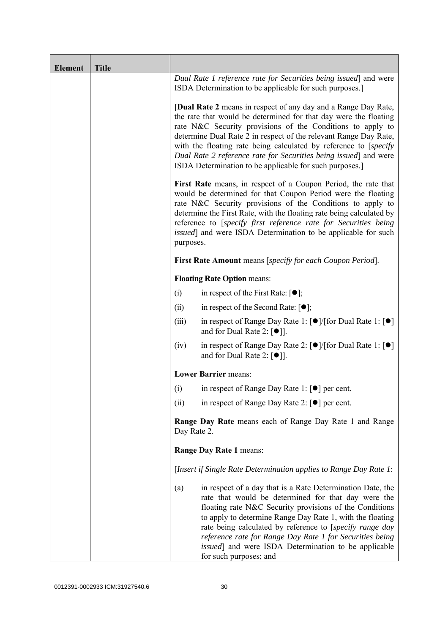| <b>Element</b> | <b>Title</b> |                                                                                                                                                                                                                                                                                                                                                                                                                                                                                |                                                                                                                                                                                                                                                                                                                                                                                                                                                             |
|----------------|--------------|--------------------------------------------------------------------------------------------------------------------------------------------------------------------------------------------------------------------------------------------------------------------------------------------------------------------------------------------------------------------------------------------------------------------------------------------------------------------------------|-------------------------------------------------------------------------------------------------------------------------------------------------------------------------------------------------------------------------------------------------------------------------------------------------------------------------------------------------------------------------------------------------------------------------------------------------------------|
|                |              |                                                                                                                                                                                                                                                                                                                                                                                                                                                                                | Dual Rate 1 reference rate for Securities being issued] and were<br>ISDA Determination to be applicable for such purposes.]                                                                                                                                                                                                                                                                                                                                 |
|                |              | <b>[Dual Rate 2</b> means in respect of any day and a Range Day Rate,<br>the rate that would be determined for that day were the floating<br>rate N&C Security provisions of the Conditions to apply to<br>determine Dual Rate 2 in respect of the relevant Range Day Rate,<br>with the floating rate being calculated by reference to [specify]<br>Dual Rate 2 reference rate for Securities being issued and were<br>ISDA Determination to be applicable for such purposes.] |                                                                                                                                                                                                                                                                                                                                                                                                                                                             |
|                |              | First Rate means, in respect of a Coupon Period, the rate that<br>would be determined for that Coupon Period were the floating<br>rate N&C Security provisions of the Conditions to apply to<br>determine the First Rate, with the floating rate being calculated by<br>reference to [specify first reference rate for Securities being<br><i>issued</i> ] and were ISDA Determination to be applicable for such<br>purposes.                                                  |                                                                                                                                                                                                                                                                                                                                                                                                                                                             |
|                |              |                                                                                                                                                                                                                                                                                                                                                                                                                                                                                | <b>First Rate Amount</b> means [specify for each Coupon Period].                                                                                                                                                                                                                                                                                                                                                                                            |
|                |              |                                                                                                                                                                                                                                                                                                                                                                                                                                                                                | <b>Floating Rate Option means:</b>                                                                                                                                                                                                                                                                                                                                                                                                                          |
|                |              | (i)                                                                                                                                                                                                                                                                                                                                                                                                                                                                            | in respect of the First Rate: $[•]$ ;                                                                                                                                                                                                                                                                                                                                                                                                                       |
|                |              | (ii)                                                                                                                                                                                                                                                                                                                                                                                                                                                                           | in respect of the Second Rate: $[•]$ ;                                                                                                                                                                                                                                                                                                                                                                                                                      |
|                |              | (iii)                                                                                                                                                                                                                                                                                                                                                                                                                                                                          | in respect of Range Day Rate 1: $\lceil \bullet \rceil / \lceil \text{for Dual Rate 1} \rceil \rceil$<br>and for Dual Rate 2: $\lceil \bullet \rceil$ .                                                                                                                                                                                                                                                                                                     |
|                |              | (iv)                                                                                                                                                                                                                                                                                                                                                                                                                                                                           | in respect of Range Day Rate 2: $\lceil \bullet \rceil / \lceil \text{for Dual Rate 1} \rceil \rceil$<br>and for Dual Rate 2: $[\bullet]$ ].                                                                                                                                                                                                                                                                                                                |
|                |              |                                                                                                                                                                                                                                                                                                                                                                                                                                                                                | <b>Lower Barrier means:</b>                                                                                                                                                                                                                                                                                                                                                                                                                                 |
|                |              | (i)                                                                                                                                                                                                                                                                                                                                                                                                                                                                            | in respect of Range Day Rate 1: $\lceil \bullet \rceil$ per cent.                                                                                                                                                                                                                                                                                                                                                                                           |
|                |              | (ii)                                                                                                                                                                                                                                                                                                                                                                                                                                                                           | in respect of Range Day Rate 2: $\lceil \bullet \rceil$ per cent.                                                                                                                                                                                                                                                                                                                                                                                           |
|                |              | <b>Range Day Rate</b> means each of Range Day Rate 1 and Range<br>Day Rate 2.                                                                                                                                                                                                                                                                                                                                                                                                  |                                                                                                                                                                                                                                                                                                                                                                                                                                                             |
|                |              | Range Day Rate 1 means:                                                                                                                                                                                                                                                                                                                                                                                                                                                        |                                                                                                                                                                                                                                                                                                                                                                                                                                                             |
|                |              |                                                                                                                                                                                                                                                                                                                                                                                                                                                                                | [Insert if Single Rate Determination applies to Range Day Rate 1:                                                                                                                                                                                                                                                                                                                                                                                           |
|                |              | (a)                                                                                                                                                                                                                                                                                                                                                                                                                                                                            | in respect of a day that is a Rate Determination Date, the<br>rate that would be determined for that day were the<br>floating rate N&C Security provisions of the Conditions<br>to apply to determine Range Day Rate 1, with the floating<br>rate being calculated by reference to [specify range day<br>reference rate for Range Day Rate 1 for Securities being<br><i>issued</i> ] and were ISDA Determination to be applicable<br>for such purposes; and |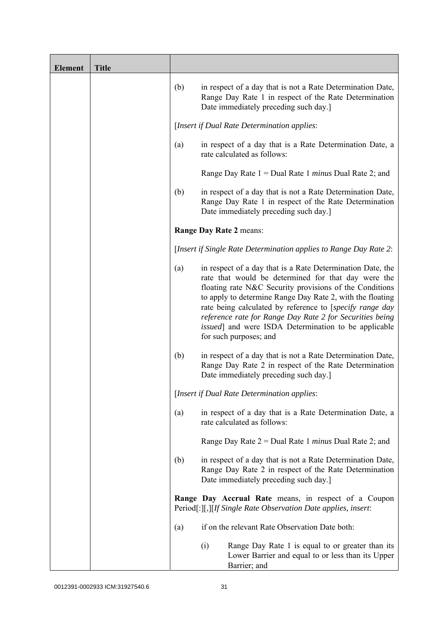| <b>Element</b> | <b>Title</b> |     |                                                                                                                                                                                                                                                                                                                                                                                                                                                             |
|----------------|--------------|-----|-------------------------------------------------------------------------------------------------------------------------------------------------------------------------------------------------------------------------------------------------------------------------------------------------------------------------------------------------------------------------------------------------------------------------------------------------------------|
|                |              | (b) | in respect of a day that is not a Rate Determination Date,<br>Range Day Rate 1 in respect of the Rate Determination<br>Date immediately preceding such day.]                                                                                                                                                                                                                                                                                                |
|                |              |     | [Insert if Dual Rate Determination applies:                                                                                                                                                                                                                                                                                                                                                                                                                 |
|                |              | (a) | in respect of a day that is a Rate Determination Date, a<br>rate calculated as follows:                                                                                                                                                                                                                                                                                                                                                                     |
|                |              |     | Range Day Rate $1 =$ Dual Rate 1 <i>minus</i> Dual Rate 2; and                                                                                                                                                                                                                                                                                                                                                                                              |
|                |              | (b) | in respect of a day that is not a Rate Determination Date,<br>Range Day Rate 1 in respect of the Rate Determination<br>Date immediately preceding such day.]                                                                                                                                                                                                                                                                                                |
|                |              |     | Range Day Rate 2 means:                                                                                                                                                                                                                                                                                                                                                                                                                                     |
|                |              |     | [Insert if Single Rate Determination applies to Range Day Rate 2:                                                                                                                                                                                                                                                                                                                                                                                           |
|                |              | (a) | in respect of a day that is a Rate Determination Date, the<br>rate that would be determined for that day were the<br>floating rate N&C Security provisions of the Conditions<br>to apply to determine Range Day Rate 2, with the floating<br>rate being calculated by reference to [specify range day<br>reference rate for Range Day Rate 2 for Securities being<br><i>issued</i> ] and were ISDA Determination to be applicable<br>for such purposes; and |
|                |              | (b) | in respect of a day that is not a Rate Determination Date,<br>Range Day Rate 2 in respect of the Rate Determination<br>Date immediately preceding such day.]                                                                                                                                                                                                                                                                                                |
|                |              |     | [Insert if Dual Rate Determination applies:                                                                                                                                                                                                                                                                                                                                                                                                                 |
|                |              | (a) | in respect of a day that is a Rate Determination Date, a<br>rate calculated as follows:                                                                                                                                                                                                                                                                                                                                                                     |
|                |              |     | Range Day Rate $2 =$ Dual Rate 1 <i>minus</i> Dual Rate 2; and                                                                                                                                                                                                                                                                                                                                                                                              |
|                |              | (b) | in respect of a day that is not a Rate Determination Date,<br>Range Day Rate 2 in respect of the Rate Determination<br>Date immediately preceding such day.]                                                                                                                                                                                                                                                                                                |
|                |              |     | Range Day Accrual Rate means, in respect of a Coupon<br>Period[:][,][If Single Rate Observation Date applies, insert:                                                                                                                                                                                                                                                                                                                                       |
|                |              | (a) | if on the relevant Rate Observation Date both:                                                                                                                                                                                                                                                                                                                                                                                                              |
|                |              |     | Range Day Rate 1 is equal to or greater than its<br>(i)<br>Lower Barrier and equal to or less than its Upper<br>Barrier; and                                                                                                                                                                                                                                                                                                                                |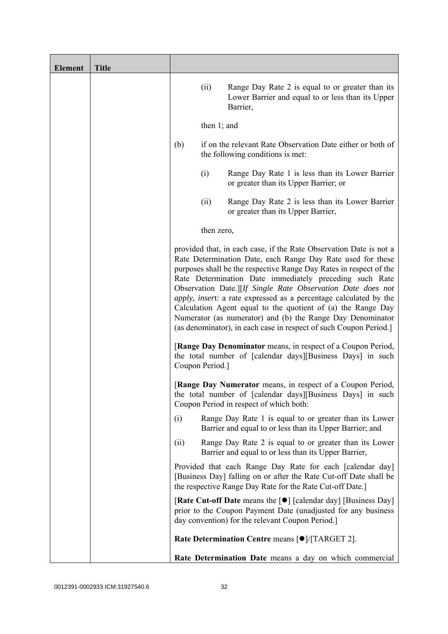| <b>Element</b> | <b>Title</b> |      |                 |                                                                                                                                                                                                                                                                                                                                                                                                                                                                                                                                                                                                           |
|----------------|--------------|------|-----------------|-----------------------------------------------------------------------------------------------------------------------------------------------------------------------------------------------------------------------------------------------------------------------------------------------------------------------------------------------------------------------------------------------------------------------------------------------------------------------------------------------------------------------------------------------------------------------------------------------------------|
|                |              |      | (ii)            | Range Day Rate 2 is equal to or greater than its<br>Lower Barrier and equal to or less than its Upper<br>Barrier,                                                                                                                                                                                                                                                                                                                                                                                                                                                                                         |
|                |              |      | then $1$ ; and  |                                                                                                                                                                                                                                                                                                                                                                                                                                                                                                                                                                                                           |
|                |              | (b)  |                 | if on the relevant Rate Observation Date either or both of<br>the following conditions is met:                                                                                                                                                                                                                                                                                                                                                                                                                                                                                                            |
|                |              |      | (i)             | Range Day Rate 1 is less than its Lower Barrier<br>or greater than its Upper Barrier; or                                                                                                                                                                                                                                                                                                                                                                                                                                                                                                                  |
|                |              |      | (ii)            | Range Day Rate 2 is less than its Lower Barrier<br>or greater than its Upper Barrier,                                                                                                                                                                                                                                                                                                                                                                                                                                                                                                                     |
|                |              |      | then zero,      |                                                                                                                                                                                                                                                                                                                                                                                                                                                                                                                                                                                                           |
|                |              |      |                 | provided that, in each case, if the Rate Observation Date is not a<br>Rate Determination Date, each Range Day Rate used for these<br>purposes shall be the respective Range Day Rates in respect of the<br>Rate Determination Date immediately preceding such Rate<br>Observation Date.][If Single Rate Observation Date does not<br>apply, insert: a rate expressed as a percentage calculated by the<br>Calculation Agent equal to the quotient of (a) the Range Day<br>Numerator (as numerator) and (b) the Range Day Denominator<br>(as denominator), in each case in respect of such Coupon Period.] |
|                |              |      | Coupon Period.] | [Range Day Denominator means, in respect of a Coupon Period,<br>the total number of [calendar days][Business Days] in such                                                                                                                                                                                                                                                                                                                                                                                                                                                                                |
|                |              |      |                 | [Range Day Numerator means, in respect of a Coupon Period,<br>the total number of [calendar days][Business Days] in such<br>Coupon Period in respect of which both:                                                                                                                                                                                                                                                                                                                                                                                                                                       |
|                |              | (i)  |                 | Range Day Rate 1 is equal to or greater than its Lower<br>Barrier and equal to or less than its Upper Barrier; and                                                                                                                                                                                                                                                                                                                                                                                                                                                                                        |
|                |              | (ii) |                 | Range Day Rate 2 is equal to or greater than its Lower<br>Barrier and equal to or less than its Upper Barrier,                                                                                                                                                                                                                                                                                                                                                                                                                                                                                            |
|                |              |      |                 | Provided that each Range Day Rate for each [calendar day]<br>[Business Day] falling on or after the Rate Cut-off Date shall be<br>the respective Range Day Rate for the Rate Cut-off Date.]                                                                                                                                                                                                                                                                                                                                                                                                               |
|                |              |      |                 | [Rate Cut-off Date means the [●] [calendar day] [Business Day]<br>prior to the Coupon Payment Date (unadjusted for any business<br>day convention) for the relevant Coupon Period.]                                                                                                                                                                                                                                                                                                                                                                                                                       |
|                |              |      |                 | Rate Determination Centre means [ $\bullet$ ]/[TARGET 2].                                                                                                                                                                                                                                                                                                                                                                                                                                                                                                                                                 |
|                |              |      |                 | Rate Determination Date means a day on which commercial                                                                                                                                                                                                                                                                                                                                                                                                                                                                                                                                                   |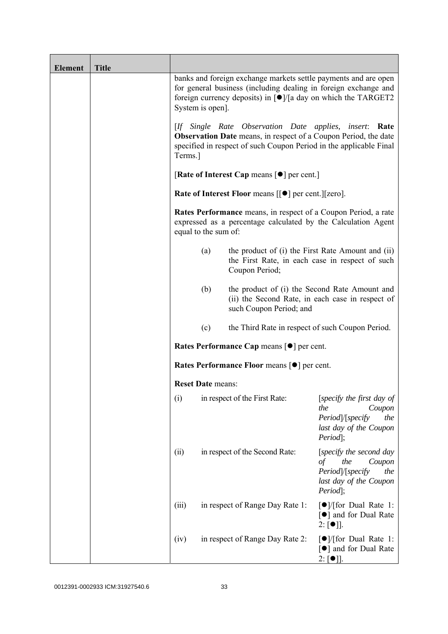| <b>Element</b> | <b>Title</b> |                          |                                                                                                                                                                                                                          |                                                                                                                         |
|----------------|--------------|--------------------------|--------------------------------------------------------------------------------------------------------------------------------------------------------------------------------------------------------------------------|-------------------------------------------------------------------------------------------------------------------------|
|                |              | System is open].         | banks and foreign exchange markets settle payments and are open<br>for general business (including dealing in foreign exchange and<br>foreign currency deposits) in $\lceil \bullet \rceil$ /[a day on which the TARGET2 |                                                                                                                         |
|                |              | Terms.]                  | [If Single Rate Observation Date applies, insert: Rate<br><b>Observation Date</b> means, in respect of a Coupon Period, the date<br>specified in respect of such Coupon Period in the applicable Final                   |                                                                                                                         |
|                |              |                          | [Rate of Interest Cap means $\lceil \bullet \rceil$ per cent.]                                                                                                                                                           |                                                                                                                         |
|                |              |                          | <b>Rate of Interest Floor means <math>\lceil \bullet \rceil</math> per cent. <math>\lceil \lceil \text{zero} \rceil</math>.</b>                                                                                          |                                                                                                                         |
|                |              | equal to the sum of:     | Rates Performance means, in respect of a Coupon Period, a rate<br>expressed as a percentage calculated by the Calculation Agent                                                                                          |                                                                                                                         |
|                |              | (a)                      | the product of (i) the First Rate Amount and (ii)<br>the First Rate, in each case in respect of such<br>Coupon Period;                                                                                                   |                                                                                                                         |
|                |              | (b)                      | the product of (i) the Second Rate Amount and<br>(ii) the Second Rate, in each case in respect of<br>such Coupon Period; and                                                                                             |                                                                                                                         |
|                |              | (c)                      | the Third Rate in respect of such Coupon Period.                                                                                                                                                                         |                                                                                                                         |
|                |              |                          | Rates Performance Cap means [ $\bullet$ ] per cent.                                                                                                                                                                      |                                                                                                                         |
|                |              |                          | <b>Rates Performance Floor means [●] per cent.</b>                                                                                                                                                                       |                                                                                                                         |
|                |              | <b>Reset Date means:</b> |                                                                                                                                                                                                                          |                                                                                                                         |
|                |              | (i)                      | in respect of the First Rate:                                                                                                                                                                                            | [specify the first day of<br>the<br>Coupon<br>Period /[specify<br>the<br>last day of the Coupon<br>Period];             |
|                |              | (ii)                     | in respect of the Second Rate:                                                                                                                                                                                           | [specify the second day<br>the<br>$\sigma f$<br>Coupon<br>Period /[specify<br>the<br>last day of the Coupon<br>Period]; |
|                |              | (iii)                    | in respect of Range Day Rate 1:                                                                                                                                                                                          | $\lceil \bullet \rceil$ / [for Dual Rate 1:<br>[●] and for Dual Rate<br>$2: [\bullet]$ .                                |
|                |              | (iv)                     | in respect of Range Day Rate 2:                                                                                                                                                                                          | $\lceil \bullet \rceil$ / [for Dual Rate 1:<br>[●] and for Dual Rate<br>$2: [\bullet]$ .                                |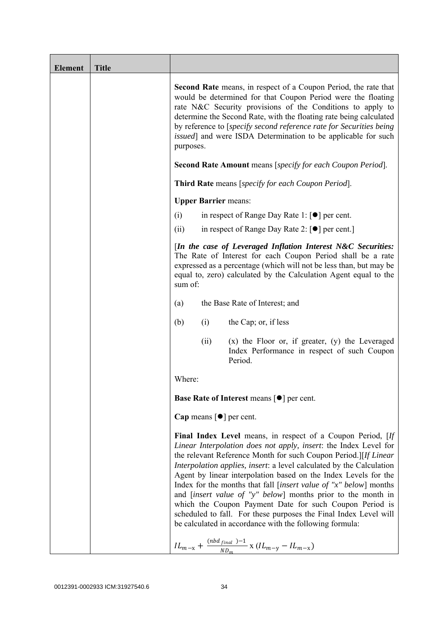| <b>Element</b> | <b>Title</b> |                                                                                                                                                                                                                                                                                                                                                                                                                                                                                                                                                                                                                                                                                                                                                                |
|----------------|--------------|----------------------------------------------------------------------------------------------------------------------------------------------------------------------------------------------------------------------------------------------------------------------------------------------------------------------------------------------------------------------------------------------------------------------------------------------------------------------------------------------------------------------------------------------------------------------------------------------------------------------------------------------------------------------------------------------------------------------------------------------------------------|
|                |              | <b>Second Rate</b> means, in respect of a Coupon Period, the rate that<br>would be determined for that Coupon Period were the floating<br>rate N&C Security provisions of the Conditions to apply to<br>determine the Second Rate, with the floating rate being calculated<br>by reference to [specify second reference rate for Securities being<br><i>issued</i> ] and were ISDA Determination to be applicable for such<br>purposes.<br><b>Second Rate Amount</b> means [specify for each Coupon Period].                                                                                                                                                                                                                                                   |
|                |              | <b>Third Rate</b> means [specify for each Coupon Period].                                                                                                                                                                                                                                                                                                                                                                                                                                                                                                                                                                                                                                                                                                      |
|                |              | <b>Upper Barrier means:</b>                                                                                                                                                                                                                                                                                                                                                                                                                                                                                                                                                                                                                                                                                                                                    |
|                |              | in respect of Range Day Rate 1: $\lceil \bullet \rceil$ per cent.<br>(i)                                                                                                                                                                                                                                                                                                                                                                                                                                                                                                                                                                                                                                                                                       |
|                |              | in respect of Range Day Rate 2: $\lceil \bullet \rceil$ per cent.<br>(ii)                                                                                                                                                                                                                                                                                                                                                                                                                                                                                                                                                                                                                                                                                      |
|                |              | [In the case of Leveraged Inflation Interest N&C Securities:<br>The Rate of Interest for each Coupon Period shall be a rate<br>expressed as a percentage (which will not be less than, but may be<br>equal to, zero) calculated by the Calculation Agent equal to the<br>sum of:                                                                                                                                                                                                                                                                                                                                                                                                                                                                               |
|                |              | the Base Rate of Interest; and<br>(a)                                                                                                                                                                                                                                                                                                                                                                                                                                                                                                                                                                                                                                                                                                                          |
|                |              | (b)<br>(i)<br>the Cap; or, if less                                                                                                                                                                                                                                                                                                                                                                                                                                                                                                                                                                                                                                                                                                                             |
|                |              | $(x)$ the Floor or, if greater, $(y)$ the Leveraged<br>(ii)<br>Index Performance in respect of such Coupon<br>Period.                                                                                                                                                                                                                                                                                                                                                                                                                                                                                                                                                                                                                                          |
|                |              | Where:                                                                                                                                                                                                                                                                                                                                                                                                                                                                                                                                                                                                                                                                                                                                                         |
|                |              | <b>Base Rate of Interest means <math>\lceil \bullet \rceil</math> per cent.</b>                                                                                                                                                                                                                                                                                                                                                                                                                                                                                                                                                                                                                                                                                |
|                |              | Cap means $\lceil \bullet \rceil$ per cent.                                                                                                                                                                                                                                                                                                                                                                                                                                                                                                                                                                                                                                                                                                                    |
|                |              | Final Index Level means, in respect of a Coupon Period, [If<br>Linear Interpolation does not apply, insert: the Index Level for<br>the relevant Reference Month for such Coupon Period.][If Linear<br>Interpolation applies, insert: a level calculated by the Calculation<br>Agent by linear interpolation based on the Index Levels for the<br>Index for the months that fall [insert value of " $x$ " below] months<br>and <i>[insert value of "y" below]</i> months prior to the month in<br>which the Coupon Payment Date for such Coupon Period is<br>scheduled to fall. For these purposes the Final Index Level will<br>be calculated in accordance with the following formula:<br>$IL_{m-x} + \frac{(nbd_{final})-1}{ND_m}$ x $(IL_{m-y} - IL_{m-x})$ |
|                |              |                                                                                                                                                                                                                                                                                                                                                                                                                                                                                                                                                                                                                                                                                                                                                                |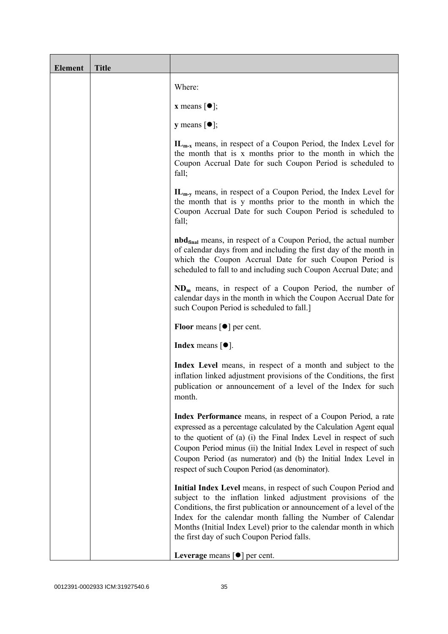| <b>Element</b> | <b>Title</b> |                                                                                                                                                                                                                                                                                                                                                                                                           |
|----------------|--------------|-----------------------------------------------------------------------------------------------------------------------------------------------------------------------------------------------------------------------------------------------------------------------------------------------------------------------------------------------------------------------------------------------------------|
|                |              | Where:                                                                                                                                                                                                                                                                                                                                                                                                    |
|                |              | <b>x</b> means $[\bullet]$ ;                                                                                                                                                                                                                                                                                                                                                                              |
|                |              | <b>y</b> means $[\bullet]$ ;                                                                                                                                                                                                                                                                                                                                                                              |
|                |              | $IL_{m-x}$ means, in respect of a Coupon Period, the Index Level for<br>the month that is x months prior to the month in which the<br>Coupon Accrual Date for such Coupon Period is scheduled to<br>fall;                                                                                                                                                                                                 |
|                |              | $IL_{m-v}$ means, in respect of a Coupon Period, the Index Level for<br>the month that is y months prior to the month in which the<br>Coupon Accrual Date for such Coupon Period is scheduled to<br>fall;                                                                                                                                                                                                 |
|                |              | <b>nbd</b> <sub>final</sub> means, in respect of a Coupon Period, the actual number<br>of calendar days from and including the first day of the month in<br>which the Coupon Accrual Date for such Coupon Period is<br>scheduled to fall to and including such Coupon Accrual Date; and                                                                                                                   |
|                |              | $NDm$ means, in respect of a Coupon Period, the number of<br>calendar days in the month in which the Coupon Accrual Date for<br>such Coupon Period is scheduled to fall.]                                                                                                                                                                                                                                 |
|                |              | <b>Floor</b> means $\lceil \bullet \rceil$ per cent.                                                                                                                                                                                                                                                                                                                                                      |
|                |              | <b>Index</b> means $\lceil \bullet \rceil$ .                                                                                                                                                                                                                                                                                                                                                              |
|                |              | Index Level means, in respect of a month and subject to the<br>inflation linked adjustment provisions of the Conditions, the first<br>publication or announcement of a level of the Index for such<br>month.                                                                                                                                                                                              |
|                |              | Index Performance means, in respect of a Coupon Period, a rate<br>expressed as a percentage calculated by the Calculation Agent equal<br>to the quotient of (a) (i) the Final Index Level in respect of such<br>Coupon Period minus (ii) the Initial Index Level in respect of such<br>Coupon Period (as numerator) and (b) the Initial Index Level in<br>respect of such Coupon Period (as denominator). |
|                |              | Initial Index Level means, in respect of such Coupon Period and<br>subject to the inflation linked adjustment provisions of the<br>Conditions, the first publication or announcement of a level of the<br>Index for the calendar month falling the Number of Calendar<br>Months (Initial Index Level) prior to the calendar month in which<br>the first day of such Coupon Period falls.                  |
|                |              | Leverage means $[\bullet]$ per cent.                                                                                                                                                                                                                                                                                                                                                                      |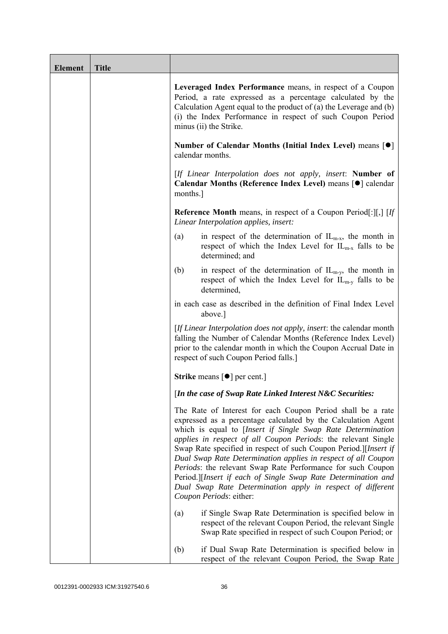| <b>Element</b> | <b>Title</b> |                                                                                                                                                                                                                                                                                                                                                                                                                                                                                                                                                                                                                            |
|----------------|--------------|----------------------------------------------------------------------------------------------------------------------------------------------------------------------------------------------------------------------------------------------------------------------------------------------------------------------------------------------------------------------------------------------------------------------------------------------------------------------------------------------------------------------------------------------------------------------------------------------------------------------------|
|                |              | Leveraged Index Performance means, in respect of a Coupon<br>Period, a rate expressed as a percentage calculated by the<br>Calculation Agent equal to the product of $(a)$ the Leverage and $(b)$<br>(i) the Index Performance in respect of such Coupon Period<br>minus (ii) the Strike.                                                                                                                                                                                                                                                                                                                                  |
|                |              | Number of Calendar Months (Initial Index Level) means [●]<br>calendar months.                                                                                                                                                                                                                                                                                                                                                                                                                                                                                                                                              |
|                |              | [If Linear Interpolation does not apply, insert: Number of<br>Calendar Months (Reference Index Level) means [ $\bullet$ ] calendar<br>months.                                                                                                                                                                                                                                                                                                                                                                                                                                                                              |
|                |              | <b>Reference Month</b> means, in respect of a Coupon Period[:][,] $[If]$<br>Linear Interpolation applies, insert:                                                                                                                                                                                                                                                                                                                                                                                                                                                                                                          |
|                |              | in respect of the determination of $IL_{m-x}$ , the month in<br>(a)<br>respect of which the Index Level for $IL_{m-x}$ falls to be<br>determined; and                                                                                                                                                                                                                                                                                                                                                                                                                                                                      |
|                |              | in respect of the determination of $IL_{m-y}$ , the month in<br>(b)<br>respect of which the Index Level for $IL_{m-v}$ falls to be<br>determined,                                                                                                                                                                                                                                                                                                                                                                                                                                                                          |
|                |              | in each case as described in the definition of Final Index Level<br>above.]                                                                                                                                                                                                                                                                                                                                                                                                                                                                                                                                                |
|                |              | [If Linear Interpolation does not apply, insert: the calendar month<br>falling the Number of Calendar Months (Reference Index Level)<br>prior to the calendar month in which the Coupon Accrual Date in<br>respect of such Coupon Period falls.]                                                                                                                                                                                                                                                                                                                                                                           |
|                |              | <b>Strike</b> means $\lceil \bullet \rceil$ per cent.]                                                                                                                                                                                                                                                                                                                                                                                                                                                                                                                                                                     |
|                |              | [In the case of Swap Rate Linked Interest N&C Securities:                                                                                                                                                                                                                                                                                                                                                                                                                                                                                                                                                                  |
|                |              | The Rate of Interest for each Coupon Period shall be a rate<br>expressed as a percentage calculated by the Calculation Agent<br>which is equal to [Insert if Single Swap Rate Determination<br>applies in respect of all Coupon Periods: the relevant Single<br>Swap Rate specified in respect of such Coupon Period.][Insert if<br>Dual Swap Rate Determination applies in respect of all Coupon<br>Periods: the relevant Swap Rate Performance for such Coupon<br>Period.][Insert if each of Single Swap Rate Determination and<br>Dual Swap Rate Determination apply in respect of different<br>Coupon Periods: either: |
|                |              | if Single Swap Rate Determination is specified below in<br>(a)<br>respect of the relevant Coupon Period, the relevant Single<br>Swap Rate specified in respect of such Coupon Period; or                                                                                                                                                                                                                                                                                                                                                                                                                                   |
|                |              | if Dual Swap Rate Determination is specified below in<br>(b)<br>respect of the relevant Coupon Period, the Swap Rate                                                                                                                                                                                                                                                                                                                                                                                                                                                                                                       |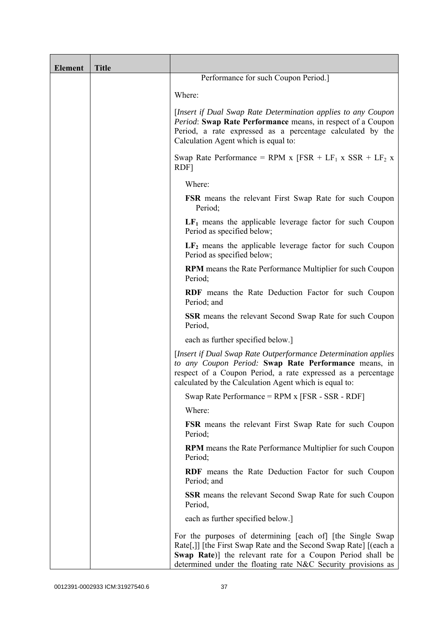| <b>Element</b> | <b>Title</b> |                                                                                                                                                                                                                                                               |
|----------------|--------------|---------------------------------------------------------------------------------------------------------------------------------------------------------------------------------------------------------------------------------------------------------------|
|                |              | Performance for such Coupon Period.]                                                                                                                                                                                                                          |
|                |              | Where:                                                                                                                                                                                                                                                        |
|                |              | [Insert if Dual Swap Rate Determination applies to any Coupon<br>Period: Swap Rate Performance means, in respect of a Coupon<br>Period, a rate expressed as a percentage calculated by the<br>Calculation Agent which is equal to:                            |
|                |              | Swap Rate Performance = RPM x $[FSR + LF_1 x SSR + LF_2 x]$<br>RDF]                                                                                                                                                                                           |
|                |              | Where:                                                                                                                                                                                                                                                        |
|                |              | <b>FSR</b> means the relevant First Swap Rate for such Coupon<br>Period;                                                                                                                                                                                      |
|                |              | $LF1$ means the applicable leverage factor for such Coupon<br>Period as specified below;                                                                                                                                                                      |
|                |              | $LF2$ means the applicable leverage factor for such Coupon<br>Period as specified below;                                                                                                                                                                      |
|                |              | <b>RPM</b> means the Rate Performance Multiplier for such Coupon<br>Period;                                                                                                                                                                                   |
|                |              | RDF means the Rate Deduction Factor for such Coupon<br>Period; and                                                                                                                                                                                            |
|                |              | <b>SSR</b> means the relevant Second Swap Rate for such Coupon<br>Period,                                                                                                                                                                                     |
|                |              | each as further specified below.]                                                                                                                                                                                                                             |
|                |              | [Insert if Dual Swap Rate Outperformance Determination applies]<br>to any Coupon Period: Swap Rate Performance means, in<br>respect of a Coupon Period, a rate expressed as a percentage<br>calculated by the Calculation Agent which is equal to:            |
|                |              | Swap Rate Performance = RPM x [FSR - SSR - RDF]                                                                                                                                                                                                               |
|                |              | Where:                                                                                                                                                                                                                                                        |
|                |              | <b>FSR</b> means the relevant First Swap Rate for such Coupon<br>Period;                                                                                                                                                                                      |
|                |              | RPM means the Rate Performance Multiplier for such Coupon<br>Period;                                                                                                                                                                                          |
|                |              | RDF means the Rate Deduction Factor for such Coupon<br>Period; and                                                                                                                                                                                            |
|                |              | <b>SSR</b> means the relevant Second Swap Rate for such Coupon<br>Period,                                                                                                                                                                                     |
|                |              | each as further specified below.]                                                                                                                                                                                                                             |
|                |              | For the purposes of determining [each of] [the Single Swap<br>Rate[,]] [the First Swap Rate and the Second Swap Rate] [(each a<br>Swap Rate)] the relevant rate for a Coupon Period shall be<br>determined under the floating rate N&C Security provisions as |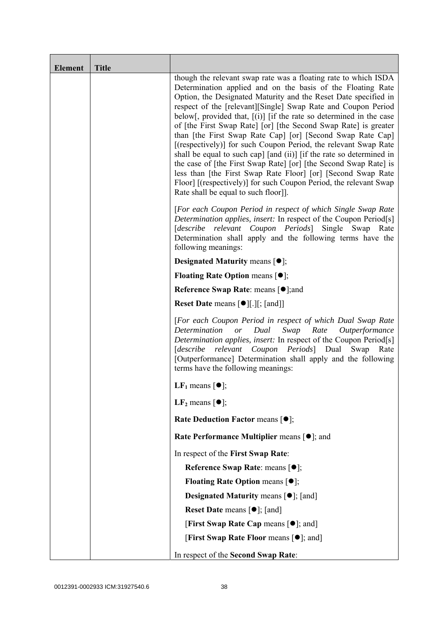| <b>Element</b> | <b>Title</b> |                                                                                                                                                                                                                                                                                                                                                                                                                                                                                                                                                                                                                                                                                                                                                                                                                                                                          |
|----------------|--------------|--------------------------------------------------------------------------------------------------------------------------------------------------------------------------------------------------------------------------------------------------------------------------------------------------------------------------------------------------------------------------------------------------------------------------------------------------------------------------------------------------------------------------------------------------------------------------------------------------------------------------------------------------------------------------------------------------------------------------------------------------------------------------------------------------------------------------------------------------------------------------|
|                |              | though the relevant swap rate was a floating rate to which ISDA<br>Determination applied and on the basis of the Floating Rate<br>Option, the Designated Maturity and the Reset Date specified in<br>respect of the [relevant][Single] Swap Rate and Coupon Period<br>below[, provided that, $[(i)]$ [if the rate so determined in the case<br>of [the First Swap Rate] [or] [the Second Swap Rate] is greater<br>than [the First Swap Rate Cap] [or] [Second Swap Rate Cap]<br>[(respectively)] for such Coupon Period, the relevant Swap Rate<br>shall be equal to such cap] [and (ii)] [if the rate so determined in<br>the case of [the First Swap Rate] [or] [the Second Swap Rate] is<br>less than [the First Swap Rate Floor] [or] [Second Swap Rate<br>Floor] [(respectively)] for such Coupon Period, the relevant Swap<br>Rate shall be equal to such floor]]. |
|                |              | [For each Coupon Period in respect of which Single Swap Rate<br>Determination applies, insert: In respect of the Coupon Period[s]<br>relevant<br>Coupon Periods Single<br>[describe<br>Swap<br>Rate<br>Determination shall apply and the following terms have the<br>following meanings:                                                                                                                                                                                                                                                                                                                                                                                                                                                                                                                                                                                 |
|                |              | <b>Designated Maturity means <math>\lceil \bullet \rceil</math>;</b>                                                                                                                                                                                                                                                                                                                                                                                                                                                                                                                                                                                                                                                                                                                                                                                                     |
|                |              | <b>Floating Rate Option means <math>[•]</math>;</b>                                                                                                                                                                                                                                                                                                                                                                                                                                                                                                                                                                                                                                                                                                                                                                                                                      |
|                |              | <b>Reference Swap Rate: means [●];and</b>                                                                                                                                                                                                                                                                                                                                                                                                                                                                                                                                                                                                                                                                                                                                                                                                                                |
|                |              | <b>Reset Date means <math>[\bullet]</math>[.][; [and]]</b>                                                                                                                                                                                                                                                                                                                                                                                                                                                                                                                                                                                                                                                                                                                                                                                                               |
|                |              | [For each Coupon Period in respect of which Dual Swap Rate<br>Determination or<br>Dual<br>Swap<br>Rate Outperformance<br>Determination applies, insert: In respect of the Coupon Period[s]<br>[describe relevant Coupon Periods] Dual Swap<br>Rate<br>[Outperformance] Determination shall apply and the following<br>terms have the following meanings:                                                                                                                                                                                                                                                                                                                                                                                                                                                                                                                 |
|                |              | LF <sub>1</sub> means $\lceil \bullet \rceil$ ;                                                                                                                                                                                                                                                                                                                                                                                                                                                                                                                                                                                                                                                                                                                                                                                                                          |
|                |              | LF <sub>2</sub> means $\lceil \bullet \rceil$ ;                                                                                                                                                                                                                                                                                                                                                                                                                                                                                                                                                                                                                                                                                                                                                                                                                          |
|                |              | Rate Deduction Factor means [ $\bullet$ ];                                                                                                                                                                                                                                                                                                                                                                                                                                                                                                                                                                                                                                                                                                                                                                                                                               |
|                |              | Rate Performance Multiplier means $[•]$ ; and                                                                                                                                                                                                                                                                                                                                                                                                                                                                                                                                                                                                                                                                                                                                                                                                                            |
|                |              | In respect of the First Swap Rate:                                                                                                                                                                                                                                                                                                                                                                                                                                                                                                                                                                                                                                                                                                                                                                                                                                       |
|                |              | Reference Swap Rate: means [ $\bullet$ ];                                                                                                                                                                                                                                                                                                                                                                                                                                                                                                                                                                                                                                                                                                                                                                                                                                |
|                |              | <b>Floating Rate Option means <math>[①]</math>;</b>                                                                                                                                                                                                                                                                                                                                                                                                                                                                                                                                                                                                                                                                                                                                                                                                                      |
|                |              | <b>Designated Maturity means <math>\lceil \bullet \rceil</math>; [and]</b>                                                                                                                                                                                                                                                                                                                                                                                                                                                                                                                                                                                                                                                                                                                                                                                               |
|                |              | <b>Reset Date</b> means $[\bullet]$ ; [and]                                                                                                                                                                                                                                                                                                                                                                                                                                                                                                                                                                                                                                                                                                                                                                                                                              |
|                |              | [First Swap Rate Cap means [ $\bullet$ ]; and]                                                                                                                                                                                                                                                                                                                                                                                                                                                                                                                                                                                                                                                                                                                                                                                                                           |
|                |              | [First Swap Rate Floor means [ <sup>o</sup> ]; and]                                                                                                                                                                                                                                                                                                                                                                                                                                                                                                                                                                                                                                                                                                                                                                                                                      |
|                |              | In respect of the Second Swap Rate:                                                                                                                                                                                                                                                                                                                                                                                                                                                                                                                                                                                                                                                                                                                                                                                                                                      |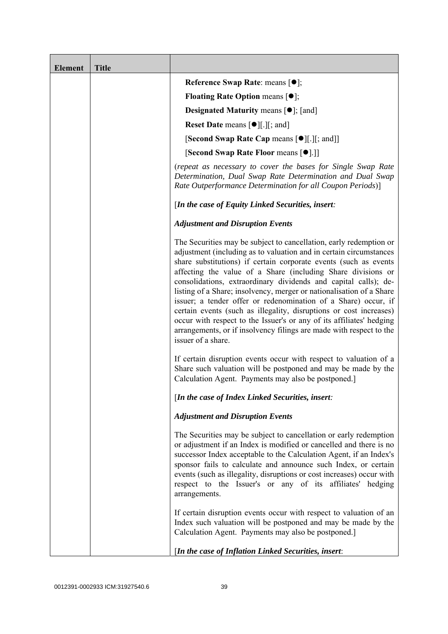| <b>Element</b> | <b>Title</b> |                                                                                                                                                                                                                                                                                                                                                                                                                                                                                                                                                                                                                                                                                                                                      |
|----------------|--------------|--------------------------------------------------------------------------------------------------------------------------------------------------------------------------------------------------------------------------------------------------------------------------------------------------------------------------------------------------------------------------------------------------------------------------------------------------------------------------------------------------------------------------------------------------------------------------------------------------------------------------------------------------------------------------------------------------------------------------------------|
|                |              | Reference Swap Rate: means [ $\bullet$ ];                                                                                                                                                                                                                                                                                                                                                                                                                                                                                                                                                                                                                                                                                            |
|                |              | <b>Floating Rate Option means <math>[①]</math>;</b>                                                                                                                                                                                                                                                                                                                                                                                                                                                                                                                                                                                                                                                                                  |
|                |              | <b>Designated Maturity means <math>[\bullet]</math>; [and]</b>                                                                                                                                                                                                                                                                                                                                                                                                                                                                                                                                                                                                                                                                       |
|                |              | <b>Reset Date means <math>[\bullet]</math>.</b> [.] [; and ]                                                                                                                                                                                                                                                                                                                                                                                                                                                                                                                                                                                                                                                                         |
|                |              | <b>[Second Swap Rate Cap means [<math>\bullet</math></b> ][.][; and]]                                                                                                                                                                                                                                                                                                                                                                                                                                                                                                                                                                                                                                                                |
|                |              | [Second Swap Rate Floor means [ $\bullet$ ].]]                                                                                                                                                                                                                                                                                                                                                                                                                                                                                                                                                                                                                                                                                       |
|                |              | (repeat as necessary to cover the bases for Single Swap Rate<br>Determination, Dual Swap Rate Determination and Dual Swap<br>Rate Outperformance Determination for all Coupon Periods)]                                                                                                                                                                                                                                                                                                                                                                                                                                                                                                                                              |
|                |              | [In the case of Equity Linked Securities, insert:                                                                                                                                                                                                                                                                                                                                                                                                                                                                                                                                                                                                                                                                                    |
|                |              | <b>Adjustment and Disruption Events</b>                                                                                                                                                                                                                                                                                                                                                                                                                                                                                                                                                                                                                                                                                              |
|                |              | The Securities may be subject to cancellation, early redemption or<br>adjustment (including as to valuation and in certain circumstances<br>share substitutions) if certain corporate events (such as events<br>affecting the value of a Share (including Share divisions or<br>consolidations, extraordinary dividends and capital calls); de-<br>listing of a Share; insolvency, merger or nationalisation of a Share<br>issuer; a tender offer or redenomination of a Share) occur, if<br>certain events (such as illegality, disruptions or cost increases)<br>occur with respect to the Issuer's or any of its affiliates' hedging<br>arrangements, or if insolvency filings are made with respect to the<br>issuer of a share. |
|                |              | If certain disruption events occur with respect to valuation of a<br>Share such valuation will be postponed and may be made by the<br>Calculation Agent. Payments may also be postponed.]                                                                                                                                                                                                                                                                                                                                                                                                                                                                                                                                            |
|                |              | [In the case of Index Linked Securities, insert:                                                                                                                                                                                                                                                                                                                                                                                                                                                                                                                                                                                                                                                                                     |
|                |              | <b>Adjustment and Disruption Events</b>                                                                                                                                                                                                                                                                                                                                                                                                                                                                                                                                                                                                                                                                                              |
|                |              | The Securities may be subject to cancellation or early redemption<br>or adjustment if an Index is modified or cancelled and there is no<br>successor Index acceptable to the Calculation Agent, if an Index's<br>sponsor fails to calculate and announce such Index, or certain<br>events (such as illegality, disruptions or cost increases) occur with<br>respect to the Issuer's or any of its affiliates' hedging<br>arrangements.                                                                                                                                                                                                                                                                                               |
|                |              | If certain disruption events occur with respect to valuation of an<br>Index such valuation will be postponed and may be made by the<br>Calculation Agent. Payments may also be postponed.]                                                                                                                                                                                                                                                                                                                                                                                                                                                                                                                                           |
|                |              | [In the case of Inflation Linked Securities, insert:                                                                                                                                                                                                                                                                                                                                                                                                                                                                                                                                                                                                                                                                                 |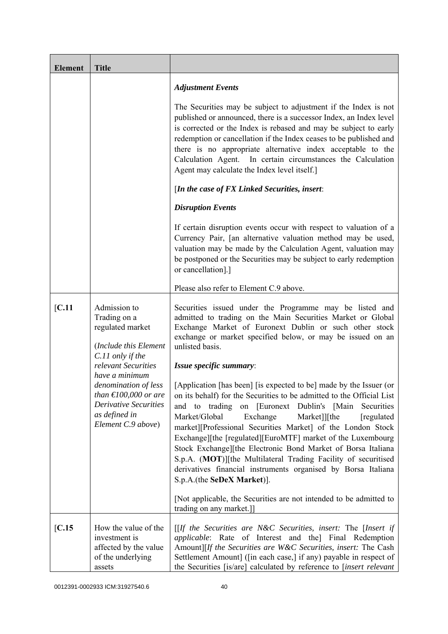| <b>Element</b> | <b>Title</b>                                                                                                                                               |                                                                                                                                                                                                                                                                                                                                                                                                                                                                                                                                                                                                                                              |
|----------------|------------------------------------------------------------------------------------------------------------------------------------------------------------|----------------------------------------------------------------------------------------------------------------------------------------------------------------------------------------------------------------------------------------------------------------------------------------------------------------------------------------------------------------------------------------------------------------------------------------------------------------------------------------------------------------------------------------------------------------------------------------------------------------------------------------------|
|                |                                                                                                                                                            | <b>Adjustment Events</b>                                                                                                                                                                                                                                                                                                                                                                                                                                                                                                                                                                                                                     |
|                |                                                                                                                                                            | The Securities may be subject to adjustment if the Index is not<br>published or announced, there is a successor Index, an Index level<br>is corrected or the Index is rebased and may be subject to early<br>redemption or cancellation if the Index ceases to be published and<br>there is no appropriate alternative index acceptable to the<br>Calculation Agent. In certain circumstances the Calculation<br>Agent may calculate the Index level itself.]                                                                                                                                                                                |
|                |                                                                                                                                                            | [In the case of FX Linked Securities, insert:                                                                                                                                                                                                                                                                                                                                                                                                                                                                                                                                                                                                |
|                |                                                                                                                                                            | <b>Disruption Events</b>                                                                                                                                                                                                                                                                                                                                                                                                                                                                                                                                                                                                                     |
|                |                                                                                                                                                            | If certain disruption events occur with respect to valuation of a<br>Currency Pair, [an alternative valuation method may be used,<br>valuation may be made by the Calculation Agent, valuation may<br>be postponed or the Securities may be subject to early redemption<br>or cancellation].]                                                                                                                                                                                                                                                                                                                                                |
|                |                                                                                                                                                            | Please also refer to Element C.9 above.                                                                                                                                                                                                                                                                                                                                                                                                                                                                                                                                                                                                      |
| [C.11]         | Admission to<br>Trading on a<br>regulated market<br>(Include this Element                                                                                  | Securities issued under the Programme may be listed and<br>admitted to trading on the Main Securities Market or Global<br>Exchange Market of Euronext Dublin or such other stock<br>exchange or market specified below, or may be issued on an<br>unlisted basis.                                                                                                                                                                                                                                                                                                                                                                            |
|                | C.11 only if the<br>relevant Securities                                                                                                                    | Issue specific summary:                                                                                                                                                                                                                                                                                                                                                                                                                                                                                                                                                                                                                      |
|                | have a minimum<br>denomination of less<br>than $\text{\textsterling}100,000$ or are<br><b>Derivative Securities</b><br>as defined in<br>Element C.9 above) | [Application [has been] [is expected to be] made by the Issuer (or<br>on its behalf) for the Securities to be admitted to the Official List<br>on [Euronext Dublin's [Main]<br>to<br>trading<br>Securities<br>and<br>Market/Global<br>Exchange<br>Market]][the<br>[regulated]<br>market][Professional Securities Market] of the London Stock<br>Exchange][the [regulated][EuroMTF] market of the Luxembourg<br>Stock Exchange][the Electronic Bond Market of Borsa Italiana<br>S.p.A. (MOT)][the Multilateral Trading Facility of securitised<br>derivatives financial instruments organised by Borsa Italiana<br>S.p.A.(the SeDeX Market)]. |
|                |                                                                                                                                                            | [Not applicable, the Securities are not intended to be admitted to<br>trading on any market.]                                                                                                                                                                                                                                                                                                                                                                                                                                                                                                                                                |
| [C.15]         | How the value of the<br>investment is<br>affected by the value<br>of the underlying<br>assets                                                              | [[If the Securities are N&C Securities, insert: The [Insert if<br>applicable: Rate of Interest and the] Final Redemption<br>Amount][If the Securities are W&C Securities, insert: The Cash<br>Settlement Amount] ([in each case,] if any) payable in respect of<br>the Securities [is/are] calculated by reference to [insert relevant                                                                                                                                                                                                                                                                                                       |

0012391-0002933 ICM:31927540.6 40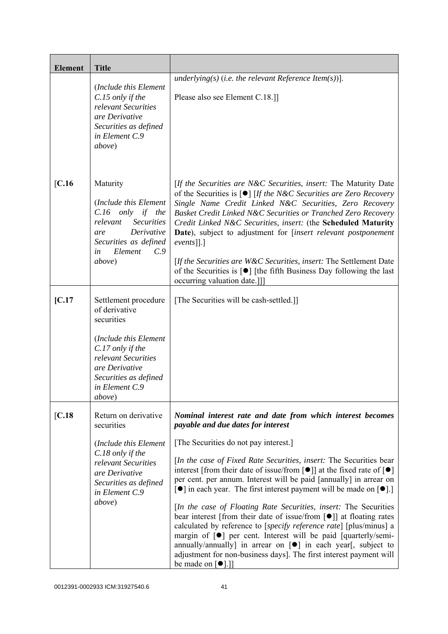| <b>Element</b> | <b>Title</b>                                                                                                                                                                                           |                                                                                                                                                                                                                                                                                                                                                                                                                                                                                                                                                                                                                                                                                                                                                                                                                                                                                                                                                                                       |
|----------------|--------------------------------------------------------------------------------------------------------------------------------------------------------------------------------------------------------|---------------------------------------------------------------------------------------------------------------------------------------------------------------------------------------------------------------------------------------------------------------------------------------------------------------------------------------------------------------------------------------------------------------------------------------------------------------------------------------------------------------------------------------------------------------------------------------------------------------------------------------------------------------------------------------------------------------------------------------------------------------------------------------------------------------------------------------------------------------------------------------------------------------------------------------------------------------------------------------|
|                | (Include this Element<br>C.15 only if the<br>relevant Securities<br>are Derivative<br>Securities as defined<br>in Element C.9<br>above)                                                                | underlying(s) (i.e. the relevant Reference Item(s))].<br>Please also see Element C.18.]                                                                                                                                                                                                                                                                                                                                                                                                                                                                                                                                                                                                                                                                                                                                                                                                                                                                                               |
| [C.16]         | Maturity<br>(Include this Element<br>$C.16$ only if the<br>relevant<br><b>Securities</b><br>Derivative<br>are<br>Securities as defined<br>Element<br>C.9<br>in<br>above)                               | [If the Securities are N&C Securities, insert: The Maturity Date<br>of the Securities is $\lceil \bullet \rceil$ [If the N&C Securities are Zero Recovery<br>Single Name Credit Linked N&C Securities, Zero Recovery<br>Basket Credit Linked N&C Securities or Tranched Zero Recovery<br>Credit Linked N&C Securities, insert: (the Scheduled Maturity<br>Date), subject to adjustment for [insert relevant postponement<br>$events$ [].]<br>[If the Securities are W&C Securities, insert: The Settlement Date<br>of the Securities is $\lceil \bullet \rceil$ [the fifth Business Day following the last<br>occurring valuation date.]]                                                                                                                                                                                                                                                                                                                                             |
| [C.17]         | Settlement procedure<br>of derivative<br>securities<br>(Include this Element<br>C.17 only if the<br>relevant Securities<br>are Derivative<br>Securities as defined<br>in Element C.9<br><i>above</i> ) | [The Securities will be cash-settled.]]                                                                                                                                                                                                                                                                                                                                                                                                                                                                                                                                                                                                                                                                                                                                                                                                                                                                                                                                               |
| [C.18]         | Return on derivative<br>securities<br>(Include this Element<br>C.18 only if the<br>relevant Securities<br>are Derivative<br>Securities as defined<br>in Element C.9<br>above)                          | Nominal interest rate and date from which interest becomes<br>payable and due dates for interest<br>[The Securities do not pay interest.]<br>[In the case of Fixed Rate Securities, insert: The Securities bear<br>interest [from their date of issue/from $\lceil \bullet \rceil$ ] at the fixed rate of $\lceil \bullet \rceil$<br>per cent. per annum. Interest will be paid [annually] in arrear on<br>[●] in each year. The first interest payment will be made on [●].]<br>[In the case of Floating Rate Securities, insert: The Securities<br>bear interest [from their date of issue/from $\lceil \bullet \rceil$ ] at floating rates<br>calculated by reference to [specify reference rate] [plus/minus] a<br>margin of $[\bullet]$ per cent. Interest will be paid [quarterly/semi-<br>annually/annually] in arrear on $[\bullet]$ in each year[, subject to<br>adjustment for non-business days]. The first interest payment will<br>be made on $\lceil \bullet \rceil$ .] |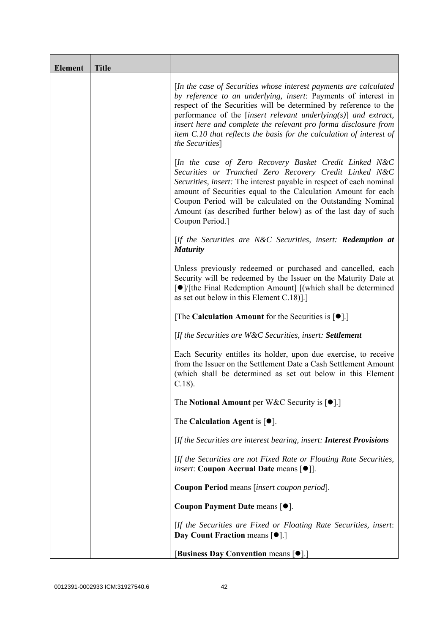| <b>Element</b> | <b>Title</b> |                                                                                                                                                                                                                                                                                                                                                                                                                                              |
|----------------|--------------|----------------------------------------------------------------------------------------------------------------------------------------------------------------------------------------------------------------------------------------------------------------------------------------------------------------------------------------------------------------------------------------------------------------------------------------------|
|                |              | [In the case of Securities whose interest payments are calculated<br>by reference to an underlying, insert: Payments of interest in<br>respect of the Securities will be determined by reference to the<br>performance of the [insert relevant underlying $(s)$ ] and extract,<br>insert here and complete the relevant pro forma disclosure from<br>item C.10 that reflects the basis for the calculation of interest of<br>the Securities] |
|                |              | [In the case of Zero Recovery Basket Credit Linked N&C<br>Securities or Tranched Zero Recovery Credit Linked N&C<br>Securities, insert: The interest payable in respect of each nominal<br>amount of Securities equal to the Calculation Amount for each<br>Coupon Period will be calculated on the Outstanding Nominal<br>Amount (as described further below) as of the last day of such<br>Coupon Period.]                                 |
|                |              | $[$ If the Securities are N&C Securities, insert: <b>Redemption at</b><br><b>Maturity</b>                                                                                                                                                                                                                                                                                                                                                    |
|                |              | Unless previously redeemed or purchased and cancelled, each<br>Security will be redeemed by the Issuer on the Maturity Date at<br>[●]/[the Final Redemption Amount] [(which shall be determined<br>as set out below in this Element C.18)].]                                                                                                                                                                                                 |
|                |              | [The Calculation Amount for the Securities is $[•]$ .]                                                                                                                                                                                                                                                                                                                                                                                       |
|                |              | [If the Securities are W&C Securities, insert: Settlement                                                                                                                                                                                                                                                                                                                                                                                    |
|                |              | Each Security entitles its holder, upon due exercise, to receive<br>from the Issuer on the Settlement Date a Cash Settlement Amount<br>(which shall be determined as set out below in this Element<br>$C.18$ ).                                                                                                                                                                                                                              |
|                |              | The Notional Amount per W&C Security is $[•]$ .                                                                                                                                                                                                                                                                                                                                                                                              |
|                |              | The Calculation Agent is $[•]$ .                                                                                                                                                                                                                                                                                                                                                                                                             |
|                |              | [If the Securities are interest bearing, insert: Interest Provisions                                                                                                                                                                                                                                                                                                                                                                         |
|                |              | [If the Securities are not Fixed Rate or Floating Rate Securities,<br><i>insert</i> : Coupon Accrual Date means [ $\bullet$ ].                                                                                                                                                                                                                                                                                                               |
|                |              | Coupon Period means [insert coupon period].                                                                                                                                                                                                                                                                                                                                                                                                  |
|                |              | Coupon Payment Date means [ $\bullet$ ].                                                                                                                                                                                                                                                                                                                                                                                                     |
|                |              | [If the Securities are Fixed or Floating Rate Securities, insert:<br>Day Count Fraction means [ $\bullet$ ].]                                                                                                                                                                                                                                                                                                                                |
|                |              | [Business Day Convention means [ $\bullet$ ].]                                                                                                                                                                                                                                                                                                                                                                                               |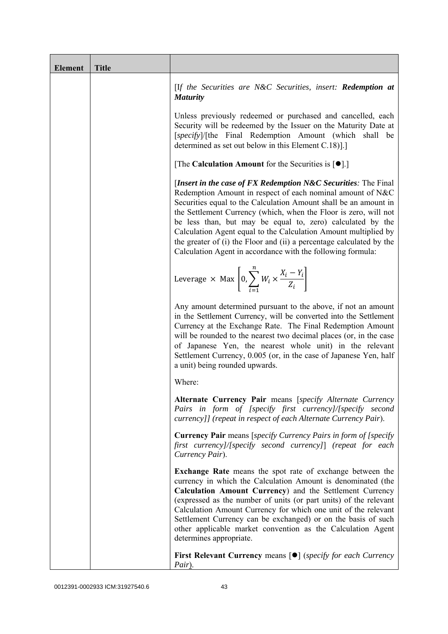| <b>Element</b> | <b>Title</b> |                                                                                                                                                                                                                                                                                                                                                                                                                                                                                                                                                 |
|----------------|--------------|-------------------------------------------------------------------------------------------------------------------------------------------------------------------------------------------------------------------------------------------------------------------------------------------------------------------------------------------------------------------------------------------------------------------------------------------------------------------------------------------------------------------------------------------------|
|                |              | [If the Securities are N&C Securities, insert: Redemption at<br><b>Maturity</b>                                                                                                                                                                                                                                                                                                                                                                                                                                                                 |
|                |              | Unless previously redeemed or purchased and cancelled, each<br>Security will be redeemed by the Issuer on the Maturity Date at<br>[specify]/[the Final Redemption Amount (which shall be<br>determined as set out below in this Element C.18).]                                                                                                                                                                                                                                                                                                 |
|                |              | [The Calculation Amount for the Securities is $[•]$ .]                                                                                                                                                                                                                                                                                                                                                                                                                                                                                          |
|                |              | [Insert in the case of FX Redemption $N\&C$ Securities: The Final<br>Redemption Amount in respect of each nominal amount of N&C<br>Securities equal to the Calculation Amount shall be an amount in<br>the Settlement Currency (which, when the Floor is zero, will not<br>be less than, but may be equal to, zero) calculated by the<br>Calculation Agent equal to the Calculation Amount multiplied by<br>the greater of (i) the Floor and (ii) a percentage calculated by the<br>Calculation Agent in accordance with the following formula: |
|                |              | Leverage $\times$ Max $\left[0, \sum_{i=1}^{n} W_i \times \frac{X_i - Y_i}{Z_i}\right]$                                                                                                                                                                                                                                                                                                                                                                                                                                                         |
|                |              | Any amount determined pursuant to the above, if not an amount<br>in the Settlement Currency, will be converted into the Settlement<br>Currency at the Exchange Rate. The Final Redemption Amount<br>will be rounded to the nearest two decimal places (or, in the case<br>of Japanese Yen, the nearest whole unit) in the relevant<br>Settlement Currency, 0.005 (or, in the case of Japanese Yen, half<br>a unit) being rounded upwards.                                                                                                       |
|                |              | Where:                                                                                                                                                                                                                                                                                                                                                                                                                                                                                                                                          |
|                |              | Alternate Currency Pair means [specify Alternate Currency<br>Pairs in form of [specify first currency]/[specify second<br>currency]] (repeat in respect of each Alternate Currency Pair).                                                                                                                                                                                                                                                                                                                                                       |
|                |              | <b>Currency Pair</b> means [specify Currency Pairs in form of [specify<br>first currency]/[specify second currency]] (repeat for each<br>Currency Pair).                                                                                                                                                                                                                                                                                                                                                                                        |
|                |              | <b>Exchange Rate</b> means the spot rate of exchange between the<br>currency in which the Calculation Amount is denominated (the<br>Calculation Amount Currency) and the Settlement Currency<br>(expressed as the number of units (or part units) of the relevant<br>Calculation Amount Currency for which one unit of the relevant<br>Settlement Currency can be exchanged) or on the basis of such<br>other applicable market convention as the Calculation Agent<br>determines appropriate.                                                  |
|                |              | <b>First Relevant Currency means <math>\lceil \bullet \rceil</math> (specify for each Currency</b><br>Pair).                                                                                                                                                                                                                                                                                                                                                                                                                                    |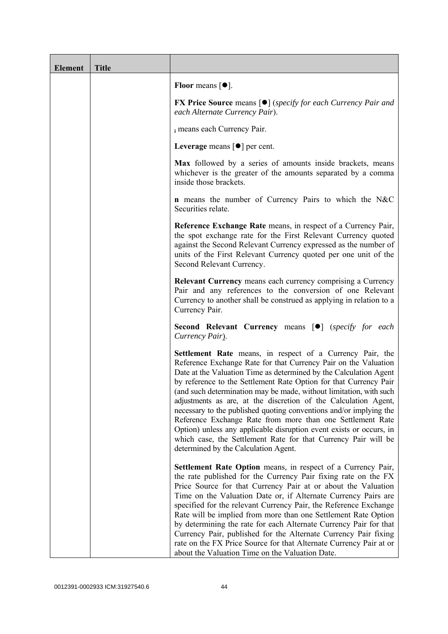| <b>Element</b> | <b>Title</b> |                                                                                                                                                                                                                                                                                                                                                                                                                                                                                                                                                                                                                                                                                                                                      |
|----------------|--------------|--------------------------------------------------------------------------------------------------------------------------------------------------------------------------------------------------------------------------------------------------------------------------------------------------------------------------------------------------------------------------------------------------------------------------------------------------------------------------------------------------------------------------------------------------------------------------------------------------------------------------------------------------------------------------------------------------------------------------------------|
|                |              | Floor means $\lceil \bullet \rceil$ .                                                                                                                                                                                                                                                                                                                                                                                                                                                                                                                                                                                                                                                                                                |
|                |              | <b>FX Price Source</b> means $[\bullet]$ (specify for each Currency Pair and<br>each Alternate Currency Pair).                                                                                                                                                                                                                                                                                                                                                                                                                                                                                                                                                                                                                       |
|                |              | i means each Currency Pair.                                                                                                                                                                                                                                                                                                                                                                                                                                                                                                                                                                                                                                                                                                          |
|                |              | Leverage means $\lceil \bullet \rceil$ per cent.                                                                                                                                                                                                                                                                                                                                                                                                                                                                                                                                                                                                                                                                                     |
|                |              | Max followed by a series of amounts inside brackets, means<br>whichever is the greater of the amounts separated by a comma<br>inside those brackets.                                                                                                                                                                                                                                                                                                                                                                                                                                                                                                                                                                                 |
|                |              | <b>n</b> means the number of Currency Pairs to which the N&C<br>Securities relate.                                                                                                                                                                                                                                                                                                                                                                                                                                                                                                                                                                                                                                                   |
|                |              | Reference Exchange Rate means, in respect of a Currency Pair,<br>the spot exchange rate for the First Relevant Currency quoted<br>against the Second Relevant Currency expressed as the number of<br>units of the First Relevant Currency quoted per one unit of the<br>Second Relevant Currency.                                                                                                                                                                                                                                                                                                                                                                                                                                    |
|                |              | <b>Relevant Currency</b> means each currency comprising a Currency<br>Pair and any references to the conversion of one Relevant<br>Currency to another shall be construed as applying in relation to a<br>Currency Pair.                                                                                                                                                                                                                                                                                                                                                                                                                                                                                                             |
|                |              | <b>Second Relevant Currency means [O]</b> (specify for each<br>Currency Pair).                                                                                                                                                                                                                                                                                                                                                                                                                                                                                                                                                                                                                                                       |
|                |              | Settlement Rate means, in respect of a Currency Pair, the<br>Reference Exchange Rate for that Currency Pair on the Valuation<br>Date at the Valuation Time as determined by the Calculation Agent<br>by reference to the Settlement Rate Option for that Currency Pair<br>(and such determination may be made, without limitation, with such<br>adjustments as are, at the discretion of the Calculation Agent,<br>necessary to the published quoting conventions and/or implying the<br>Reference Exchange Rate from more than one Settlement Rate<br>Option) unless any applicable disruption event exists or occurs, in<br>which case, the Settlement Rate for that Currency Pair will be<br>determined by the Calculation Agent. |
|                |              | Settlement Rate Option means, in respect of a Currency Pair,<br>the rate published for the Currency Pair fixing rate on the FX<br>Price Source for that Currency Pair at or about the Valuation<br>Time on the Valuation Date or, if Alternate Currency Pairs are<br>specified for the relevant Currency Pair, the Reference Exchange<br>Rate will be implied from more than one Settlement Rate Option<br>by determining the rate for each Alternate Currency Pair for that<br>Currency Pair, published for the Alternate Currency Pair fixing<br>rate on the FX Price Source for that Alternate Currency Pair at or<br>about the Valuation Time on the Valuation Date.                                                             |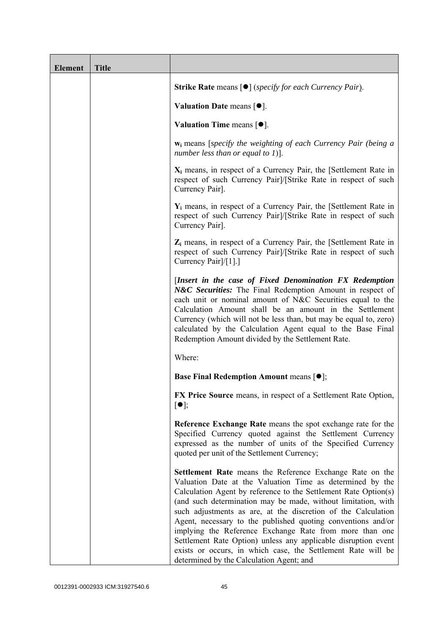| <b>Element</b> | <b>Title</b> |                                                                                                                                                                                                                                                                                                                                                                                                                                                                                                                                                                                                                                     |
|----------------|--------------|-------------------------------------------------------------------------------------------------------------------------------------------------------------------------------------------------------------------------------------------------------------------------------------------------------------------------------------------------------------------------------------------------------------------------------------------------------------------------------------------------------------------------------------------------------------------------------------------------------------------------------------|
|                |              | <b>Strike Rate</b> means $\lceil \bullet \rceil$ ( <i>specify for each Currency Pair</i> ).                                                                                                                                                                                                                                                                                                                                                                                                                                                                                                                                         |
|                |              | Valuation Date means $[•]$ .                                                                                                                                                                                                                                                                                                                                                                                                                                                                                                                                                                                                        |
|                |              | <b>Valuation Time means <math>\lceil \bullet \rceil</math>.</b>                                                                                                                                                                                                                                                                                                                                                                                                                                                                                                                                                                     |
|                |              | $w_i$ means [specify the weighting of each Currency Pair (being a<br>number less than or equal to 1)].                                                                                                                                                                                                                                                                                                                                                                                                                                                                                                                              |
|                |              | $X_i$ means, in respect of a Currency Pair, the [Settlement Rate in<br>respect of such Currency Pair]/[Strike Rate in respect of such<br>Currency Pair].                                                                                                                                                                                                                                                                                                                                                                                                                                                                            |
|                |              | $Y_i$ means, in respect of a Currency Pair, the [Settlement Rate in<br>respect of such Currency Pair]/[Strike Rate in respect of such<br>Currency Pair].                                                                                                                                                                                                                                                                                                                                                                                                                                                                            |
|                |              | $Z_i$ means, in respect of a Currency Pair, the [Settlement Rate in<br>respect of such Currency Pair]/[Strike Rate in respect of such<br>Currency Pair <sup>[/[1]</sup> .]                                                                                                                                                                                                                                                                                                                                                                                                                                                          |
|                |              | [Insert in the case of Fixed Denomination FX Redemption<br>N&C Securities: The Final Redemption Amount in respect of<br>each unit or nominal amount of N&C Securities equal to the<br>Calculation Amount shall be an amount in the Settlement<br>Currency (which will not be less than, but may be equal to, zero)<br>calculated by the Calculation Agent equal to the Base Final<br>Redemption Amount divided by the Settlement Rate.                                                                                                                                                                                              |
|                |              | Where:                                                                                                                                                                                                                                                                                                                                                                                                                                                                                                                                                                                                                              |
|                |              | <b>Base Final Redemption Amount means <math>[•]</math>;</b>                                                                                                                                                                                                                                                                                                                                                                                                                                                                                                                                                                         |
|                |              | FX Price Source means, in respect of a Settlement Rate Option,<br>$\lceil \bullet \rceil;$                                                                                                                                                                                                                                                                                                                                                                                                                                                                                                                                          |
|                |              | Reference Exchange Rate means the spot exchange rate for the<br>Specified Currency quoted against the Settlement Currency<br>expressed as the number of units of the Specified Currency<br>quoted per unit of the Settlement Currency;                                                                                                                                                                                                                                                                                                                                                                                              |
|                |              | Settlement Rate means the Reference Exchange Rate on the<br>Valuation Date at the Valuation Time as determined by the<br>Calculation Agent by reference to the Settlement Rate Option(s)<br>(and such determination may be made, without limitation, with<br>such adjustments as are, at the discretion of the Calculation<br>Agent, necessary to the published quoting conventions and/or<br>implying the Reference Exchange Rate from more than one<br>Settlement Rate Option) unless any applicable disruption event<br>exists or occurs, in which case, the Settlement Rate will be<br>determined by the Calculation Agent; and |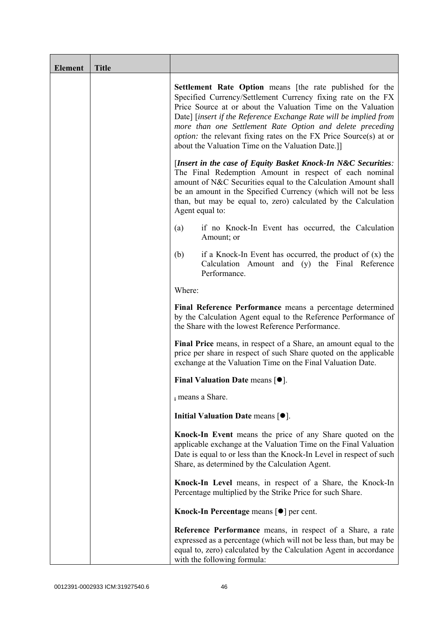| <b>Element</b> | <b>Title</b> |                                                                                                                                                                                                                                                                                                                                                                                                                                                                    |
|----------------|--------------|--------------------------------------------------------------------------------------------------------------------------------------------------------------------------------------------------------------------------------------------------------------------------------------------------------------------------------------------------------------------------------------------------------------------------------------------------------------------|
|                |              | <b>Settlement Rate Option</b> means [the rate published for the<br>Specified Currency/Settlement Currency fixing rate on the FX<br>Price Source at or about the Valuation Time on the Valuation<br>Date] [insert if the Reference Exchange Rate will be implied from<br>more than one Settlement Rate Option and delete preceding<br><i>option:</i> the relevant fixing rates on the FX Price Source(s) at or<br>about the Valuation Time on the Valuation Date.]] |
|                |              | [Insert in the case of Equity Basket Knock-In N&C Securities:<br>The Final Redemption Amount in respect of each nominal<br>amount of N&C Securities equal to the Calculation Amount shall<br>be an amount in the Specified Currency (which will not be less<br>than, but may be equal to, zero) calculated by the Calculation<br>Agent equal to:                                                                                                                   |
|                |              | if no Knock-In Event has occurred, the Calculation<br>(a)<br>Amount; or                                                                                                                                                                                                                                                                                                                                                                                            |
|                |              | (b)<br>if a Knock-In Event has occurred, the product of $(x)$ the<br>Calculation Amount and (y) the Final Reference<br>Performance.                                                                                                                                                                                                                                                                                                                                |
|                |              | Where:                                                                                                                                                                                                                                                                                                                                                                                                                                                             |
|                |              | Final Reference Performance means a percentage determined<br>by the Calculation Agent equal to the Reference Performance of<br>the Share with the lowest Reference Performance.                                                                                                                                                                                                                                                                                    |
|                |              | Final Price means, in respect of a Share, an amount equal to the<br>price per share in respect of such Share quoted on the applicable<br>exchange at the Valuation Time on the Final Valuation Date.                                                                                                                                                                                                                                                               |
|                |              | Final Valuation Date means $[•]$ .                                                                                                                                                                                                                                                                                                                                                                                                                                 |
|                |              | i means a Share.                                                                                                                                                                                                                                                                                                                                                                                                                                                   |
|                |              | Initial Valuation Date means $[•]$ .                                                                                                                                                                                                                                                                                                                                                                                                                               |
|                |              | Knock-In Event means the price of any Share quoted on the<br>applicable exchange at the Valuation Time on the Final Valuation<br>Date is equal to or less than the Knock-In Level in respect of such<br>Share, as determined by the Calculation Agent.                                                                                                                                                                                                             |
|                |              | Knock-In Level means, in respect of a Share, the Knock-In<br>Percentage multiplied by the Strike Price for such Share.                                                                                                                                                                                                                                                                                                                                             |
|                |              | Knock-In Percentage means $\lceil \bullet \rceil$ per cent.                                                                                                                                                                                                                                                                                                                                                                                                        |
|                |              | <b>Reference Performance</b> means, in respect of a Share, a rate<br>expressed as a percentage (which will not be less than, but may be<br>equal to, zero) calculated by the Calculation Agent in accordance<br>with the following formula:                                                                                                                                                                                                                        |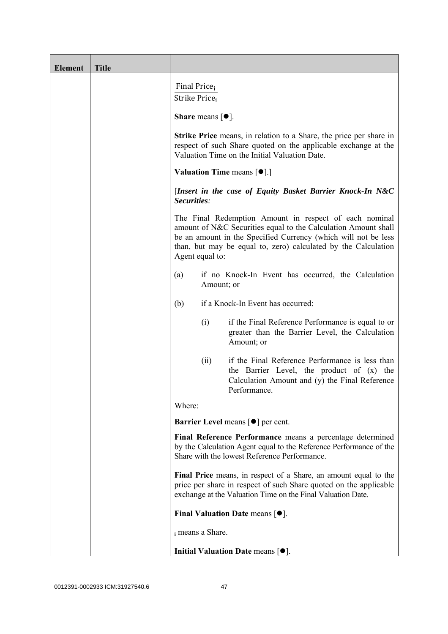| <b>Element</b> | <b>Title</b> |                                                                                                                                                                                                                                                                                 |
|----------------|--------------|---------------------------------------------------------------------------------------------------------------------------------------------------------------------------------------------------------------------------------------------------------------------------------|
|                |              | Final Price <sub>i</sub><br>Strike Price <sub>i</sub>                                                                                                                                                                                                                           |
|                |              | <b>Share</b> means $\lceil \bullet \rceil$ .                                                                                                                                                                                                                                    |
|                |              | <b>Strike Price</b> means, in relation to a Share, the price per share in<br>respect of such Share quoted on the applicable exchange at the<br>Valuation Time on the Initial Valuation Date.                                                                                    |
|                |              | <b>Valuation Time means <math>[\bullet]</math>.</b> ]                                                                                                                                                                                                                           |
|                |              | [Insert in the case of Equity Basket Barrier Knock-In N&C<br>Securities:                                                                                                                                                                                                        |
|                |              | The Final Redemption Amount in respect of each nominal<br>amount of N&C Securities equal to the Calculation Amount shall<br>be an amount in the Specified Currency (which will not be less<br>than, but may be equal to, zero) calculated by the Calculation<br>Agent equal to: |
|                |              | if no Knock-In Event has occurred, the Calculation<br>(a)<br>Amount; or                                                                                                                                                                                                         |
|                |              | if a Knock-In Event has occurred:<br>(b)                                                                                                                                                                                                                                        |
|                |              | if the Final Reference Performance is equal to or<br>(i)<br>greater than the Barrier Level, the Calculation<br>Amount; or                                                                                                                                                       |
|                |              | if the Final Reference Performance is less than<br>(ii)<br>the Barrier Level, the product of (x) the<br>Calculation Amount and (y) the Final Reference<br>Performance.                                                                                                          |
|                |              | Where:                                                                                                                                                                                                                                                                          |
|                |              | <b>Barrier Level means [<math>\bullet</math>] per cent.</b>                                                                                                                                                                                                                     |
|                |              | Final Reference Performance means a percentage determined<br>by the Calculation Agent equal to the Reference Performance of the<br>Share with the lowest Reference Performance.                                                                                                 |
|                |              | Final Price means, in respect of a Share, an amount equal to the<br>price per share in respect of such Share quoted on the applicable<br>exchange at the Valuation Time on the Final Valuation Date.                                                                            |
|                |              | Final Valuation Date means $[\bullet].$                                                                                                                                                                                                                                         |
|                |              | i means a Share.                                                                                                                                                                                                                                                                |
|                |              | Initial Valuation Date means $[•]$ .                                                                                                                                                                                                                                            |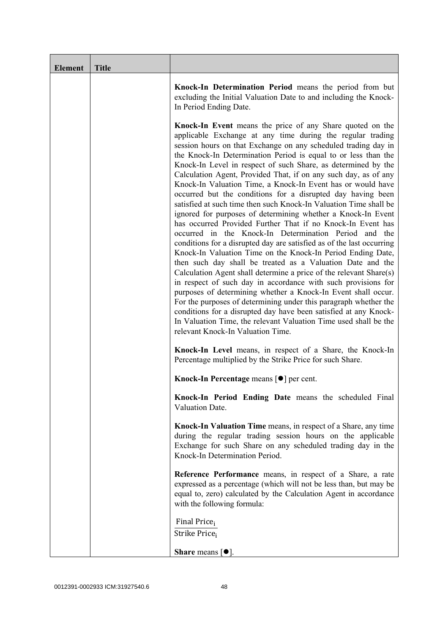| <b>Element</b> | <b>Title</b> |                                                                                                                                                                                                                                                                                                                                                                                                                                                                                                                                                                                                                                                                                                                                                                                                                                                                                                                                                                                                                                                                                                                                                                                                                                                                                                                                                                                                                                                                  |
|----------------|--------------|------------------------------------------------------------------------------------------------------------------------------------------------------------------------------------------------------------------------------------------------------------------------------------------------------------------------------------------------------------------------------------------------------------------------------------------------------------------------------------------------------------------------------------------------------------------------------------------------------------------------------------------------------------------------------------------------------------------------------------------------------------------------------------------------------------------------------------------------------------------------------------------------------------------------------------------------------------------------------------------------------------------------------------------------------------------------------------------------------------------------------------------------------------------------------------------------------------------------------------------------------------------------------------------------------------------------------------------------------------------------------------------------------------------------------------------------------------------|
|                |              | Knock-In Determination Period means the period from but<br>excluding the Initial Valuation Date to and including the Knock-<br>In Period Ending Date.                                                                                                                                                                                                                                                                                                                                                                                                                                                                                                                                                                                                                                                                                                                                                                                                                                                                                                                                                                                                                                                                                                                                                                                                                                                                                                            |
|                |              | <b>Knock-In Event</b> means the price of any Share quoted on the<br>applicable Exchange at any time during the regular trading<br>session hours on that Exchange on any scheduled trading day in<br>the Knock-In Determination Period is equal to or less than the<br>Knock-In Level in respect of such Share, as determined by the<br>Calculation Agent, Provided That, if on any such day, as of any<br>Knock-In Valuation Time, a Knock-In Event has or would have<br>occurred but the conditions for a disrupted day having been<br>satisfied at such time then such Knock-In Valuation Time shall be<br>ignored for purposes of determining whether a Knock-In Event<br>has occurred Provided Further That if no Knock-In Event has<br>occurred in the Knock-In Determination Period and the<br>conditions for a disrupted day are satisfied as of the last occurring<br>Knock-In Valuation Time on the Knock-In Period Ending Date,<br>then such day shall be treated as a Valuation Date and the<br>Calculation Agent shall determine a price of the relevant Share(s)<br>in respect of such day in accordance with such provisions for<br>purposes of determining whether a Knock-In Event shall occur.<br>For the purposes of determining under this paragraph whether the<br>conditions for a disrupted day have been satisfied at any Knock-<br>In Valuation Time, the relevant Valuation Time used shall be the<br>relevant Knock-In Valuation Time. |
|                |              | Knock-In Level means, in respect of a Share, the Knock-In<br>Percentage multiplied by the Strike Price for such Share.                                                                                                                                                                                                                                                                                                                                                                                                                                                                                                                                                                                                                                                                                                                                                                                                                                                                                                                                                                                                                                                                                                                                                                                                                                                                                                                                           |
|                |              | Knock-In Percentage means [●] per cent.                                                                                                                                                                                                                                                                                                                                                                                                                                                                                                                                                                                                                                                                                                                                                                                                                                                                                                                                                                                                                                                                                                                                                                                                                                                                                                                                                                                                                          |
|                |              | Knock-In Period Ending Date means the scheduled Final<br>Valuation Date.                                                                                                                                                                                                                                                                                                                                                                                                                                                                                                                                                                                                                                                                                                                                                                                                                                                                                                                                                                                                                                                                                                                                                                                                                                                                                                                                                                                         |
|                |              | Knock-In Valuation Time means, in respect of a Share, any time<br>during the regular trading session hours on the applicable<br>Exchange for such Share on any scheduled trading day in the<br>Knock-In Determination Period.                                                                                                                                                                                                                                                                                                                                                                                                                                                                                                                                                                                                                                                                                                                                                                                                                                                                                                                                                                                                                                                                                                                                                                                                                                    |
|                |              | Reference Performance means, in respect of a Share, a rate<br>expressed as a percentage (which will not be less than, but may be<br>equal to, zero) calculated by the Calculation Agent in accordance<br>with the following formula:                                                                                                                                                                                                                                                                                                                                                                                                                                                                                                                                                                                                                                                                                                                                                                                                                                                                                                                                                                                                                                                                                                                                                                                                                             |
|                |              | Final Price <sub>i</sub><br>Strike Price;                                                                                                                                                                                                                                                                                                                                                                                                                                                                                                                                                                                                                                                                                                                                                                                                                                                                                                                                                                                                                                                                                                                                                                                                                                                                                                                                                                                                                        |
|                |              | <b>Share</b> means $\lceil \bullet \rceil$ .                                                                                                                                                                                                                                                                                                                                                                                                                                                                                                                                                                                                                                                                                                                                                                                                                                                                                                                                                                                                                                                                                                                                                                                                                                                                                                                                                                                                                     |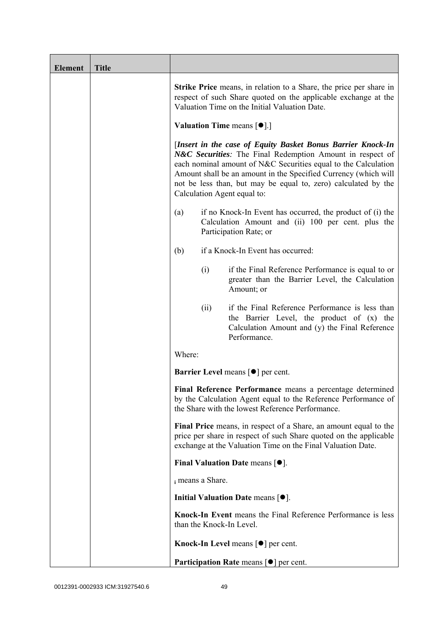| <b>Element</b> | <b>Title</b> |                          |                                                                                                                                                                                                                                                                                                                                                                |
|----------------|--------------|--------------------------|----------------------------------------------------------------------------------------------------------------------------------------------------------------------------------------------------------------------------------------------------------------------------------------------------------------------------------------------------------------|
|                |              |                          | <b>Strike Price</b> means, in relation to a Share, the price per share in<br>respect of such Share quoted on the applicable exchange at the<br>Valuation Time on the Initial Valuation Date.                                                                                                                                                                   |
|                |              |                          | <b>Valuation Time means <math>[\bullet]</math>.</b> ]                                                                                                                                                                                                                                                                                                          |
|                |              |                          | [Insert in the case of Equity Basket Bonus Barrier Knock-In<br>N&C Securities: The Final Redemption Amount in respect of<br>each nominal amount of N&C Securities equal to the Calculation<br>Amount shall be an amount in the Specified Currency (which will<br>not be less than, but may be equal to, zero) calculated by the<br>Calculation Agent equal to: |
|                |              | (a)                      | if no Knock-In Event has occurred, the product of (i) the<br>Calculation Amount and (ii) 100 per cent. plus the<br>Participation Rate; or                                                                                                                                                                                                                      |
|                |              | (b)                      | if a Knock-In Event has occurred:                                                                                                                                                                                                                                                                                                                              |
|                |              | (i)                      | if the Final Reference Performance is equal to or<br>greater than the Barrier Level, the Calculation<br>Amount; or                                                                                                                                                                                                                                             |
|                |              | (ii)                     | if the Final Reference Performance is less than<br>the Barrier Level, the product of (x) the<br>Calculation Amount and (y) the Final Reference<br>Performance.                                                                                                                                                                                                 |
|                |              | Where:                   |                                                                                                                                                                                                                                                                                                                                                                |
|                |              |                          | <b>Barrier Level</b> means $\lceil \bullet \rceil$ per cent.                                                                                                                                                                                                                                                                                                   |
|                |              |                          | Final Reference Performance means a percentage determined<br>by the Calculation Agent equal to the Reference Performance of<br>the Share with the lowest Reference Performance.                                                                                                                                                                                |
|                |              |                          | Final Price means, in respect of a Share, an amount equal to the<br>price per share in respect of such Share quoted on the applicable<br>exchange at the Valuation Time on the Final Valuation Date.                                                                                                                                                           |
|                |              |                          | Final Valuation Date means $[•]$ .                                                                                                                                                                                                                                                                                                                             |
|                |              | i means a Share.         |                                                                                                                                                                                                                                                                                                                                                                |
|                |              |                          | Initial Valuation Date means $[•]$ .                                                                                                                                                                                                                                                                                                                           |
|                |              | than the Knock-In Level. | Knock-In Event means the Final Reference Performance is less                                                                                                                                                                                                                                                                                                   |
|                |              |                          | Knock-In Level means $\lceil \bullet \rceil$ per cent.                                                                                                                                                                                                                                                                                                         |
|                |              |                          | <b>Participation Rate means <math>\lceil \bullet \rceil</math> per cent.</b>                                                                                                                                                                                                                                                                                   |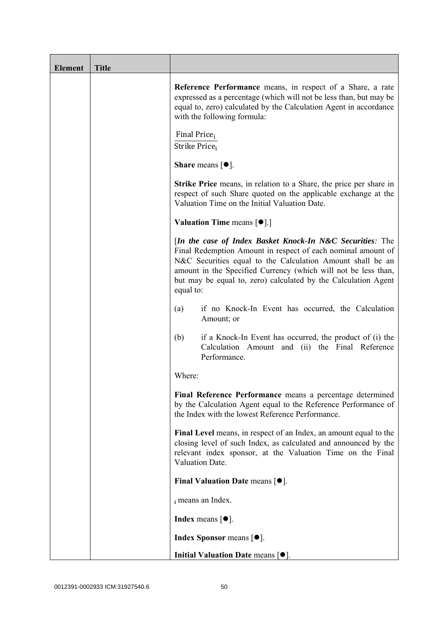| <b>Element</b> | <b>Title</b> |                                                                                                                                                                                                                                                                                                                                          |
|----------------|--------------|------------------------------------------------------------------------------------------------------------------------------------------------------------------------------------------------------------------------------------------------------------------------------------------------------------------------------------------|
|                |              | Reference Performance means, in respect of a Share, a rate<br>expressed as a percentage (which will not be less than, but may be<br>equal to, zero) calculated by the Calculation Agent in accordance<br>with the following formula:                                                                                                     |
|                |              | Final Price <sub>i</sub><br>Strike Price <sub>i</sub>                                                                                                                                                                                                                                                                                    |
|                |              | Share means $[\bullet].$                                                                                                                                                                                                                                                                                                                 |
|                |              | <b>Strike Price</b> means, in relation to a Share, the price per share in<br>respect of such Share quoted on the applicable exchange at the<br>Valuation Time on the Initial Valuation Date.                                                                                                                                             |
|                |              | <b>Valuation Time means <math>\lceil \bullet \rceil</math>.</b>                                                                                                                                                                                                                                                                          |
|                |              | [In the case of Index Basket Knock-In N&C Securities: The<br>Final Redemption Amount in respect of each nominal amount of<br>N&C Securities equal to the Calculation Amount shall be an<br>amount in the Specified Currency (which will not be less than,<br>but may be equal to, zero) calculated by the Calculation Agent<br>equal to: |
|                |              | if no Knock-In Event has occurred, the Calculation<br>(a)<br>Amount; or                                                                                                                                                                                                                                                                  |
|                |              | (b)<br>if a Knock-In Event has occurred, the product of (i) the<br>Calculation Amount and (ii) the Final Reference<br>Performance.                                                                                                                                                                                                       |
|                |              | Where:                                                                                                                                                                                                                                                                                                                                   |
|                |              | Final Reference Performance means a percentage determined<br>by the Calculation Agent equal to the Reference Performance of<br>the Index with the lowest Reference Performance.                                                                                                                                                          |
|                |              | Final Level means, in respect of an Index, an amount equal to the<br>closing level of such Index, as calculated and announced by the<br>relevant index sponsor, at the Valuation Time on the Final<br>Valuation Date.                                                                                                                    |
|                |              | Final Valuation Date means [ $\bullet$ ].                                                                                                                                                                                                                                                                                                |
|                |              | i means an Index.                                                                                                                                                                                                                                                                                                                        |
|                |              | <b>Index</b> means $\lceil \bullet \rceil$ .                                                                                                                                                                                                                                                                                             |
|                |              | <b>Index Sponsor</b> means $[•]$ .                                                                                                                                                                                                                                                                                                       |
|                |              | Initial Valuation Date means $[•]$ .                                                                                                                                                                                                                                                                                                     |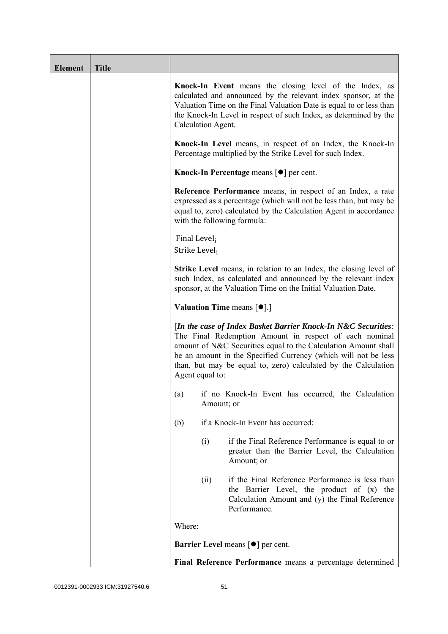| <b>Element</b> | <b>Title</b> |                                           |                                                                                                                                                                                                                                                                                                                               |
|----------------|--------------|-------------------------------------------|-------------------------------------------------------------------------------------------------------------------------------------------------------------------------------------------------------------------------------------------------------------------------------------------------------------------------------|
|                |              | Calculation Agent.                        | Knock-In Event means the closing level of the Index, as<br>calculated and announced by the relevant index sponsor, at the<br>Valuation Time on the Final Valuation Date is equal to or less than<br>the Knock-In Level in respect of such Index, as determined by the                                                         |
|                |              |                                           | Knock-In Level means, in respect of an Index, the Knock-In<br>Percentage multiplied by the Strike Level for such Index.                                                                                                                                                                                                       |
|                |              |                                           | Knock-In Percentage means $\lceil \bullet \rceil$ per cent.                                                                                                                                                                                                                                                                   |
|                |              |                                           | <b>Reference Performance</b> means, in respect of an Index, a rate<br>expressed as a percentage (which will not be less than, but may be<br>equal to, zero) calculated by the Calculation Agent in accordance<br>with the following formula:                                                                                  |
|                |              | Final Level <sub>i</sub><br>Strike Level; |                                                                                                                                                                                                                                                                                                                               |
|                |              |                                           | <b>Strike Level</b> means, in relation to an Index, the closing level of<br>such Index, as calculated and announced by the relevant index<br>sponsor, at the Valuation Time on the Initial Valuation Date.                                                                                                                    |
|                |              |                                           | <b>Valuation Time means <math>[\bullet]</math>.</b> ]                                                                                                                                                                                                                                                                         |
|                |              | Agent equal to:                           | [In the case of Index Basket Barrier Knock-In N&C Securities:<br>The Final Redemption Amount in respect of each nominal<br>amount of N&C Securities equal to the Calculation Amount shall<br>be an amount in the Specified Currency (which will not be less<br>than, but may be equal to, zero) calculated by the Calculation |
|                |              |                                           | (a) if no Knock-In Event has occurred, the Calculation<br>Amount; or                                                                                                                                                                                                                                                          |
|                |              | (b)                                       | if a Knock-In Event has occurred:                                                                                                                                                                                                                                                                                             |
|                |              | (i)                                       | if the Final Reference Performance is equal to or<br>greater than the Barrier Level, the Calculation<br>Amount; or                                                                                                                                                                                                            |
|                |              | (ii)                                      | if the Final Reference Performance is less than<br>the Barrier Level, the product of (x) the<br>Calculation Amount and (y) the Final Reference<br>Performance.                                                                                                                                                                |
|                |              | Where:                                    |                                                                                                                                                                                                                                                                                                                               |
|                |              |                                           | Barrier Level means [ $\bullet$ ] per cent.                                                                                                                                                                                                                                                                                   |
|                |              |                                           | Final Reference Performance means a percentage determined                                                                                                                                                                                                                                                                     |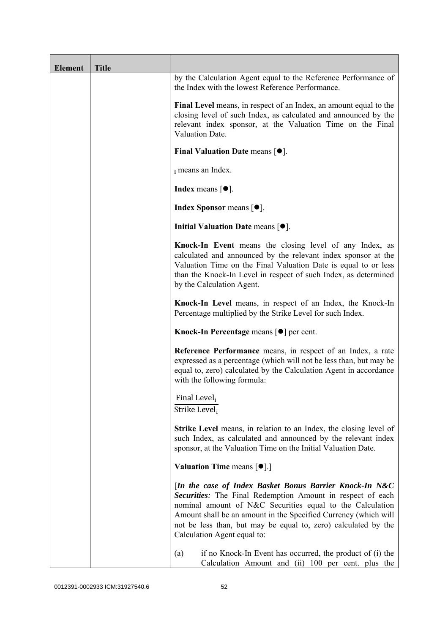| <b>Element</b> | <b>Title</b> |                                                                                                                                                                                                                                                                                                                                                        |
|----------------|--------------|--------------------------------------------------------------------------------------------------------------------------------------------------------------------------------------------------------------------------------------------------------------------------------------------------------------------------------------------------------|
|                |              | by the Calculation Agent equal to the Reference Performance of<br>the Index with the lowest Reference Performance.                                                                                                                                                                                                                                     |
|                |              | Final Level means, in respect of an Index, an amount equal to the<br>closing level of such Index, as calculated and announced by the<br>relevant index sponsor, at the Valuation Time on the Final<br>Valuation Date.                                                                                                                                  |
|                |              | Final Valuation Date means $[•]$ .                                                                                                                                                                                                                                                                                                                     |
|                |              | i means an Index.                                                                                                                                                                                                                                                                                                                                      |
|                |              | <b>Index</b> means $[•]$ .                                                                                                                                                                                                                                                                                                                             |
|                |              | <b>Index Sponsor</b> means $[•]$ .                                                                                                                                                                                                                                                                                                                     |
|                |              | Initial Valuation Date means [ $\bullet$ ].                                                                                                                                                                                                                                                                                                            |
|                |              | Knock-In Event means the closing level of any Index, as<br>calculated and announced by the relevant index sponsor at the<br>Valuation Time on the Final Valuation Date is equal to or less<br>than the Knock-In Level in respect of such Index, as determined<br>by the Calculation Agent.                                                             |
|                |              | Knock-In Level means, in respect of an Index, the Knock-In<br>Percentage multiplied by the Strike Level for such Index.                                                                                                                                                                                                                                |
|                |              | Knock-In Percentage means [●] per cent.                                                                                                                                                                                                                                                                                                                |
|                |              | Reference Performance means, in respect of an Index, a rate<br>expressed as a percentage (which will not be less than, but may be<br>equal to, zero) calculated by the Calculation Agent in accordance<br>with the following formula:                                                                                                                  |
|                |              | Final Level <sub>i</sub><br>Strike Level <sub>i</sub>                                                                                                                                                                                                                                                                                                  |
|                |              | Strike Level means, in relation to an Index, the closing level of<br>such Index, as calculated and announced by the relevant index<br>sponsor, at the Valuation Time on the Initial Valuation Date.                                                                                                                                                    |
|                |              | <b>Valuation Time means <math>\lceil \bullet \rceil</math>.</b>                                                                                                                                                                                                                                                                                        |
|                |              | [In the case of Index Basket Bonus Barrier Knock-In N&C<br>Securities: The Final Redemption Amount in respect of each<br>nominal amount of N&C Securities equal to the Calculation<br>Amount shall be an amount in the Specified Currency (which will<br>not be less than, but may be equal to, zero) calculated by the<br>Calculation Agent equal to: |
|                |              | if no Knock-In Event has occurred, the product of (i) the<br>(a)<br>Calculation Amount and (ii) 100 per cent. plus the                                                                                                                                                                                                                                 |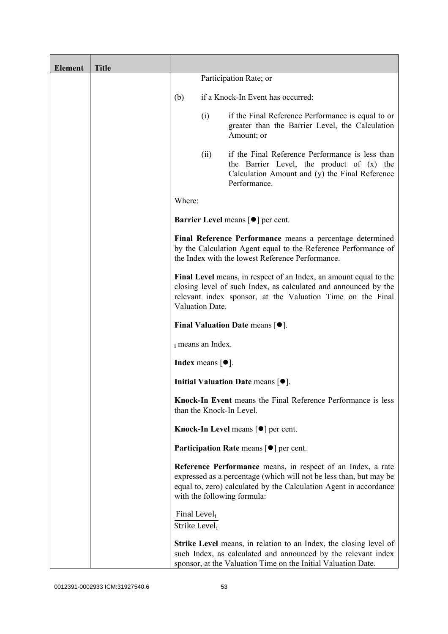| <b>Element</b> | <b>Title</b> |                                           |                                       |                                                                                                                                                                                                                                       |
|----------------|--------------|-------------------------------------------|---------------------------------------|---------------------------------------------------------------------------------------------------------------------------------------------------------------------------------------------------------------------------------------|
|                |              |                                           |                                       | Participation Rate; or                                                                                                                                                                                                                |
|                |              | (b)                                       |                                       | if a Knock-In Event has occurred:                                                                                                                                                                                                     |
|                |              |                                           | (i)                                   | if the Final Reference Performance is equal to or<br>greater than the Barrier Level, the Calculation<br>Amount; or                                                                                                                    |
|                |              |                                           | (ii)                                  | if the Final Reference Performance is less than<br>the Barrier Level, the product of (x) the<br>Calculation Amount and (y) the Final Reference<br>Performance.                                                                        |
|                |              | Where:                                    |                                       |                                                                                                                                                                                                                                       |
|                |              |                                           |                                       | <b>Barrier Level means [<math>\bullet</math>] per cent.</b>                                                                                                                                                                           |
|                |              |                                           |                                       | Final Reference Performance means a percentage determined<br>by the Calculation Agent equal to the Reference Performance of<br>the Index with the lowest Reference Performance.                                                       |
|                |              |                                           | Valuation Date.                       | Final Level means, in respect of an Index, an amount equal to the<br>closing level of such Index, as calculated and announced by the<br>relevant index sponsor, at the Valuation Time on the Final                                    |
|                |              |                                           |                                       | Final Valuation Date means $[•]$ .                                                                                                                                                                                                    |
|                |              |                                           | i means an Index.                     |                                                                                                                                                                                                                                       |
|                |              |                                           | Index means $\lceil \bullet \rceil$ . |                                                                                                                                                                                                                                       |
|                |              |                                           |                                       | Initial Valuation Date means $[•]$ .                                                                                                                                                                                                  |
|                |              |                                           |                                       | Knock-In Event means the Final Reference Performance is less<br>than the Knock-In Level.                                                                                                                                              |
|                |              |                                           |                                       | <b>Knock-In Level means <math>\lceil \bullet \rceil</math> per cent.</b>                                                                                                                                                              |
|                |              |                                           |                                       | <b>Participation Rate</b> means $\lceil \bullet \rceil$ per cent.                                                                                                                                                                     |
|                |              |                                           |                                       | Reference Performance means, in respect of an Index, a rate<br>expressed as a percentage (which will not be less than, but may be<br>equal to, zero) calculated by the Calculation Agent in accordance<br>with the following formula: |
|                |              | Final Level,<br>Strike Level <sub>i</sub> |                                       |                                                                                                                                                                                                                                       |
|                |              |                                           |                                       | <b>Strike Level</b> means, in relation to an Index, the closing level of<br>such Index, as calculated and announced by the relevant index<br>sponsor, at the Valuation Time on the Initial Valuation Date.                            |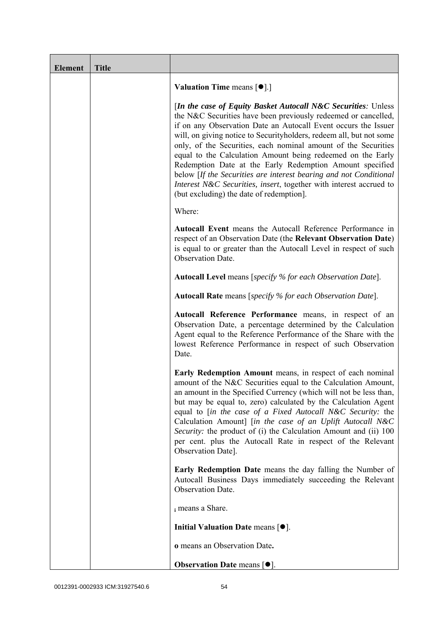| <b>Element</b> | <b>Title</b> |                                                                                                                                                                                                                                                                                                                                                                                                                                                                                                                                                                                                                                                              |
|----------------|--------------|--------------------------------------------------------------------------------------------------------------------------------------------------------------------------------------------------------------------------------------------------------------------------------------------------------------------------------------------------------------------------------------------------------------------------------------------------------------------------------------------------------------------------------------------------------------------------------------------------------------------------------------------------------------|
|                |              | <b>Valuation Time means <math>\lceil \bullet \rceil</math>.</b>                                                                                                                                                                                                                                                                                                                                                                                                                                                                                                                                                                                              |
|                |              | [In the case of Equity Basket Autocall N&C Securities: Unless<br>the N&C Securities have been previously redeemed or cancelled,<br>if on any Observation Date an Autocall Event occurs the Issuer<br>will, on giving notice to Securityholders, redeem all, but not some<br>only, of the Securities, each nominal amount of the Securities<br>equal to the Calculation Amount being redeemed on the Early<br>Redemption Date at the Early Redemption Amount specified<br>below [If the Securities are interest bearing and not Conditional<br>Interest N&C Securities, insert, together with interest accrued to<br>(but excluding) the date of redemption]. |
|                |              | Where:                                                                                                                                                                                                                                                                                                                                                                                                                                                                                                                                                                                                                                                       |
|                |              | Autocall Event means the Autocall Reference Performance in<br>respect of an Observation Date (the Relevant Observation Date)<br>is equal to or greater than the Autocall Level in respect of such<br>Observation Date.                                                                                                                                                                                                                                                                                                                                                                                                                                       |
|                |              | <b>Autocall Level</b> means [specify % for each Observation Date].                                                                                                                                                                                                                                                                                                                                                                                                                                                                                                                                                                                           |
|                |              | <b>Autocall Rate</b> means [specify % for each Observation Date].                                                                                                                                                                                                                                                                                                                                                                                                                                                                                                                                                                                            |
|                |              | Autocall Reference Performance means, in respect of an<br>Observation Date, a percentage determined by the Calculation<br>Agent equal to the Reference Performance of the Share with the<br>lowest Reference Performance in respect of such Observation<br>Date.                                                                                                                                                                                                                                                                                                                                                                                             |
|                |              | Early Redemption Amount means, in respect of each nominal<br>amount of the N&C Securities equal to the Calculation Amount,<br>an amount in the Specified Currency (which will not be less than,<br>but may be equal to, zero) calculated by the Calculation Agent<br>equal to [in the case of a Fixed Autocall N&C Security: the<br>Calculation Amount] [in the case of an Uplift Autocall N&C<br>Security: the product of (i) the Calculation Amount and (ii) 100<br>per cent. plus the Autocall Rate in respect of the Relevant<br>Observation Date].                                                                                                      |
|                |              | <b>Early Redemption Date</b> means the day falling the Number of<br>Autocall Business Days immediately succeeding the Relevant<br>Observation Date.                                                                                                                                                                                                                                                                                                                                                                                                                                                                                                          |
|                |              | i means a Share.                                                                                                                                                                                                                                                                                                                                                                                                                                                                                                                                                                                                                                             |
|                |              | Initial Valuation Date means $[•]$ .                                                                                                                                                                                                                                                                                                                                                                                                                                                                                                                                                                                                                         |
|                |              | o means an Observation Date.                                                                                                                                                                                                                                                                                                                                                                                                                                                                                                                                                                                                                                 |
|                |              | <b>Observation Date means <math>[•]</math>.</b>                                                                                                                                                                                                                                                                                                                                                                                                                                                                                                                                                                                                              |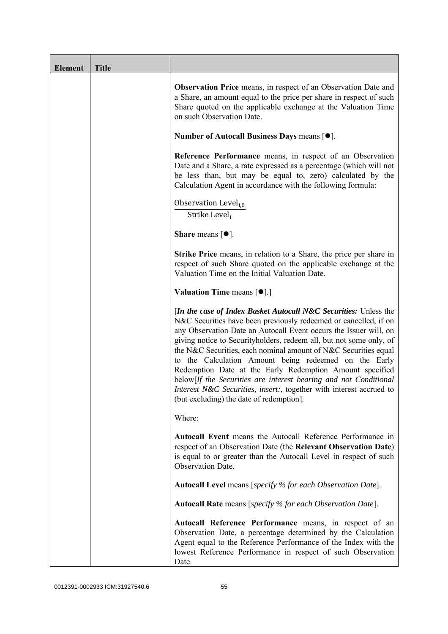| <b>Element</b> | <b>Title</b> |                                                                                                                                                                                                                                                                                                                                                                                                                                                                                                                                                                                                                                                                          |
|----------------|--------------|--------------------------------------------------------------------------------------------------------------------------------------------------------------------------------------------------------------------------------------------------------------------------------------------------------------------------------------------------------------------------------------------------------------------------------------------------------------------------------------------------------------------------------------------------------------------------------------------------------------------------------------------------------------------------|
|                |              | <b>Observation Price</b> means, in respect of an Observation Date and<br>a Share, an amount equal to the price per share in respect of such<br>Share quoted on the applicable exchange at the Valuation Time<br>on such Observation Date.                                                                                                                                                                                                                                                                                                                                                                                                                                |
|                |              | Number of Autocall Business Days means [●].                                                                                                                                                                                                                                                                                                                                                                                                                                                                                                                                                                                                                              |
|                |              | Reference Performance means, in respect of an Observation<br>Date and a Share, a rate expressed as a percentage (which will not<br>be less than, but may be equal to, zero) calculated by the<br>Calculation Agent in accordance with the following formula:                                                                                                                                                                                                                                                                                                                                                                                                             |
|                |              | Observation Level <sub>i,0</sub><br>Strike Level,                                                                                                                                                                                                                                                                                                                                                                                                                                                                                                                                                                                                                        |
|                |              | <b>Share</b> means $\lceil \bullet \rceil$ .                                                                                                                                                                                                                                                                                                                                                                                                                                                                                                                                                                                                                             |
|                |              | <b>Strike Price</b> means, in relation to a Share, the price per share in<br>respect of such Share quoted on the applicable exchange at the<br>Valuation Time on the Initial Valuation Date.                                                                                                                                                                                                                                                                                                                                                                                                                                                                             |
|                |              | <b>Valuation Time means <math>\lceil \bullet \rceil</math>.</b>                                                                                                                                                                                                                                                                                                                                                                                                                                                                                                                                                                                                          |
|                |              | <i>In the case of Index Basket Autocall N&amp;C Securities: Unless the</i><br>N&C Securities have been previously redeemed or cancelled, if on<br>any Observation Date an Autocall Event occurs the Issuer will, on<br>giving notice to Securityholders, redeem all, but not some only, of<br>the N&C Securities, each nominal amount of N&C Securities equal<br>to the Calculation Amount being redeemed on the Early<br>Redemption Date at the Early Redemption Amount specified<br>below[If the Securities are interest bearing and not Conditional<br>Interest N&C Securities, insert:, together with interest accrued to<br>(but excluding) the date of redemption. |
|                |              | Where:                                                                                                                                                                                                                                                                                                                                                                                                                                                                                                                                                                                                                                                                   |
|                |              | Autocall Event means the Autocall Reference Performance in<br>respect of an Observation Date (the Relevant Observation Date)<br>is equal to or greater than the Autocall Level in respect of such<br>Observation Date.                                                                                                                                                                                                                                                                                                                                                                                                                                                   |
|                |              | <b>Autocall Level</b> means [specify % for each Observation Date].                                                                                                                                                                                                                                                                                                                                                                                                                                                                                                                                                                                                       |
|                |              | <b>Autocall Rate</b> means [specify % for each Observation Date].                                                                                                                                                                                                                                                                                                                                                                                                                                                                                                                                                                                                        |
|                |              | Autocall Reference Performance means, in respect of an<br>Observation Date, a percentage determined by the Calculation<br>Agent equal to the Reference Performance of the Index with the<br>lowest Reference Performance in respect of such Observation<br>Date.                                                                                                                                                                                                                                                                                                                                                                                                         |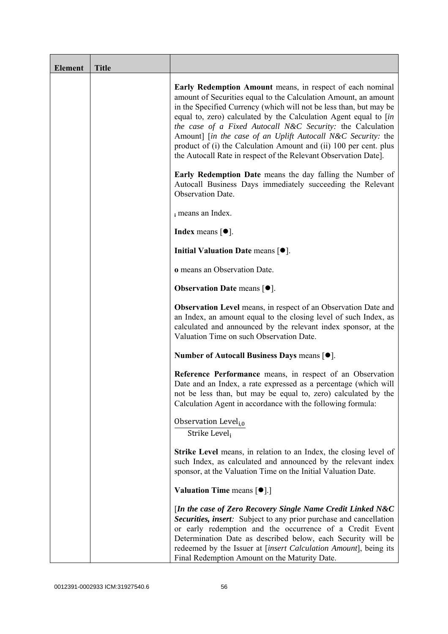| <b>Element</b> | <b>Title</b> |                                                                                                                                                                                                                                                                                                                                                                                                                                                                                                                                              |
|----------------|--------------|----------------------------------------------------------------------------------------------------------------------------------------------------------------------------------------------------------------------------------------------------------------------------------------------------------------------------------------------------------------------------------------------------------------------------------------------------------------------------------------------------------------------------------------------|
|                |              | Early Redemption Amount means, in respect of each nominal<br>amount of Securities equal to the Calculation Amount, an amount<br>in the Specified Currency (which will not be less than, but may be<br>equal to, zero) calculated by the Calculation Agent equal to [in<br>the case of a Fixed Autocall N&C Security: the Calculation<br>Amount] [in the case of an Uplift Autocall N&C Security: the<br>product of (i) the Calculation Amount and (ii) 100 per cent. plus<br>the Autocall Rate in respect of the Relevant Observation Date]. |
|                |              | <b>Early Redemption Date</b> means the day falling the Number of<br>Autocall Business Days immediately succeeding the Relevant<br>Observation Date.                                                                                                                                                                                                                                                                                                                                                                                          |
|                |              | i means an Index.                                                                                                                                                                                                                                                                                                                                                                                                                                                                                                                            |
|                |              | <b>Index</b> means $\lceil \bullet \rceil$ .                                                                                                                                                                                                                                                                                                                                                                                                                                                                                                 |
|                |              | Initial Valuation Date means $[•]$ .                                                                                                                                                                                                                                                                                                                                                                                                                                                                                                         |
|                |              | o means an Observation Date.                                                                                                                                                                                                                                                                                                                                                                                                                                                                                                                 |
|                |              | <b>Observation Date means <math>[•]</math>.</b>                                                                                                                                                                                                                                                                                                                                                                                                                                                                                              |
|                |              | <b>Observation Level</b> means, in respect of an Observation Date and<br>an Index, an amount equal to the closing level of such Index, as<br>calculated and announced by the relevant index sponsor, at the<br>Valuation Time on such Observation Date.                                                                                                                                                                                                                                                                                      |
|                |              | Number of Autocall Business Days means [●].                                                                                                                                                                                                                                                                                                                                                                                                                                                                                                  |
|                |              | Reference Performance means, in respect of an Observation<br>Date and an Index, a rate expressed as a percentage (which will<br>not be less than, but may be equal to, zero) calculated by the<br>Calculation Agent in accordance with the following formula:                                                                                                                                                                                                                                                                                |
|                |              | Observation Level <sub>i,0</sub><br>Strike Leveli                                                                                                                                                                                                                                                                                                                                                                                                                                                                                            |
|                |              | <b>Strike Level</b> means, in relation to an Index, the closing level of<br>such Index, as calculated and announced by the relevant index<br>sponsor, at the Valuation Time on the Initial Valuation Date.                                                                                                                                                                                                                                                                                                                                   |
|                |              | <b>Valuation Time means <math>[\bullet]</math>.</b> ]                                                                                                                                                                                                                                                                                                                                                                                                                                                                                        |
|                |              | [In the case of Zero Recovery Single Name Credit Linked N&C<br>Securities, insert: Subject to any prior purchase and cancellation<br>or early redemption and the occurrence of a Credit Event<br>Determination Date as described below, each Security will be<br>redeemed by the Issuer at [insert Calculation Amount], being its<br>Final Redemption Amount on the Maturity Date.                                                                                                                                                           |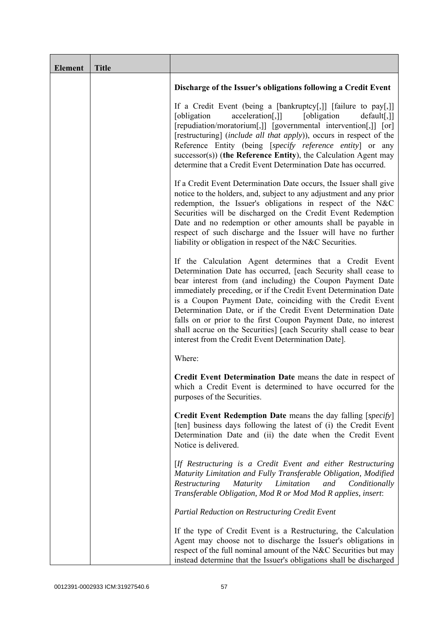| <b>Element</b> | <b>Title</b> |                                                                                                                                                                                                                                                                                                                                                                                                                                                                                                                                                                                            |
|----------------|--------------|--------------------------------------------------------------------------------------------------------------------------------------------------------------------------------------------------------------------------------------------------------------------------------------------------------------------------------------------------------------------------------------------------------------------------------------------------------------------------------------------------------------------------------------------------------------------------------------------|
|                |              | Discharge of the Issuer's obligations following a Credit Event                                                                                                                                                                                                                                                                                                                                                                                                                                                                                                                             |
|                |              | If a Credit Event (being a [bankruptcy[,]] [failure to pay[,]]<br>[obligation]<br>[obligation]<br>acceleration[,]]<br>$default[,$ ]]<br>[repudiation/moratorium[,]] [governmental intervention[,]] [or]<br>[restructuring] (include all that apply)), occurs in respect of the<br>Reference Entity (being [specify reference entity] or any<br>$successor(s)$ ) (the Reference Entity), the Calculation Agent may<br>determine that a Credit Event Determination Date has occurred.                                                                                                        |
|                |              | If a Credit Event Determination Date occurs, the Issuer shall give<br>notice to the holders, and, subject to any adjustment and any prior<br>redemption, the Issuer's obligations in respect of the N&C<br>Securities will be discharged on the Credit Event Redemption<br>Date and no redemption or other amounts shall be payable in<br>respect of such discharge and the Issuer will have no further<br>liability or obligation in respect of the N&C Securities.                                                                                                                       |
|                |              | If the Calculation Agent determines that a Credit Event<br>Determination Date has occurred, [each Security shall cease to<br>bear interest from (and including) the Coupon Payment Date<br>immediately preceding, or if the Credit Event Determination Date<br>is a Coupon Payment Date, coinciding with the Credit Event<br>Determination Date, or if the Credit Event Determination Date<br>falls on or prior to the first Coupon Payment Date, no interest<br>shall accrue on the Securities] [each Security shall cease to bear<br>interest from the Credit Event Determination Date]. |
|                |              | Where:                                                                                                                                                                                                                                                                                                                                                                                                                                                                                                                                                                                     |
|                |              | Credit Event Determination Date means the date in respect of<br>which a Credit Event is determined to have occurred for the<br>purposes of the Securities.                                                                                                                                                                                                                                                                                                                                                                                                                                 |
|                |              | <b>Credit Event Redemption Date</b> means the day falling [specify]<br>[ten] business days following the latest of (i) the Credit Event<br>Determination Date and (ii) the date when the Credit Event<br>Notice is delivered.                                                                                                                                                                                                                                                                                                                                                              |
|                |              | [If Restructuring is a Credit Event and either Restructuring<br>Maturity Limitation and Fully Transferable Obligation, Modified<br>Restructuring<br><i>Maturity</i><br>Limitation<br>and<br>Conditionally<br>Transferable Obligation, Mod R or Mod Mod R applies, insert:                                                                                                                                                                                                                                                                                                                  |
|                |              | Partial Reduction on Restructuring Credit Event                                                                                                                                                                                                                                                                                                                                                                                                                                                                                                                                            |
|                |              | If the type of Credit Event is a Restructuring, the Calculation<br>Agent may choose not to discharge the Issuer's obligations in<br>respect of the full nominal amount of the N&C Securities but may<br>instead determine that the Issuer's obligations shall be discharged                                                                                                                                                                                                                                                                                                                |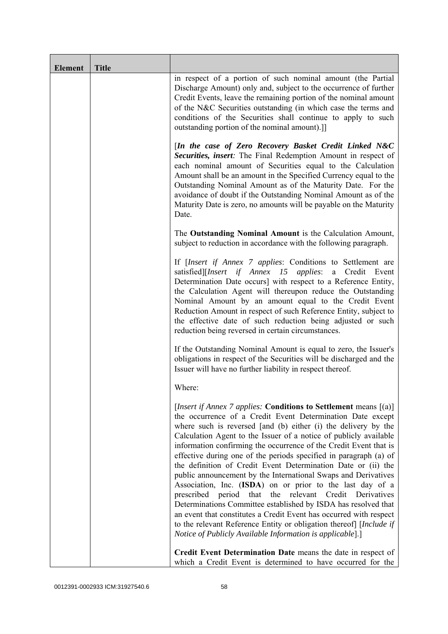| <b>Element</b> | <b>Title</b> |                                                                                                                                                                                                                                                                                                                                                                                                                                                                                                                                                                                                                                                                                                                                                                                                                                                                                                                                                                |
|----------------|--------------|----------------------------------------------------------------------------------------------------------------------------------------------------------------------------------------------------------------------------------------------------------------------------------------------------------------------------------------------------------------------------------------------------------------------------------------------------------------------------------------------------------------------------------------------------------------------------------------------------------------------------------------------------------------------------------------------------------------------------------------------------------------------------------------------------------------------------------------------------------------------------------------------------------------------------------------------------------------|
|                |              | in respect of a portion of such nominal amount (the Partial<br>Discharge Amount) only and, subject to the occurrence of further<br>Credit Events, leave the remaining portion of the nominal amount<br>of the N&C Securities outstanding (in which case the terms and<br>conditions of the Securities shall continue to apply to such<br>outstanding portion of the nominal amount).]                                                                                                                                                                                                                                                                                                                                                                                                                                                                                                                                                                          |
|                |              | [In the case of Zero Recovery Basket Credit Linked N&C<br>Securities, insert: The Final Redemption Amount in respect of<br>each nominal amount of Securities equal to the Calculation<br>Amount shall be an amount in the Specified Currency equal to the<br>Outstanding Nominal Amount as of the Maturity Date. For the<br>avoidance of doubt if the Outstanding Nominal Amount as of the<br>Maturity Date is zero, no amounts will be payable on the Maturity<br>Date.                                                                                                                                                                                                                                                                                                                                                                                                                                                                                       |
|                |              | The Outstanding Nominal Amount is the Calculation Amount,<br>subject to reduction in accordance with the following paragraph.                                                                                                                                                                                                                                                                                                                                                                                                                                                                                                                                                                                                                                                                                                                                                                                                                                  |
|                |              | If <i>[Insert if Annex 7 applies: Conditions to Settlement are</i><br>satisfied][Insert if Annex 15 applies: a Credit<br>Event<br>Determination Date occurs] with respect to a Reference Entity,<br>the Calculation Agent will thereupon reduce the Outstanding<br>Nominal Amount by an amount equal to the Credit Event<br>Reduction Amount in respect of such Reference Entity, subject to<br>the effective date of such reduction being adjusted or such<br>reduction being reversed in certain circumstances.                                                                                                                                                                                                                                                                                                                                                                                                                                              |
|                |              | If the Outstanding Nominal Amount is equal to zero, the Issuer's<br>obligations in respect of the Securities will be discharged and the<br>Issuer will have no further liability in respect thereof.                                                                                                                                                                                                                                                                                                                                                                                                                                                                                                                                                                                                                                                                                                                                                           |
|                |              | Where:                                                                                                                                                                                                                                                                                                                                                                                                                                                                                                                                                                                                                                                                                                                                                                                                                                                                                                                                                         |
|                |              | [Insert if Annex 7 applies: Conditions to Settlement means [(a)]<br>the occurrence of a Credit Event Determination Date except<br>where such is reversed [and (b) either (i) the delivery by the<br>Calculation Agent to the Issuer of a notice of publicly available<br>information confirming the occurrence of the Credit Event that is<br>effective during one of the periods specified in paragraph (a) of<br>the definition of Credit Event Determination Date or (ii) the<br>public announcement by the International Swaps and Derivatives<br>Association, Inc. (ISDA) on or prior to the last day of a<br>that the relevant Credit<br>prescribed<br>period<br>Derivatives<br>Determinations Committee established by ISDA has resolved that<br>an event that constitutes a Credit Event has occurred with respect<br>to the relevant Reference Entity or obligation thereof] [Include if<br>Notice of Publicly Available Information is applicable].] |
|                |              | Credit Event Determination Date means the date in respect of<br>which a Credit Event is determined to have occurred for the                                                                                                                                                                                                                                                                                                                                                                                                                                                                                                                                                                                                                                                                                                                                                                                                                                    |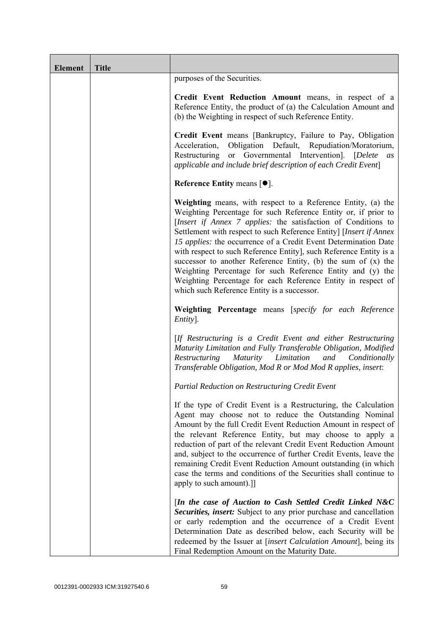| <b>Element</b> | <b>Title</b> |                                                                                                                                                                                                                                                                                                                                                                                                                                                                                                                                                                                                                                                                |
|----------------|--------------|----------------------------------------------------------------------------------------------------------------------------------------------------------------------------------------------------------------------------------------------------------------------------------------------------------------------------------------------------------------------------------------------------------------------------------------------------------------------------------------------------------------------------------------------------------------------------------------------------------------------------------------------------------------|
|                |              | purposes of the Securities.                                                                                                                                                                                                                                                                                                                                                                                                                                                                                                                                                                                                                                    |
|                |              | Credit Event Reduction Amount means, in respect of a<br>Reference Entity, the product of (a) the Calculation Amount and<br>(b) the Weighting in respect of such Reference Entity.                                                                                                                                                                                                                                                                                                                                                                                                                                                                              |
|                |              | Credit Event means [Bankruptcy, Failure to Pay, Obligation<br>Obligation Default, Repudiation/Moratorium,<br>Acceleration,<br>Restructuring or Governmental Intervention]. [Delete<br>as<br>applicable and include brief description of each Credit Event]                                                                                                                                                                                                                                                                                                                                                                                                     |
|                |              | Reference Entity means $[•]$ .                                                                                                                                                                                                                                                                                                                                                                                                                                                                                                                                                                                                                                 |
|                |              | Weighting means, with respect to a Reference Entity, (a) the<br>Weighting Percentage for such Reference Entity or, if prior to<br>[Insert if Annex 7 applies: the satisfaction of Conditions to<br>Settlement with respect to such Reference Entity] [Insert if Annex<br>15 applies: the occurrence of a Credit Event Determination Date<br>with respect to such Reference Entity], such Reference Entity is a<br>successor to another Reference Entity, (b) the sum of $(x)$ the<br>Weighting Percentage for such Reference Entity and (y) the<br>Weighting Percentage for each Reference Entity in respect of<br>which such Reference Entity is a successor. |
|                |              | Weighting Percentage means [specify for each Reference<br>Entity].                                                                                                                                                                                                                                                                                                                                                                                                                                                                                                                                                                                             |
|                |              | [If Restructuring is a Credit Event and either Restructuring<br>Maturity Limitation and Fully Transferable Obligation, Modified<br>Maturity Limitation<br>Restructuring<br>and<br>Conditionally<br>Transferable Obligation, Mod R or Mod Mod R applies, insert:                                                                                                                                                                                                                                                                                                                                                                                                |
|                |              | Partial Reduction on Restructuring Credit Event                                                                                                                                                                                                                                                                                                                                                                                                                                                                                                                                                                                                                |
|                |              | If the type of Credit Event is a Restructuring, the Calculation<br>Agent may choose not to reduce the Outstanding Nominal<br>Amount by the full Credit Event Reduction Amount in respect of<br>the relevant Reference Entity, but may choose to apply a<br>reduction of part of the relevant Credit Event Reduction Amount<br>and, subject to the occurrence of further Credit Events, leave the<br>remaining Credit Event Reduction Amount outstanding (in which<br>case the terms and conditions of the Securities shall continue to<br>apply to such amount).]                                                                                              |
|                |              | [In the case of Auction to Cash Settled Credit Linked N&C<br>Securities, insert: Subject to any prior purchase and cancellation<br>or early redemption and the occurrence of a Credit Event<br>Determination Date as described below, each Security will be<br>redeemed by the Issuer at [insert Calculation Amount], being its<br>Final Redemption Amount on the Maturity Date.                                                                                                                                                                                                                                                                               |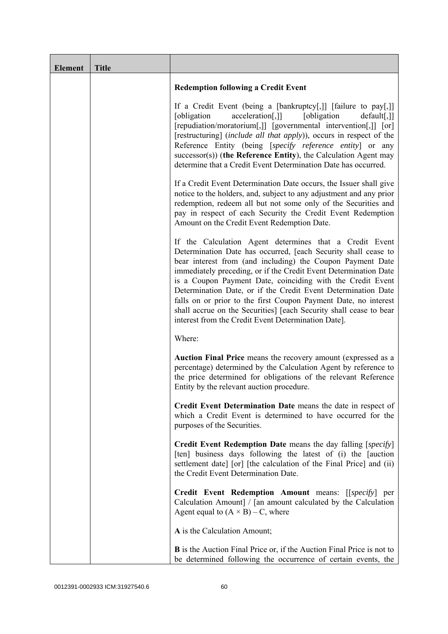| <b>Element</b> | <b>Title</b> |                                                                                                                                                                                                                                                                                                                                                                                                                                                                                                                                                                                            |
|----------------|--------------|--------------------------------------------------------------------------------------------------------------------------------------------------------------------------------------------------------------------------------------------------------------------------------------------------------------------------------------------------------------------------------------------------------------------------------------------------------------------------------------------------------------------------------------------------------------------------------------------|
|                |              | <b>Redemption following a Credit Event</b>                                                                                                                                                                                                                                                                                                                                                                                                                                                                                                                                                 |
|                |              | If a Credit Event (being a [bankruptcy[,]] [failure to pay[,]]<br>acceleration[,]]<br>[obligation]<br>[obligation]<br>$default[,$ ]]<br>[repudiation/moratorium[,]] [governmental intervention[,]] [or]<br>[restructuring] (include all that apply)), occurs in respect of the<br>Reference Entity (being [specify reference entity] or any<br>$successor(s)$ ) (the Reference Entity), the Calculation Agent may<br>determine that a Credit Event Determination Date has occurred.                                                                                                        |
|                |              | If a Credit Event Determination Date occurs, the Issuer shall give<br>notice to the holders, and, subject to any adjustment and any prior<br>redemption, redeem all but not some only of the Securities and<br>pay in respect of each Security the Credit Event Redemption<br>Amount on the Credit Event Redemption Date.                                                                                                                                                                                                                                                                  |
|                |              | If the Calculation Agent determines that a Credit Event<br>Determination Date has occurred, [each Security shall cease to<br>bear interest from (and including) the Coupon Payment Date<br>immediately preceding, or if the Credit Event Determination Date<br>is a Coupon Payment Date, coinciding with the Credit Event<br>Determination Date, or if the Credit Event Determination Date<br>falls on or prior to the first Coupon Payment Date, no interest<br>shall accrue on the Securities] [each Security shall cease to bear<br>interest from the Credit Event Determination Date]. |
|                |              | Where:                                                                                                                                                                                                                                                                                                                                                                                                                                                                                                                                                                                     |
|                |              | Auction Final Price means the recovery amount (expressed as a<br>percentage) determined by the Calculation Agent by reference to<br>the price determined for obligations of the relevant Reference<br>Entity by the relevant auction procedure.                                                                                                                                                                                                                                                                                                                                            |
|                |              | Credit Event Determination Date means the date in respect of<br>which a Credit Event is determined to have occurred for the<br>purposes of the Securities.                                                                                                                                                                                                                                                                                                                                                                                                                                 |
|                |              | <b>Credit Event Redemption Date</b> means the day falling [specify]<br>[ten] business days following the latest of (i) the [auction<br>settlement date] [or] [the calculation of the Final Price] and (ii)<br>the Credit Event Determination Date.                                                                                                                                                                                                                                                                                                                                         |
|                |              | Credit Event Redemption Amount means: [[specify] per<br>Calculation Amount] / [an amount calculated by the Calculation<br>Agent equal to $(A \times B) - C$ , where                                                                                                                                                                                                                                                                                                                                                                                                                        |
|                |              | A is the Calculation Amount;                                                                                                                                                                                                                                                                                                                                                                                                                                                                                                                                                               |
|                |              | <b>B</b> is the Auction Final Price or, if the Auction Final Price is not to<br>be determined following the occurrence of certain events, the                                                                                                                                                                                                                                                                                                                                                                                                                                              |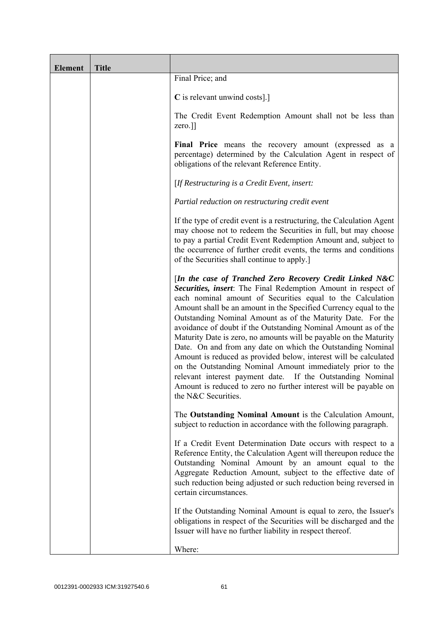| <b>Element</b> | <b>Title</b> |                                                                                                                                                                                                                                                                                                                                                                                                                                                                                                                                                                                                                                                                                                                                                                                                                             |
|----------------|--------------|-----------------------------------------------------------------------------------------------------------------------------------------------------------------------------------------------------------------------------------------------------------------------------------------------------------------------------------------------------------------------------------------------------------------------------------------------------------------------------------------------------------------------------------------------------------------------------------------------------------------------------------------------------------------------------------------------------------------------------------------------------------------------------------------------------------------------------|
|                |              | Final Price; and                                                                                                                                                                                                                                                                                                                                                                                                                                                                                                                                                                                                                                                                                                                                                                                                            |
|                |              | C is relevant unwind costs].]                                                                                                                                                                                                                                                                                                                                                                                                                                                                                                                                                                                                                                                                                                                                                                                               |
|                |              | The Credit Event Redemption Amount shall not be less than<br>zero.]]                                                                                                                                                                                                                                                                                                                                                                                                                                                                                                                                                                                                                                                                                                                                                        |
|                |              | Final Price means the recovery amount (expressed as a<br>percentage) determined by the Calculation Agent in respect of<br>obligations of the relevant Reference Entity.                                                                                                                                                                                                                                                                                                                                                                                                                                                                                                                                                                                                                                                     |
|                |              | [If Restructuring is a Credit Event, insert:                                                                                                                                                                                                                                                                                                                                                                                                                                                                                                                                                                                                                                                                                                                                                                                |
|                |              | Partial reduction on restructuring credit event                                                                                                                                                                                                                                                                                                                                                                                                                                                                                                                                                                                                                                                                                                                                                                             |
|                |              | If the type of credit event is a restructuring, the Calculation Agent<br>may choose not to redeem the Securities in full, but may choose<br>to pay a partial Credit Event Redemption Amount and, subject to<br>the occurrence of further credit events, the terms and conditions<br>of the Securities shall continue to apply.]                                                                                                                                                                                                                                                                                                                                                                                                                                                                                             |
|                |              | [In the case of Tranched Zero Recovery Credit Linked N&C<br>Securities, insert: The Final Redemption Amount in respect of<br>each nominal amount of Securities equal to the Calculation<br>Amount shall be an amount in the Specified Currency equal to the<br>Outstanding Nominal Amount as of the Maturity Date. For the<br>avoidance of doubt if the Outstanding Nominal Amount as of the<br>Maturity Date is zero, no amounts will be payable on the Maturity<br>Date. On and from any date on which the Outstanding Nominal<br>Amount is reduced as provided below, interest will be calculated<br>on the Outstanding Nominal Amount immediately prior to the<br>relevant interest payment date. If the Outstanding Nominal<br>Amount is reduced to zero no further interest will be payable on<br>the N&C Securities. |
|                |              | The Outstanding Nominal Amount is the Calculation Amount,<br>subject to reduction in accordance with the following paragraph.                                                                                                                                                                                                                                                                                                                                                                                                                                                                                                                                                                                                                                                                                               |
|                |              | If a Credit Event Determination Date occurs with respect to a<br>Reference Entity, the Calculation Agent will thereupon reduce the<br>Outstanding Nominal Amount by an amount equal to the<br>Aggregate Reduction Amount, subject to the effective date of<br>such reduction being adjusted or such reduction being reversed in<br>certain circumstances.                                                                                                                                                                                                                                                                                                                                                                                                                                                                   |
|                |              | If the Outstanding Nominal Amount is equal to zero, the Issuer's<br>obligations in respect of the Securities will be discharged and the<br>Issuer will have no further liability in respect thereof.                                                                                                                                                                                                                                                                                                                                                                                                                                                                                                                                                                                                                        |
|                |              | Where:                                                                                                                                                                                                                                                                                                                                                                                                                                                                                                                                                                                                                                                                                                                                                                                                                      |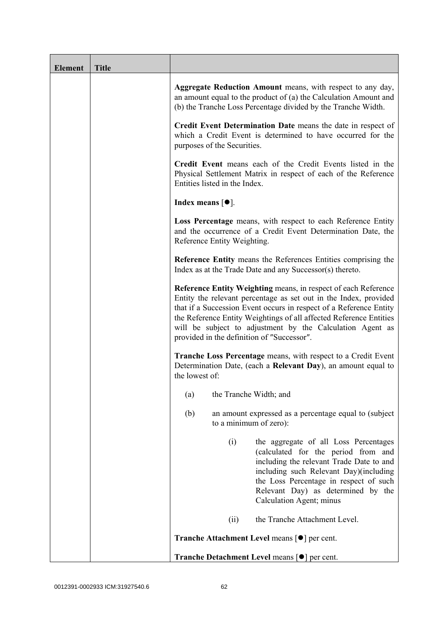| <b>Element</b> | <b>Title</b> |                                                                                                                                                                                                                                                                                                                                                                                           |
|----------------|--------------|-------------------------------------------------------------------------------------------------------------------------------------------------------------------------------------------------------------------------------------------------------------------------------------------------------------------------------------------------------------------------------------------|
|                |              | Aggregate Reduction Amount means, with respect to any day,<br>an amount equal to the product of (a) the Calculation Amount and<br>(b) the Tranche Loss Percentage divided by the Tranche Width.                                                                                                                                                                                           |
|                |              | Credit Event Determination Date means the date in respect of<br>which a Credit Event is determined to have occurred for the<br>purposes of the Securities.                                                                                                                                                                                                                                |
|                |              | Credit Event means each of the Credit Events listed in the<br>Physical Settlement Matrix in respect of each of the Reference<br>Entities listed in the Index.                                                                                                                                                                                                                             |
|                |              | Index means $[①]$ .                                                                                                                                                                                                                                                                                                                                                                       |
|                |              | Loss Percentage means, with respect to each Reference Entity<br>and the occurrence of a Credit Event Determination Date, the<br>Reference Entity Weighting.                                                                                                                                                                                                                               |
|                |              | <b>Reference Entity means the References Entities comprising the</b><br>Index as at the Trade Date and any Successor(s) thereto.                                                                                                                                                                                                                                                          |
|                |              | Reference Entity Weighting means, in respect of each Reference<br>Entity the relevant percentage as set out in the Index, provided<br>that if a Succession Event occurs in respect of a Reference Entity<br>the Reference Entity Weightings of all affected Reference Entities<br>will be subject to adjustment by the Calculation Agent as<br>provided in the definition of "Successor". |
|                |              | <b>Tranche Loss Percentage</b> means, with respect to a Credit Event<br>Determination Date, (each a Relevant Day), an amount equal to<br>the lowest of:                                                                                                                                                                                                                                   |
|                |              | the Tranche Width; and<br>(a)                                                                                                                                                                                                                                                                                                                                                             |
|                |              | (b)<br>an amount expressed as a percentage equal to (subject)<br>to a minimum of zero):                                                                                                                                                                                                                                                                                                   |
|                |              | (i)<br>the aggregate of all Loss Percentages<br>(calculated for the period from and<br>including the relevant Trade Date to and<br>including such Relevant Day)(including<br>the Loss Percentage in respect of such<br>Relevant Day) as determined by the<br>Calculation Agent; minus                                                                                                     |
|                |              | the Tranche Attachment Level.<br>(ii)                                                                                                                                                                                                                                                                                                                                                     |
|                |              | <b>Tranche Attachment Level means [●] per cent.</b>                                                                                                                                                                                                                                                                                                                                       |
|                |              | Tranche Detachment Level means [●] per cent.                                                                                                                                                                                                                                                                                                                                              |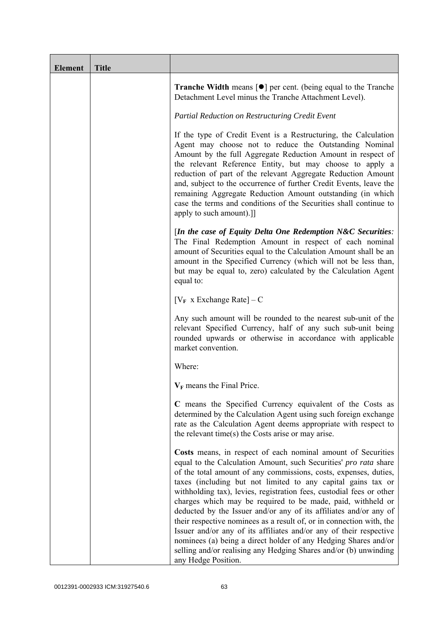| <b>Element</b> | <b>Title</b> |                                                                                                                                                                                                                                                                                                                                                                                                                                                                                                                                                                                                                                                                                                                                                                                              |
|----------------|--------------|----------------------------------------------------------------------------------------------------------------------------------------------------------------------------------------------------------------------------------------------------------------------------------------------------------------------------------------------------------------------------------------------------------------------------------------------------------------------------------------------------------------------------------------------------------------------------------------------------------------------------------------------------------------------------------------------------------------------------------------------------------------------------------------------|
|                |              | <b>Tranche Width</b> means $\lceil \bullet \rceil$ per cent. (being equal to the Tranche<br>Detachment Level minus the Tranche Attachment Level).                                                                                                                                                                                                                                                                                                                                                                                                                                                                                                                                                                                                                                            |
|                |              | Partial Reduction on Restructuring Credit Event                                                                                                                                                                                                                                                                                                                                                                                                                                                                                                                                                                                                                                                                                                                                              |
|                |              | If the type of Credit Event is a Restructuring, the Calculation<br>Agent may choose not to reduce the Outstanding Nominal<br>Amount by the full Aggregate Reduction Amount in respect of<br>the relevant Reference Entity, but may choose to apply a<br>reduction of part of the relevant Aggregate Reduction Amount<br>and, subject to the occurrence of further Credit Events, leave the<br>remaining Aggregate Reduction Amount outstanding (in which<br>case the terms and conditions of the Securities shall continue to<br>apply to such amount).]]                                                                                                                                                                                                                                    |
|                |              | [In the case of Equity Delta One Redemption $N\&C$ Securities:<br>The Final Redemption Amount in respect of each nominal<br>amount of Securities equal to the Calculation Amount shall be an<br>amount in the Specified Currency (which will not be less than,<br>but may be equal to, zero) calculated by the Calculation Agent<br>equal to:                                                                                                                                                                                                                                                                                                                                                                                                                                                |
|                |              | $[V_F \times Exchange Rate] - C$                                                                                                                                                                                                                                                                                                                                                                                                                                                                                                                                                                                                                                                                                                                                                             |
|                |              | Any such amount will be rounded to the nearest sub-unit of the<br>relevant Specified Currency, half of any such sub-unit being<br>rounded upwards or otherwise in accordance with applicable<br>market convention.                                                                                                                                                                                                                                                                                                                                                                                                                                                                                                                                                                           |
|                |              | Where:                                                                                                                                                                                                                                                                                                                                                                                                                                                                                                                                                                                                                                                                                                                                                                                       |
|                |              | $V_F$ means the Final Price.                                                                                                                                                                                                                                                                                                                                                                                                                                                                                                                                                                                                                                                                                                                                                                 |
|                |              | C means the Specified Currency equivalent of the Costs as<br>determined by the Calculation Agent using such foreign exchange<br>rate as the Calculation Agent deems appropriate with respect to<br>the relevant time(s) the Costs arise or may arise.                                                                                                                                                                                                                                                                                                                                                                                                                                                                                                                                        |
|                |              | Costs means, in respect of each nominal amount of Securities<br>equal to the Calculation Amount, such Securities' pro rata share<br>of the total amount of any commissions, costs, expenses, duties,<br>taxes (including but not limited to any capital gains tax or<br>withholding tax), levies, registration fees, custodial fees or other<br>charges which may be required to be made, paid, withheld or<br>deducted by the Issuer and/or any of its affiliates and/or any of<br>their respective nominees as a result of, or in connection with, the<br>Issuer and/or any of its affiliates and/or any of their respective<br>nominees (a) being a direct holder of any Hedging Shares and/or<br>selling and/or realising any Hedging Shares and/or (b) unwinding<br>any Hedge Position. |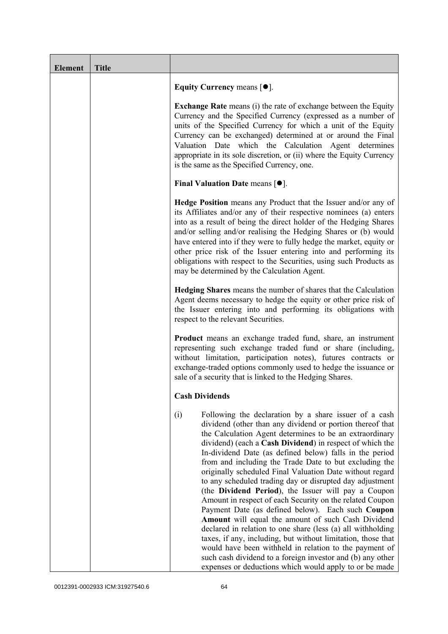| <b>Element</b> | <b>Title</b> |                                                                                                                                                                                                                                                                                                                                                                                                                                                                                                                                                                                                                                                                                                                                                                                                                                                                                                                                                                                                                                              |
|----------------|--------------|----------------------------------------------------------------------------------------------------------------------------------------------------------------------------------------------------------------------------------------------------------------------------------------------------------------------------------------------------------------------------------------------------------------------------------------------------------------------------------------------------------------------------------------------------------------------------------------------------------------------------------------------------------------------------------------------------------------------------------------------------------------------------------------------------------------------------------------------------------------------------------------------------------------------------------------------------------------------------------------------------------------------------------------------|
|                |              | Equity Currency means $[\bullet].$                                                                                                                                                                                                                                                                                                                                                                                                                                                                                                                                                                                                                                                                                                                                                                                                                                                                                                                                                                                                           |
|                |              | <b>Exchange Rate</b> means (i) the rate of exchange between the Equity<br>Currency and the Specified Currency (expressed as a number of<br>units of the Specified Currency for which a unit of the Equity<br>Currency can be exchanged) determined at or around the Final<br>Valuation Date which the Calculation Agent determines<br>appropriate in its sole discretion, or (ii) where the Equity Currency<br>is the same as the Specified Currency, one.                                                                                                                                                                                                                                                                                                                                                                                                                                                                                                                                                                                   |
|                |              | Final Valuation Date means $[•]$ .                                                                                                                                                                                                                                                                                                                                                                                                                                                                                                                                                                                                                                                                                                                                                                                                                                                                                                                                                                                                           |
|                |              | <b>Hedge Position</b> means any Product that the Issuer and/or any of<br>its Affiliates and/or any of their respective nominees (a) enters<br>into as a result of being the direct holder of the Hedging Shares<br>and/or selling and/or realising the Hedging Shares or (b) would<br>have entered into if they were to fully hedge the market, equity or<br>other price risk of the Issuer entering into and performing its<br>obligations with respect to the Securities, using such Products as<br>may be determined by the Calculation Agent.                                                                                                                                                                                                                                                                                                                                                                                                                                                                                            |
|                |              | Hedging Shares means the number of shares that the Calculation<br>Agent deems necessary to hedge the equity or other price risk of<br>the Issuer entering into and performing its obligations with<br>respect to the relevant Securities.                                                                                                                                                                                                                                                                                                                                                                                                                                                                                                                                                                                                                                                                                                                                                                                                    |
|                |              | <b>Product</b> means an exchange traded fund, share, an instrument<br>representing such exchange traded fund or share (including,<br>without limitation, participation notes), futures contracts or<br>exchange-traded options commonly used to hedge the issuance or<br>sale of a security that is linked to the Hedging Shares.                                                                                                                                                                                                                                                                                                                                                                                                                                                                                                                                                                                                                                                                                                            |
|                |              | <b>Cash Dividends</b>                                                                                                                                                                                                                                                                                                                                                                                                                                                                                                                                                                                                                                                                                                                                                                                                                                                                                                                                                                                                                        |
|                |              | (i)<br>Following the declaration by a share issuer of a cash<br>dividend (other than any dividend or portion thereof that<br>the Calculation Agent determines to be an extraordinary<br>dividend) (each a Cash Dividend) in respect of which the<br>In-dividend Date (as defined below) falls in the period<br>from and including the Trade Date to but excluding the<br>originally scheduled Final Valuation Date without regard<br>to any scheduled trading day or disrupted day adjustment<br>(the Dividend Period), the Issuer will pay a Coupon<br>Amount in respect of each Security on the related Coupon<br>Payment Date (as defined below). Each such Coupon<br>Amount will equal the amount of such Cash Dividend<br>declared in relation to one share (less (a) all withholding<br>taxes, if any, including, but without limitation, those that<br>would have been withheld in relation to the payment of<br>such cash dividend to a foreign investor and (b) any other<br>expenses or deductions which would apply to or be made |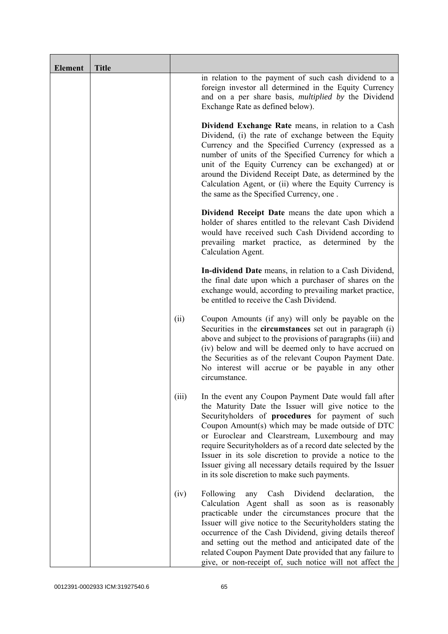| <b>Element</b> | <b>Title</b> |       |                                                                                                                                                                                                                                                                                                                                                                                                                                                                                                                       |
|----------------|--------------|-------|-----------------------------------------------------------------------------------------------------------------------------------------------------------------------------------------------------------------------------------------------------------------------------------------------------------------------------------------------------------------------------------------------------------------------------------------------------------------------------------------------------------------------|
|                |              |       | in relation to the payment of such cash dividend to a<br>foreign investor all determined in the Equity Currency<br>and on a per share basis, <i>multiplied by</i> the Dividend<br>Exchange Rate as defined below).                                                                                                                                                                                                                                                                                                    |
|                |              |       | Dividend Exchange Rate means, in relation to a Cash<br>Dividend, (i) the rate of exchange between the Equity<br>Currency and the Specified Currency (expressed as a<br>number of units of the Specified Currency for which a<br>unit of the Equity Currency can be exchanged) at or<br>around the Dividend Receipt Date, as determined by the<br>Calculation Agent, or (ii) where the Equity Currency is<br>the same as the Specified Currency, one.                                                                  |
|                |              |       | Dividend Receipt Date means the date upon which a<br>holder of shares entitled to the relevant Cash Dividend<br>would have received such Cash Dividend according to<br>prevailing market practice, as determined by the<br>Calculation Agent.                                                                                                                                                                                                                                                                         |
|                |              |       | In-dividend Date means, in relation to a Cash Dividend,<br>the final date upon which a purchaser of shares on the<br>exchange would, according to prevailing market practice,<br>be entitled to receive the Cash Dividend.                                                                                                                                                                                                                                                                                            |
|                |              | (ii)  | Coupon Amounts (if any) will only be payable on the<br>Securities in the <b>circumstances</b> set out in paragraph (i)<br>above and subject to the provisions of paragraphs (iii) and<br>(iv) below and will be deemed only to have accrued on<br>the Securities as of the relevant Coupon Payment Date.<br>No interest will accrue or be payable in any other<br>circumstance.                                                                                                                                       |
|                |              | (iii) | In the event any Coupon Payment Date would fall after<br>the Maturity Date the Issuer will give notice to the<br>Securityholders of procedures for payment of such<br>Coupon Amount(s) which may be made outside of DTC<br>or Euroclear and Clearstream, Luxembourg and may<br>require Securityholders as of a record date selected by the<br>Issuer in its sole discretion to provide a notice to the<br>Issuer giving all necessary details required by the Issuer<br>in its sole discretion to make such payments. |
|                |              | (iv)  | Following<br>Dividend<br>Cash<br>declaration,<br>the<br>any<br>Calculation Agent shall as soon as is reasonably<br>practicable under the circumstances procure that the<br>Issuer will give notice to the Securityholders stating the<br>occurrence of the Cash Dividend, giving details thereof<br>and setting out the method and anticipated date of the<br>related Coupon Payment Date provided that any failure to<br>give, or non-receipt of, such notice will not affect the                                    |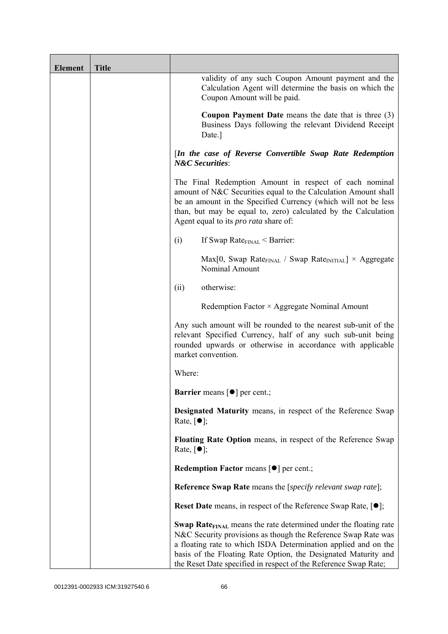| <b>Element</b> | <b>Title</b> |                                                                                                                                                                                                                                                                                                                                                             |
|----------------|--------------|-------------------------------------------------------------------------------------------------------------------------------------------------------------------------------------------------------------------------------------------------------------------------------------------------------------------------------------------------------------|
|                |              | validity of any such Coupon Amount payment and the<br>Calculation Agent will determine the basis on which the<br>Coupon Amount will be paid.                                                                                                                                                                                                                |
|                |              | <b>Coupon Payment Date</b> means the date that is three $(3)$<br>Business Days following the relevant Dividend Receipt<br>Date.]                                                                                                                                                                                                                            |
|                |              | [In the case of Reverse Convertible Swap Rate Redemption<br><b>N&amp;C</b> Securities:                                                                                                                                                                                                                                                                      |
|                |              | The Final Redemption Amount in respect of each nominal<br>amount of N&C Securities equal to the Calculation Amount shall<br>be an amount in the Specified Currency (which will not be less<br>than, but may be equal to, zero) calculated by the Calculation<br>Agent equal to its <i>pro rata</i> share of:                                                |
|                |              | If Swap Rate $_{\text{FINAL}}$ < Barrier:<br>(i)                                                                                                                                                                                                                                                                                                            |
|                |              | $Max[0, Swap Rate_{FINAL} / Swap Rate_{INITIAL}] \times Aggregate$<br>Nominal Amount                                                                                                                                                                                                                                                                        |
|                |              | otherwise:<br>(ii)                                                                                                                                                                                                                                                                                                                                          |
|                |              | Redemption Factor $\times$ Aggregate Nominal Amount                                                                                                                                                                                                                                                                                                         |
|                |              | Any such amount will be rounded to the nearest sub-unit of the<br>relevant Specified Currency, half of any such sub-unit being<br>rounded upwards or otherwise in accordance with applicable<br>market convention.                                                                                                                                          |
|                |              | Where:                                                                                                                                                                                                                                                                                                                                                      |
|                |              | <b>Barrier</b> means $\lceil \bullet \rceil$ per cent.;                                                                                                                                                                                                                                                                                                     |
|                |              | Designated Maturity means, in respect of the Reference Swap<br>Rate, $\lceil \bullet \rceil$ ;                                                                                                                                                                                                                                                              |
|                |              | Floating Rate Option means, in respect of the Reference Swap<br>Rate, $\lceil \bullet \rceil$ ;                                                                                                                                                                                                                                                             |
|                |              | <b>Redemption Factor means [O] per cent.;</b>                                                                                                                                                                                                                                                                                                               |
|                |              | <b>Reference Swap Rate</b> means the [ <i>specify relevant swap rate</i> ];                                                                                                                                                                                                                                                                                 |
|                |              | <b>Reset Date</b> means, in respect of the Reference Swap Rate, $[•]$ ;                                                                                                                                                                                                                                                                                     |
|                |              | <b>Swap Rate</b> <sub>FINAL</sub> means the rate determined under the floating rate<br>N&C Security provisions as though the Reference Swap Rate was<br>a floating rate to which ISDA Determination applied and on the<br>basis of the Floating Rate Option, the Designated Maturity and<br>the Reset Date specified in respect of the Reference Swap Rate; |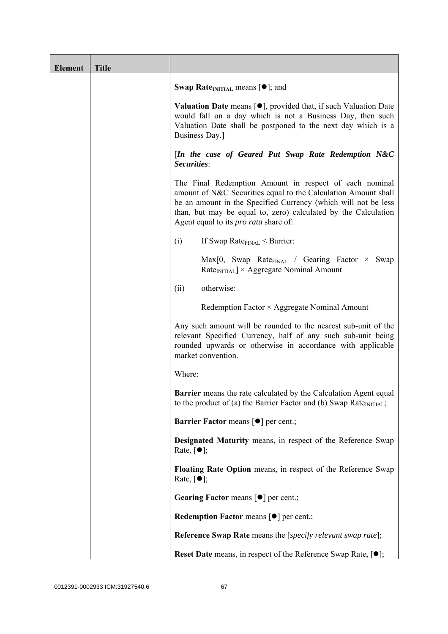| <b>Element</b> | <b>Title</b> |                                                                                                                                                                                                                                                                                                              |
|----------------|--------------|--------------------------------------------------------------------------------------------------------------------------------------------------------------------------------------------------------------------------------------------------------------------------------------------------------------|
|                |              | <b>Swap Rate</b> <sub>INITIAL</sub> means $[\bullet]$ ; and                                                                                                                                                                                                                                                  |
|                |              | <b>Valuation Date</b> means $[\bullet]$ , provided that, if such Valuation Date<br>would fall on a day which is not a Business Day, then such<br>Valuation Date shall be postponed to the next day which is a<br>Business Day.]                                                                              |
|                |              | [In the case of Geared Put Swap Rate Redemption N&C<br>Securities:                                                                                                                                                                                                                                           |
|                |              | The Final Redemption Amount in respect of each nominal<br>amount of N&C Securities equal to the Calculation Amount shall<br>be an amount in the Specified Currency (which will not be less<br>than, but may be equal to, zero) calculated by the Calculation<br>Agent equal to its <i>pro rata</i> share of: |
|                |              | If Swap Rate $_{\text{FINAL}}$ < Barrier:<br>(i)                                                                                                                                                                                                                                                             |
|                |              | $Max[0, Swap Rate_{FNAL} / Gearing Factor \times Swap$<br>$RateINITIAL$ × Aggregate Nominal Amount                                                                                                                                                                                                           |
|                |              | otherwise:<br>(ii)                                                                                                                                                                                                                                                                                           |
|                |              | Redemption Factor × Aggregate Nominal Amount                                                                                                                                                                                                                                                                 |
|                |              | Any such amount will be rounded to the nearest sub-unit of the<br>relevant Specified Currency, half of any such sub-unit being<br>rounded upwards or otherwise in accordance with applicable<br>market convention.                                                                                           |
|                |              | Where:                                                                                                                                                                                                                                                                                                       |
|                |              | <b>Barrier</b> means the rate calculated by the Calculation Agent equal<br>to the product of (a) the Barrier Factor and (b) Swap Rate <sub>INITIAL</sub> ;                                                                                                                                                   |
|                |              | <b>Barrier Factor means [<math>\bullet</math>] per cent.;</b>                                                                                                                                                                                                                                                |
|                |              | Designated Maturity means, in respect of the Reference Swap<br>Rate, $\lceil \bullet \rceil$ ;                                                                                                                                                                                                               |
|                |              | Floating Rate Option means, in respect of the Reference Swap<br>Rate, $\lceil \bullet \rceil$ ;                                                                                                                                                                                                              |
|                |              | Gearing Factor means [ $\bullet$ ] per cent.;                                                                                                                                                                                                                                                                |
|                |              | Redemption Factor means [ $\bullet$ ] per cent.;                                                                                                                                                                                                                                                             |
|                |              | <b>Reference Swap Rate</b> means the [specify relevant swap rate];                                                                                                                                                                                                                                           |
|                |              | <b>Reset Date</b> means, in respect of the Reference Swap Rate, $[•]$ ;                                                                                                                                                                                                                                      |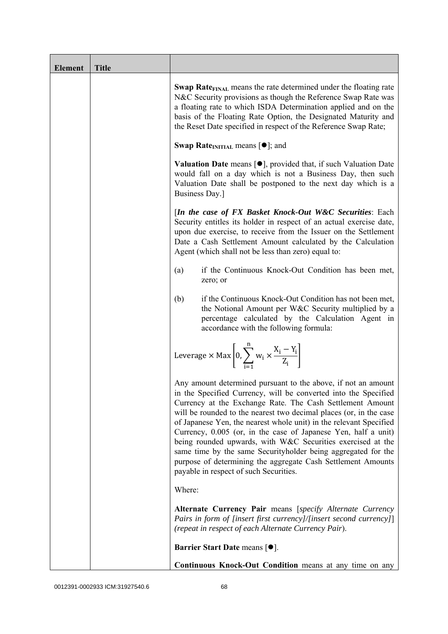| <b>Element</b> | <b>Title</b> |                                                                                                                                                                                                                                                                                                                                                                                                                                                                                                                                                                                                                                                       |
|----------------|--------------|-------------------------------------------------------------------------------------------------------------------------------------------------------------------------------------------------------------------------------------------------------------------------------------------------------------------------------------------------------------------------------------------------------------------------------------------------------------------------------------------------------------------------------------------------------------------------------------------------------------------------------------------------------|
|                |              | <b>Swap Rate</b> <sub>FINAL</sub> means the rate determined under the floating rate<br>N&C Security provisions as though the Reference Swap Rate was<br>a floating rate to which ISDA Determination applied and on the<br>basis of the Floating Rate Option, the Designated Maturity and<br>the Reset Date specified in respect of the Reference Swap Rate;                                                                                                                                                                                                                                                                                           |
|                |              | <b>Swap Rate</b> <sub>INITIAL</sub> means $[\bullet]$ ; and                                                                                                                                                                                                                                                                                                                                                                                                                                                                                                                                                                                           |
|                |              | <b>Valuation Date</b> means $[\bullet]$ , provided that, if such Valuation Date<br>would fall on a day which is not a Business Day, then such<br>Valuation Date shall be postponed to the next day which is a<br>Business Day.]                                                                                                                                                                                                                                                                                                                                                                                                                       |
|                |              | [In the case of FX Basket Knock-Out W&C Securities: Each<br>Security entitles its holder in respect of an actual exercise date,<br>upon due exercise, to receive from the Issuer on the Settlement<br>Date a Cash Settlement Amount calculated by the Calculation<br>Agent (which shall not be less than zero) equal to:                                                                                                                                                                                                                                                                                                                              |
|                |              | if the Continuous Knock-Out Condition has been met,<br>(a)<br>zero; or                                                                                                                                                                                                                                                                                                                                                                                                                                                                                                                                                                                |
|                |              | if the Continuous Knock-Out Condition has not been met,<br>(b)<br>the Notional Amount per W&C Security multiplied by a<br>percentage calculated by the Calculation Agent in<br>accordance with the following formula:                                                                                                                                                                                                                                                                                                                                                                                                                                 |
|                |              | Leverage $\times$ Max $\left[0, \sum_{i=1}^{n} w_i \times \frac{X_i - Y_i}{Z_i}\right]$                                                                                                                                                                                                                                                                                                                                                                                                                                                                                                                                                               |
|                |              | Any amount determined pursuant to the above, if not an amount<br>in the Specified Currency, will be converted into the Specified<br>Currency at the Exchange Rate. The Cash Settlement Amount<br>will be rounded to the nearest two decimal places (or, in the case<br>of Japanese Yen, the nearest whole unit) in the relevant Specified<br>Currency, 0.005 (or, in the case of Japanese Yen, half a unit)<br>being rounded upwards, with W&C Securities exercised at the<br>same time by the same Securityholder being aggregated for the<br>purpose of determining the aggregate Cash Settlement Amounts<br>payable in respect of such Securities. |
|                |              | Where:                                                                                                                                                                                                                                                                                                                                                                                                                                                                                                                                                                                                                                                |
|                |              | Alternate Currency Pair means [specify Alternate Currency<br>Pairs in form of [insert first currency]/[insert second currency]]<br>(repeat in respect of each Alternate Currency Pair).                                                                                                                                                                                                                                                                                                                                                                                                                                                               |
|                |              | <b>Barrier Start Date means [<math>\bullet</math>].</b>                                                                                                                                                                                                                                                                                                                                                                                                                                                                                                                                                                                               |
|                |              | Continuous Knock-Out Condition means at any time on any                                                                                                                                                                                                                                                                                                                                                                                                                                                                                                                                                                                               |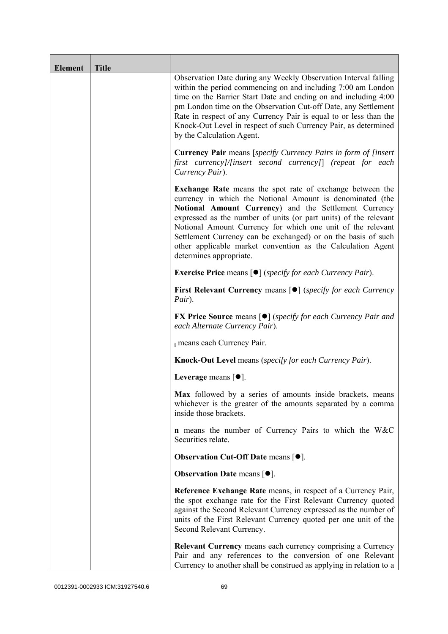| <b>Element</b> | <b>Title</b> |                                                                                                                                                                                                                                                                                                                                                                                                                                                                                      |
|----------------|--------------|--------------------------------------------------------------------------------------------------------------------------------------------------------------------------------------------------------------------------------------------------------------------------------------------------------------------------------------------------------------------------------------------------------------------------------------------------------------------------------------|
|                |              | Observation Date during any Weekly Observation Interval falling<br>within the period commencing on and including 7:00 am London<br>time on the Barrier Start Date and ending on and including 4:00<br>pm London time on the Observation Cut-off Date, any Settlement<br>Rate in respect of any Currency Pair is equal to or less than the<br>Knock-Out Level in respect of such Currency Pair, as determined<br>by the Calculation Agent.                                            |
|                |              | <b>Currency Pair</b> means [specify Currency Pairs in form of [insert]<br>first currency]/[insert second currency]] (repeat for each<br>Currency Pair).                                                                                                                                                                                                                                                                                                                              |
|                |              | <b>Exchange Rate</b> means the spot rate of exchange between the<br>currency in which the Notional Amount is denominated (the<br>Notional Amount Currency) and the Settlement Currency<br>expressed as the number of units (or part units) of the relevant<br>Notional Amount Currency for which one unit of the relevant<br>Settlement Currency can be exchanged) or on the basis of such<br>other applicable market convention as the Calculation Agent<br>determines appropriate. |
|                |              | <b>Exercise Price</b> means $\lceil \bullet \rceil$ ( <i>specify for each Currency Pair</i> ).                                                                                                                                                                                                                                                                                                                                                                                       |
|                |              | <b>First Relevant Currency means [O]</b> (specify for each Currency<br>Pair).                                                                                                                                                                                                                                                                                                                                                                                                        |
|                |              | <b>FX Price Source</b> means $\lceil \bullet \rceil$ (specify for each Currency Pair and<br>each Alternate Currency Pair).                                                                                                                                                                                                                                                                                                                                                           |
|                |              | i means each Currency Pair.                                                                                                                                                                                                                                                                                                                                                                                                                                                          |
|                |              | <b>Knock-Out Level</b> means (specify for each Currency Pair).                                                                                                                                                                                                                                                                                                                                                                                                                       |
|                |              | Leverage means $[•]$ .                                                                                                                                                                                                                                                                                                                                                                                                                                                               |
|                |              | Max followed by a series of amounts inside brackets, means<br>whichever is the greater of the amounts separated by a comma<br>inside those brackets.                                                                                                                                                                                                                                                                                                                                 |
|                |              | <b>n</b> means the number of Currency Pairs to which the W&C<br>Securities relate.                                                                                                                                                                                                                                                                                                                                                                                                   |
|                |              | <b>Observation Cut-Off Date means <math>[•]</math>.</b>                                                                                                                                                                                                                                                                                                                                                                                                                              |
|                |              | <b>Observation Date means <math>\lceil \bullet \rceil</math>.</b>                                                                                                                                                                                                                                                                                                                                                                                                                    |
|                |              | Reference Exchange Rate means, in respect of a Currency Pair,<br>the spot exchange rate for the First Relevant Currency quoted<br>against the Second Relevant Currency expressed as the number of<br>units of the First Relevant Currency quoted per one unit of the<br>Second Relevant Currency.                                                                                                                                                                                    |
|                |              | <b>Relevant Currency</b> means each currency comprising a Currency<br>Pair and any references to the conversion of one Relevant<br>Currency to another shall be construed as applying in relation to a                                                                                                                                                                                                                                                                               |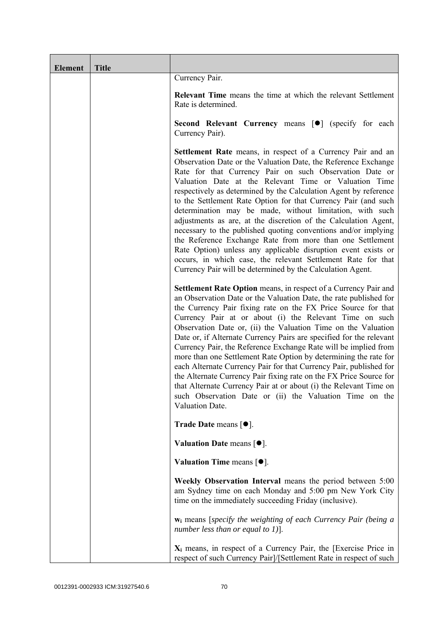| <b>Element</b> | <b>Title</b> |                                                                                                                                                                                                                                                                                                                                                                                                                                                                                                                                                                                                                                                                                                                                                                                                                                                             |
|----------------|--------------|-------------------------------------------------------------------------------------------------------------------------------------------------------------------------------------------------------------------------------------------------------------------------------------------------------------------------------------------------------------------------------------------------------------------------------------------------------------------------------------------------------------------------------------------------------------------------------------------------------------------------------------------------------------------------------------------------------------------------------------------------------------------------------------------------------------------------------------------------------------|
|                |              | Currency Pair.                                                                                                                                                                                                                                                                                                                                                                                                                                                                                                                                                                                                                                                                                                                                                                                                                                              |
|                |              | <b>Relevant Time</b> means the time at which the relevant Settlement<br>Rate is determined.                                                                                                                                                                                                                                                                                                                                                                                                                                                                                                                                                                                                                                                                                                                                                                 |
|                |              | Second Relevant Currency means [ $\bullet$ ] (specify for each<br>Currency Pair).                                                                                                                                                                                                                                                                                                                                                                                                                                                                                                                                                                                                                                                                                                                                                                           |
|                |              | <b>Settlement Rate</b> means, in respect of a Currency Pair and an<br>Observation Date or the Valuation Date, the Reference Exchange<br>Rate for that Currency Pair on such Observation Date or<br>Valuation Date at the Relevant Time or Valuation Time<br>respectively as determined by the Calculation Agent by reference<br>to the Settlement Rate Option for that Currency Pair (and such<br>determination may be made, without limitation, with such<br>adjustments as are, at the discretion of the Calculation Agent,<br>necessary to the published quoting conventions and/or implying<br>the Reference Exchange Rate from more than one Settlement<br>Rate Option) unless any applicable disruption event exists or<br>occurs, in which case, the relevant Settlement Rate for that<br>Currency Pair will be determined by the Calculation Agent. |
|                |              | Settlement Rate Option means, in respect of a Currency Pair and<br>an Observation Date or the Valuation Date, the rate published for<br>the Currency Pair fixing rate on the FX Price Source for that<br>Currency Pair at or about (i) the Relevant Time on such<br>Observation Date or, (ii) the Valuation Time on the Valuation<br>Date or, if Alternate Currency Pairs are specified for the relevant<br>Currency Pair, the Reference Exchange Rate will be implied from<br>more than one Settlement Rate Option by determining the rate for<br>each Alternate Currency Pair for that Currency Pair, published for<br>the Alternate Currency Pair fixing rate on the FX Price Source for<br>that Alternate Currency Pair at or about (i) the Relevant Time on<br>such Observation Date or (ii) the Valuation Time on the<br>Valuation Date.              |
|                |              | <b>Trade Date means <math>\lceil \bullet \rceil</math>.</b>                                                                                                                                                                                                                                                                                                                                                                                                                                                                                                                                                                                                                                                                                                                                                                                                 |
|                |              | Valuation Date means $[•]$ .                                                                                                                                                                                                                                                                                                                                                                                                                                                                                                                                                                                                                                                                                                                                                                                                                                |
|                |              | Valuation Time means $[\bullet].$                                                                                                                                                                                                                                                                                                                                                                                                                                                                                                                                                                                                                                                                                                                                                                                                                           |
|                |              | Weekly Observation Interval means the period between 5:00<br>am Sydney time on each Monday and 5:00 pm New York City<br>time on the immediately succeeding Friday (inclusive).                                                                                                                                                                                                                                                                                                                                                                                                                                                                                                                                                                                                                                                                              |
|                |              | $w_i$ means [specify the weighting of each Currency Pair (being a<br>number less than or equal to 1)].                                                                                                                                                                                                                                                                                                                                                                                                                                                                                                                                                                                                                                                                                                                                                      |
|                |              | $X_i$ means, in respect of a Currency Pair, the [Exercise Price in<br>respect of such Currency Pair]/[Settlement Rate in respect of such                                                                                                                                                                                                                                                                                                                                                                                                                                                                                                                                                                                                                                                                                                                    |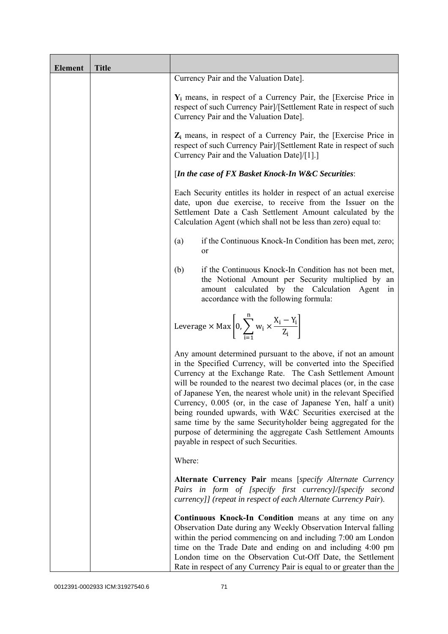| <b>Element</b> | <b>Title</b> |                                                                                                                                                                                                                                                                                                                                                                                                                                                                                                                                                                                                                                                       |
|----------------|--------------|-------------------------------------------------------------------------------------------------------------------------------------------------------------------------------------------------------------------------------------------------------------------------------------------------------------------------------------------------------------------------------------------------------------------------------------------------------------------------------------------------------------------------------------------------------------------------------------------------------------------------------------------------------|
|                |              | Currency Pair and the Valuation Date].                                                                                                                                                                                                                                                                                                                                                                                                                                                                                                                                                                                                                |
|                |              | $Y_i$ means, in respect of a Currency Pair, the [Exercise Price in<br>respect of such Currency Pair]/[Settlement Rate in respect of such<br>Currency Pair and the Valuation Date].                                                                                                                                                                                                                                                                                                                                                                                                                                                                    |
|                |              | $Z_i$ means, in respect of a Currency Pair, the [Exercise Price in<br>respect of such Currency Pair]/[Settlement Rate in respect of such<br>Currency Pair and the Valuation Date]/[1].]                                                                                                                                                                                                                                                                                                                                                                                                                                                               |
|                |              | [In the case of FX Basket Knock-In W&C Securities:                                                                                                                                                                                                                                                                                                                                                                                                                                                                                                                                                                                                    |
|                |              | Each Security entitles its holder in respect of an actual exercise<br>date, upon due exercise, to receive from the Issuer on the<br>Settlement Date a Cash Settlement Amount calculated by the<br>Calculation Agent (which shall not be less than zero) equal to:                                                                                                                                                                                                                                                                                                                                                                                     |
|                |              | if the Continuous Knock-In Condition has been met, zero;<br>(a)<br>or                                                                                                                                                                                                                                                                                                                                                                                                                                                                                                                                                                                 |
|                |              | if the Continuous Knock-In Condition has not been met,<br>(b)<br>the Notional Amount per Security multiplied by an<br>amount calculated by the Calculation Agent<br>in<br>accordance with the following formula:                                                                                                                                                                                                                                                                                                                                                                                                                                      |
|                |              | Leverage $\times$ Max $\left[0, \sum_{i=1}^{n} w_i \times \frac{X_i - Y_i}{Z_i}\right]$                                                                                                                                                                                                                                                                                                                                                                                                                                                                                                                                                               |
|                |              | Any amount determined pursuant to the above, if not an amount<br>in the Specified Currency, will be converted into the Specified<br>Currency at the Exchange Rate. The Cash Settlement Amount<br>will be rounded to the nearest two decimal places (or, in the case<br>of Japanese Yen, the nearest whole unit) in the relevant Specified<br>Currency, 0.005 (or, in the case of Japanese Yen, half a unit)<br>being rounded upwards, with W&C Securities exercised at the<br>same time by the same Securityholder being aggregated for the<br>purpose of determining the aggregate Cash Settlement Amounts<br>payable in respect of such Securities. |
|                |              | Where:                                                                                                                                                                                                                                                                                                                                                                                                                                                                                                                                                                                                                                                |
|                |              | Alternate Currency Pair means [specify Alternate Currency<br>Pairs in form of [specify first currency]/[specify second<br>currency]] (repeat in respect of each Alternate Currency Pair).                                                                                                                                                                                                                                                                                                                                                                                                                                                             |
|                |              | Continuous Knock-In Condition means at any time on any<br>Observation Date during any Weekly Observation Interval falling<br>within the period commencing on and including 7:00 am London<br>time on the Trade Date and ending on and including 4:00 pm<br>London time on the Observation Cut-Off Date, the Settlement<br>Rate in respect of any Currency Pair is equal to or greater than the                                                                                                                                                                                                                                                        |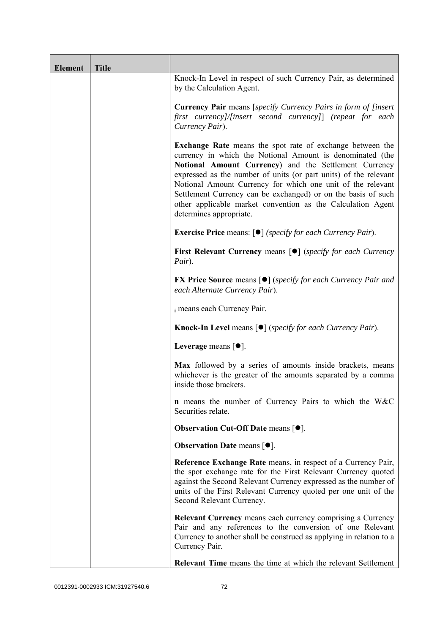| <b>Element</b> | <b>Title</b> |                                                                                                                                                                                                                                                                                                                                                                                                                                                                                      |
|----------------|--------------|--------------------------------------------------------------------------------------------------------------------------------------------------------------------------------------------------------------------------------------------------------------------------------------------------------------------------------------------------------------------------------------------------------------------------------------------------------------------------------------|
|                |              | Knock-In Level in respect of such Currency Pair, as determined<br>by the Calculation Agent.                                                                                                                                                                                                                                                                                                                                                                                          |
|                |              | <b>Currency Pair</b> means [specify Currency Pairs in form of [insert]<br>first currency]/[insert second currency]] (repeat for each<br>Currency Pair).                                                                                                                                                                                                                                                                                                                              |
|                |              | <b>Exchange Rate</b> means the spot rate of exchange between the<br>currency in which the Notional Amount is denominated (the<br>Notional Amount Currency) and the Settlement Currency<br>expressed as the number of units (or part units) of the relevant<br>Notional Amount Currency for which one unit of the relevant<br>Settlement Currency can be exchanged) or on the basis of such<br>other applicable market convention as the Calculation Agent<br>determines appropriate. |
|                |              | <b>Exercise Price</b> means: $\lceil \bullet \rceil$ ( <i>specify for each Currency Pair</i> ).                                                                                                                                                                                                                                                                                                                                                                                      |
|                |              | <b>First Relevant Currency means [O]</b> ( <i>specify for each Currency</i><br>Pair).                                                                                                                                                                                                                                                                                                                                                                                                |
|                |              | <b>FX Price Source</b> means $\lceil \bullet \rceil$ (specify for each Currency Pair and<br>each Alternate Currency Pair).                                                                                                                                                                                                                                                                                                                                                           |
|                |              | i means each Currency Pair.                                                                                                                                                                                                                                                                                                                                                                                                                                                          |
|                |              | <b>Knock-In Level means <math>\lceil \bullet \rceil</math> (specify for each Currency Pair).</b>                                                                                                                                                                                                                                                                                                                                                                                     |
|                |              | Leverage means [ $\bullet$ ].                                                                                                                                                                                                                                                                                                                                                                                                                                                        |
|                |              | Max followed by a series of amounts inside brackets, means<br>whichever is the greater of the amounts separated by a comma<br>inside those brackets.                                                                                                                                                                                                                                                                                                                                 |
|                |              | <b>n</b> means the number of Currency Pairs to which the W&C<br>Securities relate.                                                                                                                                                                                                                                                                                                                                                                                                   |
|                |              | <b>Observation Cut-Off Date means <math>[•]</math>.</b>                                                                                                                                                                                                                                                                                                                                                                                                                              |
|                |              | <b>Observation Date means <math>\lceil \bullet \rceil</math>.</b>                                                                                                                                                                                                                                                                                                                                                                                                                    |
|                |              | Reference Exchange Rate means, in respect of a Currency Pair,<br>the spot exchange rate for the First Relevant Currency quoted<br>against the Second Relevant Currency expressed as the number of<br>units of the First Relevant Currency quoted per one unit of the<br>Second Relevant Currency.                                                                                                                                                                                    |
|                |              | Relevant Currency means each currency comprising a Currency<br>Pair and any references to the conversion of one Relevant<br>Currency to another shall be construed as applying in relation to a<br>Currency Pair.                                                                                                                                                                                                                                                                    |
|                |              | <b>Relevant Time</b> means the time at which the relevant Settlement                                                                                                                                                                                                                                                                                                                                                                                                                 |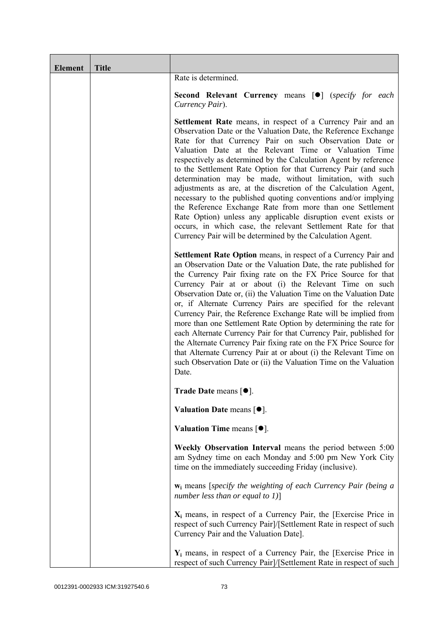| <b>Element</b> | <b>Title</b> |                                                                                                                                                                                                                                                                                                                                                                                                                                                                                                                                                                                                                                                                                                                                                                                                                                                             |
|----------------|--------------|-------------------------------------------------------------------------------------------------------------------------------------------------------------------------------------------------------------------------------------------------------------------------------------------------------------------------------------------------------------------------------------------------------------------------------------------------------------------------------------------------------------------------------------------------------------------------------------------------------------------------------------------------------------------------------------------------------------------------------------------------------------------------------------------------------------------------------------------------------------|
|                |              | Rate is determined.                                                                                                                                                                                                                                                                                                                                                                                                                                                                                                                                                                                                                                                                                                                                                                                                                                         |
|                |              | <b>Second Relevant Currency means [O]</b> (specify for each<br>Currency Pair).                                                                                                                                                                                                                                                                                                                                                                                                                                                                                                                                                                                                                                                                                                                                                                              |
|                |              | <b>Settlement Rate</b> means, in respect of a Currency Pair and an<br>Observation Date or the Valuation Date, the Reference Exchange<br>Rate for that Currency Pair on such Observation Date or<br>Valuation Date at the Relevant Time or Valuation Time<br>respectively as determined by the Calculation Agent by reference<br>to the Settlement Rate Option for that Currency Pair (and such<br>determination may be made, without limitation, with such<br>adjustments as are, at the discretion of the Calculation Agent,<br>necessary to the published quoting conventions and/or implying<br>the Reference Exchange Rate from more than one Settlement<br>Rate Option) unless any applicable disruption event exists or<br>occurs, in which case, the relevant Settlement Rate for that<br>Currency Pair will be determined by the Calculation Agent. |
|                |              | Settlement Rate Option means, in respect of a Currency Pair and<br>an Observation Date or the Valuation Date, the rate published for<br>the Currency Pair fixing rate on the FX Price Source for that<br>Currency Pair at or about (i) the Relevant Time on such<br>Observation Date or, (ii) the Valuation Time on the Valuation Date<br>or, if Alternate Currency Pairs are specified for the relevant<br>Currency Pair, the Reference Exchange Rate will be implied from<br>more than one Settlement Rate Option by determining the rate for<br>each Alternate Currency Pair for that Currency Pair, published for<br>the Alternate Currency Pair fixing rate on the FX Price Source for<br>that Alternate Currency Pair at or about (i) the Relevant Time on<br>such Observation Date or (ii) the Valuation Time on the Valuation<br>Date.              |
|                |              | Trade Date means $[•]$ .                                                                                                                                                                                                                                                                                                                                                                                                                                                                                                                                                                                                                                                                                                                                                                                                                                    |
|                |              | Valuation Date means [ $\bullet$ ].                                                                                                                                                                                                                                                                                                                                                                                                                                                                                                                                                                                                                                                                                                                                                                                                                         |
|                |              | Valuation Time means $[•]$ .                                                                                                                                                                                                                                                                                                                                                                                                                                                                                                                                                                                                                                                                                                                                                                                                                                |
|                |              | Weekly Observation Interval means the period between 5:00<br>am Sydney time on each Monday and 5:00 pm New York City<br>time on the immediately succeeding Friday (inclusive).                                                                                                                                                                                                                                                                                                                                                                                                                                                                                                                                                                                                                                                                              |
|                |              | $w_i$ means [specify the weighting of each Currency Pair (being a<br>number less than or equal to $1$ ]                                                                                                                                                                                                                                                                                                                                                                                                                                                                                                                                                                                                                                                                                                                                                     |
|                |              | $X_i$ means, in respect of a Currency Pair, the [Exercise Price in<br>respect of such Currency Pair]/[Settlement Rate in respect of such<br>Currency Pair and the Valuation Date].                                                                                                                                                                                                                                                                                                                                                                                                                                                                                                                                                                                                                                                                          |
|                |              | $Y_i$ means, in respect of a Currency Pair, the [Exercise Price in<br>respect of such Currency Pair]/[Settlement Rate in respect of such                                                                                                                                                                                                                                                                                                                                                                                                                                                                                                                                                                                                                                                                                                                    |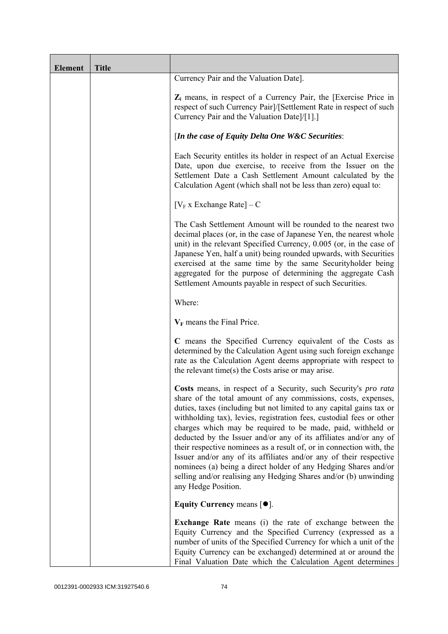| <b>Element</b> | <b>Title</b> |                                                                                                                                                                                                                                                                                                                                                                                                                                                                                                                                                                                                                                                                                                                                   |
|----------------|--------------|-----------------------------------------------------------------------------------------------------------------------------------------------------------------------------------------------------------------------------------------------------------------------------------------------------------------------------------------------------------------------------------------------------------------------------------------------------------------------------------------------------------------------------------------------------------------------------------------------------------------------------------------------------------------------------------------------------------------------------------|
|                |              | Currency Pair and the Valuation Date].                                                                                                                                                                                                                                                                                                                                                                                                                                                                                                                                                                                                                                                                                            |
|                |              | $Z_i$ means, in respect of a Currency Pair, the [Exercise Price in<br>respect of such Currency Pair]/[Settlement Rate in respect of such<br>Currency Pair and the Valuation Date]/[1].]                                                                                                                                                                                                                                                                                                                                                                                                                                                                                                                                           |
|                |              | [In the case of Equity Delta One W&C Securities:                                                                                                                                                                                                                                                                                                                                                                                                                                                                                                                                                                                                                                                                                  |
|                |              | Each Security entitles its holder in respect of an Actual Exercise<br>Date, upon due exercise, to receive from the Issuer on the<br>Settlement Date a Cash Settlement Amount calculated by the<br>Calculation Agent (which shall not be less than zero) equal to:                                                                                                                                                                                                                                                                                                                                                                                                                                                                 |
|                |              | $[V_F x]$ Exchange Rate $] - C$                                                                                                                                                                                                                                                                                                                                                                                                                                                                                                                                                                                                                                                                                                   |
|                |              | The Cash Settlement Amount will be rounded to the nearest two<br>decimal places (or, in the case of Japanese Yen, the nearest whole<br>unit) in the relevant Specified Currency, 0.005 (or, in the case of<br>Japanese Yen, half a unit) being rounded upwards, with Securities<br>exercised at the same time by the same Securityholder being<br>aggregated for the purpose of determining the aggregate Cash<br>Settlement Amounts payable in respect of such Securities.                                                                                                                                                                                                                                                       |
|                |              | Where:                                                                                                                                                                                                                                                                                                                                                                                                                                                                                                                                                                                                                                                                                                                            |
|                |              | $V_F$ means the Final Price.                                                                                                                                                                                                                                                                                                                                                                                                                                                                                                                                                                                                                                                                                                      |
|                |              | C means the Specified Currency equivalent of the Costs as<br>determined by the Calculation Agent using such foreign exchange<br>rate as the Calculation Agent deems appropriate with respect to<br>the relevant time(s) the Costs arise or may arise.                                                                                                                                                                                                                                                                                                                                                                                                                                                                             |
|                |              | Costs means, in respect of a Security, such Security's pro rata<br>share of the total amount of any commissions, costs, expenses,<br>duties, taxes (including but not limited to any capital gains tax or<br>withholding tax), levies, registration fees, custodial fees or other<br>charges which may be required to be made, paid, withheld or<br>deducted by the Issuer and/or any of its affiliates and/or any of<br>their respective nominees as a result of, or in connection with, the<br>Issuer and/or any of its affiliates and/or any of their respective<br>nominees (a) being a direct holder of any Hedging Shares and/or<br>selling and/or realising any Hedging Shares and/or (b) unwinding<br>any Hedge Position. |
|                |              | Equity Currency means $[•]$ .                                                                                                                                                                                                                                                                                                                                                                                                                                                                                                                                                                                                                                                                                                     |
|                |              | <b>Exchange Rate</b> means (i) the rate of exchange between the<br>Equity Currency and the Specified Currency (expressed as a<br>number of units of the Specified Currency for which a unit of the<br>Equity Currency can be exchanged) determined at or around the<br>Final Valuation Date which the Calculation Agent determines                                                                                                                                                                                                                                                                                                                                                                                                |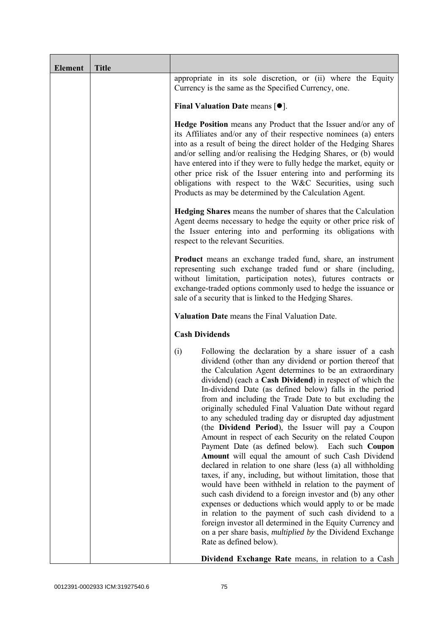| <b>Element</b> | <b>Title</b> |                                                                                                                                                                                                                                                                                                                                                                                                                                                                                                                                                                                                                                                                                                                                                                                                                                                                                                                                                                                                                                                                                                                                                                                                                                                                    |
|----------------|--------------|--------------------------------------------------------------------------------------------------------------------------------------------------------------------------------------------------------------------------------------------------------------------------------------------------------------------------------------------------------------------------------------------------------------------------------------------------------------------------------------------------------------------------------------------------------------------------------------------------------------------------------------------------------------------------------------------------------------------------------------------------------------------------------------------------------------------------------------------------------------------------------------------------------------------------------------------------------------------------------------------------------------------------------------------------------------------------------------------------------------------------------------------------------------------------------------------------------------------------------------------------------------------|
|                |              | appropriate in its sole discretion, or (ii) where the Equity<br>Currency is the same as the Specified Currency, one.                                                                                                                                                                                                                                                                                                                                                                                                                                                                                                                                                                                                                                                                                                                                                                                                                                                                                                                                                                                                                                                                                                                                               |
|                |              | Final Valuation Date means $[•]$ .                                                                                                                                                                                                                                                                                                                                                                                                                                                                                                                                                                                                                                                                                                                                                                                                                                                                                                                                                                                                                                                                                                                                                                                                                                 |
|                |              | <b>Hedge Position</b> means any Product that the Issuer and/or any of<br>its Affiliates and/or any of their respective nominees (a) enters<br>into as a result of being the direct holder of the Hedging Shares<br>and/or selling and/or realising the Hedging Shares, or (b) would<br>have entered into if they were to fully hedge the market, equity or<br>other price risk of the Issuer entering into and performing its<br>obligations with respect to the W&C Securities, using such<br>Products as may be determined by the Calculation Agent.                                                                                                                                                                                                                                                                                                                                                                                                                                                                                                                                                                                                                                                                                                             |
|                |              | <b>Hedging Shares</b> means the number of shares that the Calculation<br>Agent deems necessary to hedge the equity or other price risk of<br>the Issuer entering into and performing its obligations with<br>respect to the relevant Securities.                                                                                                                                                                                                                                                                                                                                                                                                                                                                                                                                                                                                                                                                                                                                                                                                                                                                                                                                                                                                                   |
|                |              | <b>Product</b> means an exchange traded fund, share, an instrument<br>representing such exchange traded fund or share (including,<br>without limitation, participation notes), futures contracts or<br>exchange-traded options commonly used to hedge the issuance or<br>sale of a security that is linked to the Hedging Shares.                                                                                                                                                                                                                                                                                                                                                                                                                                                                                                                                                                                                                                                                                                                                                                                                                                                                                                                                  |
|                |              | Valuation Date means the Final Valuation Date.                                                                                                                                                                                                                                                                                                                                                                                                                                                                                                                                                                                                                                                                                                                                                                                                                                                                                                                                                                                                                                                                                                                                                                                                                     |
|                |              | <b>Cash Dividends</b>                                                                                                                                                                                                                                                                                                                                                                                                                                                                                                                                                                                                                                                                                                                                                                                                                                                                                                                                                                                                                                                                                                                                                                                                                                              |
|                |              | Following the declaration by a share issuer of a cash<br>(i)<br>dividend (other than any dividend or portion thereof that<br>the Calculation Agent determines to be an extraordinary<br>dividend) (each a Cash Dividend) in respect of which the<br>In-dividend Date (as defined below) falls in the period<br>from and including the Trade Date to but excluding the<br>originally scheduled Final Valuation Date without regard<br>to any scheduled trading day or disrupted day adjustment<br>(the Dividend Period), the Issuer will pay a Coupon<br>Amount in respect of each Security on the related Coupon<br>Payment Date (as defined below). Each such Coupon<br>Amount will equal the amount of such Cash Dividend<br>declared in relation to one share (less (a) all withholding<br>taxes, if any, including, but without limitation, those that<br>would have been withheld in relation to the payment of<br>such cash dividend to a foreign investor and (b) any other<br>expenses or deductions which would apply to or be made<br>in relation to the payment of such cash dividend to a<br>foreign investor all determined in the Equity Currency and<br>on a per share basis, <i>multiplied by</i> the Dividend Exchange<br>Rate as defined below). |
|                |              | Dividend Exchange Rate means, in relation to a Cash                                                                                                                                                                                                                                                                                                                                                                                                                                                                                                                                                                                                                                                                                                                                                                                                                                                                                                                                                                                                                                                                                                                                                                                                                |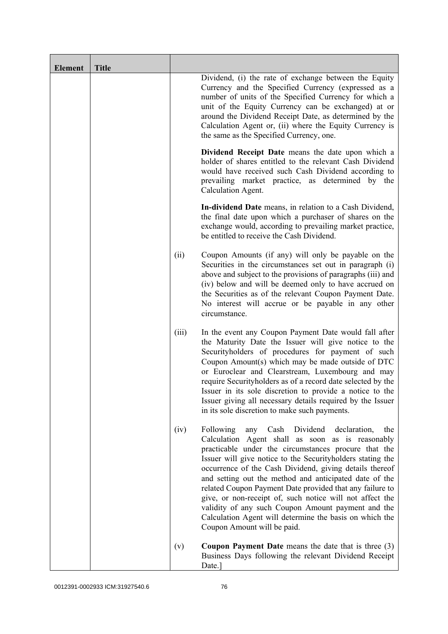| <b>Element</b> | <b>Title</b> |       |                                                                                                                                                                                                                                                                                                                                                                                                                                                                                                                                                                                                                                    |
|----------------|--------------|-------|------------------------------------------------------------------------------------------------------------------------------------------------------------------------------------------------------------------------------------------------------------------------------------------------------------------------------------------------------------------------------------------------------------------------------------------------------------------------------------------------------------------------------------------------------------------------------------------------------------------------------------|
|                |              |       | Dividend, (i) the rate of exchange between the Equity<br>Currency and the Specified Currency (expressed as a<br>number of units of the Specified Currency for which a<br>unit of the Equity Currency can be exchanged) at or<br>around the Dividend Receipt Date, as determined by the<br>Calculation Agent or, (ii) where the Equity Currency is<br>the same as the Specified Currency, one.                                                                                                                                                                                                                                      |
|                |              |       | Dividend Receipt Date means the date upon which a<br>holder of shares entitled to the relevant Cash Dividend<br>would have received such Cash Dividend according to<br>prevailing market practice, as determined by the<br>Calculation Agent.                                                                                                                                                                                                                                                                                                                                                                                      |
|                |              |       | In-dividend Date means, in relation to a Cash Dividend,<br>the final date upon which a purchaser of shares on the<br>exchange would, according to prevailing market practice,<br>be entitled to receive the Cash Dividend.                                                                                                                                                                                                                                                                                                                                                                                                         |
|                |              | (ii)  | Coupon Amounts (if any) will only be payable on the<br>Securities in the circumstances set out in paragraph (i)<br>above and subject to the provisions of paragraphs (iii) and<br>(iv) below and will be deemed only to have accrued on<br>the Securities as of the relevant Coupon Payment Date.<br>No interest will accrue or be payable in any other<br>circumstance.                                                                                                                                                                                                                                                           |
|                |              | (iii) | In the event any Coupon Payment Date would fall after<br>the Maturity Date the Issuer will give notice to the<br>Securityholders of procedures for payment of such<br>Coupon Amount(s) which may be made outside of DTC<br>or Euroclear and Clearstream, Luxembourg and may<br>require Securityholders as of a record date selected by the<br>Issuer in its sole discretion to provide a notice to the<br>Issuer giving all necessary details required by the Issuer<br>in its sole discretion to make such payments.                                                                                                              |
|                |              | (iv)  | Following<br>Dividend<br>Cash<br>declaration,<br>any<br>the<br>Calculation Agent shall as soon as is reasonably<br>practicable under the circumstances procure that the<br>Issuer will give notice to the Securityholders stating the<br>occurrence of the Cash Dividend, giving details thereof<br>and setting out the method and anticipated date of the<br>related Coupon Payment Date provided that any failure to<br>give, or non-receipt of, such notice will not affect the<br>validity of any such Coupon Amount payment and the<br>Calculation Agent will determine the basis on which the<br>Coupon Amount will be paid. |
|                |              | (v)   | <b>Coupon Payment Date</b> means the date that is three $(3)$<br>Business Days following the relevant Dividend Receipt<br>Date.]                                                                                                                                                                                                                                                                                                                                                                                                                                                                                                   |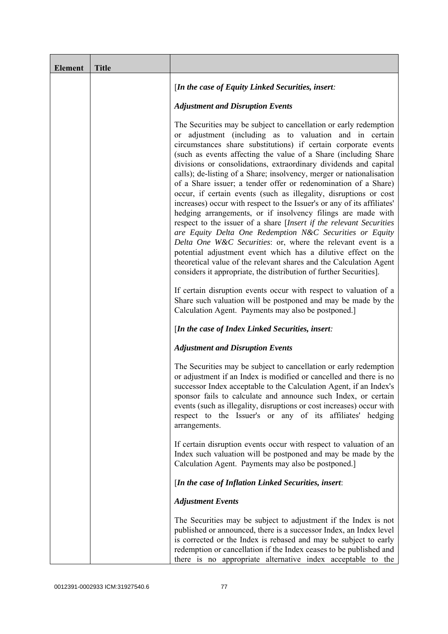| <b>Element</b> | <b>Title</b> |                                                                                                                                                                                                                                                                                                                                                                                                                                                                                                                                                                                                                                                                                                                                                                                                                                                                                                                                                                                                                                                                                                                  |
|----------------|--------------|------------------------------------------------------------------------------------------------------------------------------------------------------------------------------------------------------------------------------------------------------------------------------------------------------------------------------------------------------------------------------------------------------------------------------------------------------------------------------------------------------------------------------------------------------------------------------------------------------------------------------------------------------------------------------------------------------------------------------------------------------------------------------------------------------------------------------------------------------------------------------------------------------------------------------------------------------------------------------------------------------------------------------------------------------------------------------------------------------------------|
|                |              | [In the case of Equity Linked Securities, insert:                                                                                                                                                                                                                                                                                                                                                                                                                                                                                                                                                                                                                                                                                                                                                                                                                                                                                                                                                                                                                                                                |
|                |              | <b>Adjustment and Disruption Events</b>                                                                                                                                                                                                                                                                                                                                                                                                                                                                                                                                                                                                                                                                                                                                                                                                                                                                                                                                                                                                                                                                          |
|                |              | The Securities may be subject to cancellation or early redemption<br>or adjustment (including as to valuation and in certain<br>circumstances share substitutions) if certain corporate events<br>(such as events affecting the value of a Share (including Share)<br>divisions or consolidations, extraordinary dividends and capital<br>calls); de-listing of a Share; insolvency, merger or nationalisation<br>of a Share issuer; a tender offer or redenomination of a Share)<br>occur, if certain events (such as illegality, disruptions or cost<br>increases) occur with respect to the Issuer's or any of its affiliates'<br>hedging arrangements, or if insolvency filings are made with<br>respect to the issuer of a share [Insert if the relevant Securities<br>are Equity Delta One Redemption N&C Securities or Equity<br>Delta One W&C Securities: or, where the relevant event is a<br>potential adjustment event which has a dilutive effect on the<br>theoretical value of the relevant shares and the Calculation Agent<br>considers it appropriate, the distribution of further Securities]. |
|                |              | If certain disruption events occur with respect to valuation of a<br>Share such valuation will be postponed and may be made by the<br>Calculation Agent. Payments may also be postponed.]                                                                                                                                                                                                                                                                                                                                                                                                                                                                                                                                                                                                                                                                                                                                                                                                                                                                                                                        |
|                |              | [In the case of Index Linked Securities, insert:                                                                                                                                                                                                                                                                                                                                                                                                                                                                                                                                                                                                                                                                                                                                                                                                                                                                                                                                                                                                                                                                 |
|                |              | <b>Adjustment and Disruption Events</b>                                                                                                                                                                                                                                                                                                                                                                                                                                                                                                                                                                                                                                                                                                                                                                                                                                                                                                                                                                                                                                                                          |
|                |              | The Securities may be subject to cancellation or early redemption<br>or adjustment if an Index is modified or cancelled and there is no<br>successor Index acceptable to the Calculation Agent, if an Index's<br>sponsor fails to calculate and announce such Index, or certain<br>events (such as illegality, disruptions or cost increases) occur with<br>respect to the Issuer's or any of its affiliates' hedging<br>arrangements.                                                                                                                                                                                                                                                                                                                                                                                                                                                                                                                                                                                                                                                                           |
|                |              | If certain disruption events occur with respect to valuation of an<br>Index such valuation will be postponed and may be made by the<br>Calculation Agent. Payments may also be postponed.]                                                                                                                                                                                                                                                                                                                                                                                                                                                                                                                                                                                                                                                                                                                                                                                                                                                                                                                       |
|                |              | [In the case of Inflation Linked Securities, insert:                                                                                                                                                                                                                                                                                                                                                                                                                                                                                                                                                                                                                                                                                                                                                                                                                                                                                                                                                                                                                                                             |
|                |              | <b>Adjustment Events</b>                                                                                                                                                                                                                                                                                                                                                                                                                                                                                                                                                                                                                                                                                                                                                                                                                                                                                                                                                                                                                                                                                         |
|                |              | The Securities may be subject to adjustment if the Index is not<br>published or announced, there is a successor Index, an Index level<br>is corrected or the Index is rebased and may be subject to early<br>redemption or cancellation if the Index ceases to be published and<br>there is no appropriate alternative index acceptable to the                                                                                                                                                                                                                                                                                                                                                                                                                                                                                                                                                                                                                                                                                                                                                                   |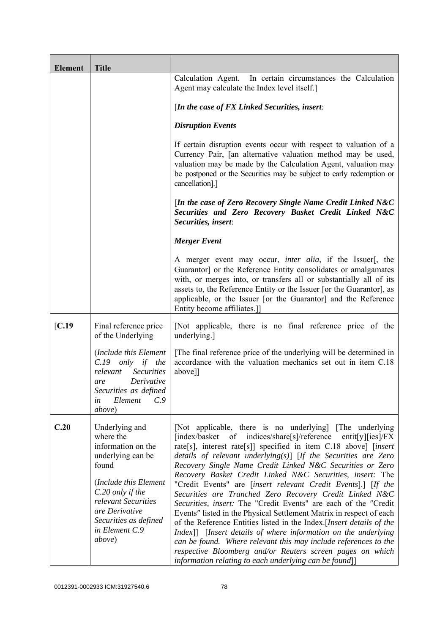| <b>Element</b> | <b>Title</b>                                                                                                                                                                                                               |                                                                                                                                                                                                                                                                                                                                                                                                                                                                                                                                                                                                                                                                                                                                                                                                                                                                                                                                                                                                              |
|----------------|----------------------------------------------------------------------------------------------------------------------------------------------------------------------------------------------------------------------------|--------------------------------------------------------------------------------------------------------------------------------------------------------------------------------------------------------------------------------------------------------------------------------------------------------------------------------------------------------------------------------------------------------------------------------------------------------------------------------------------------------------------------------------------------------------------------------------------------------------------------------------------------------------------------------------------------------------------------------------------------------------------------------------------------------------------------------------------------------------------------------------------------------------------------------------------------------------------------------------------------------------|
|                |                                                                                                                                                                                                                            | Calculation Agent. In certain circumstances the Calculation<br>Agent may calculate the Index level itself.]                                                                                                                                                                                                                                                                                                                                                                                                                                                                                                                                                                                                                                                                                                                                                                                                                                                                                                  |
|                |                                                                                                                                                                                                                            | [In the case of $FX$ Linked Securities, insert:                                                                                                                                                                                                                                                                                                                                                                                                                                                                                                                                                                                                                                                                                                                                                                                                                                                                                                                                                              |
|                |                                                                                                                                                                                                                            | <b>Disruption Events</b>                                                                                                                                                                                                                                                                                                                                                                                                                                                                                                                                                                                                                                                                                                                                                                                                                                                                                                                                                                                     |
|                |                                                                                                                                                                                                                            | If certain disruption events occur with respect to valuation of a<br>Currency Pair, [an alternative valuation method may be used,<br>valuation may be made by the Calculation Agent, valuation may<br>be postponed or the Securities may be subject to early redemption or<br>cancellation].]                                                                                                                                                                                                                                                                                                                                                                                                                                                                                                                                                                                                                                                                                                                |
|                |                                                                                                                                                                                                                            | [In the case of Zero Recovery Single Name Credit Linked N&C<br>Securities and Zero Recovery Basket Credit Linked N&C<br>Securities, insert:                                                                                                                                                                                                                                                                                                                                                                                                                                                                                                                                                                                                                                                                                                                                                                                                                                                                  |
|                |                                                                                                                                                                                                                            | <b>Merger Event</b>                                                                                                                                                                                                                                                                                                                                                                                                                                                                                                                                                                                                                                                                                                                                                                                                                                                                                                                                                                                          |
|                |                                                                                                                                                                                                                            | A merger event may occur, <i>inter alia</i> , if the Issuer[, the<br>Guarantor] or the Reference Entity consolidates or amalgamates<br>with, or merges into, or transfers all or substantially all of its<br>assets to, the Reference Entity or the Issuer [or the Guarantor], as<br>applicable, or the Issuer [or the Guarantor] and the Reference<br>Entity become affiliates.]                                                                                                                                                                                                                                                                                                                                                                                                                                                                                                                                                                                                                            |
| [C.19]         | Final reference price<br>of the Underlying                                                                                                                                                                                 | [Not applicable, there is no final reference price of the<br>underlying.]                                                                                                                                                                                                                                                                                                                                                                                                                                                                                                                                                                                                                                                                                                                                                                                                                                                                                                                                    |
|                | (Include this Element<br>$C.19$ only if the<br><b>Securities</b><br>relevant<br>Derivative<br>are<br>Securities as defined<br>C.9<br>Element<br>in<br><i>above</i> )                                                       | [The final reference price of the underlying will be determined in<br>accordance with the valuation mechanics set out in item C.18<br>above]]                                                                                                                                                                                                                                                                                                                                                                                                                                                                                                                                                                                                                                                                                                                                                                                                                                                                |
| C.20           | Underlying and<br>where the<br>information on the<br>underlying can be<br>found<br>(Include this Element<br>C.20 only if the<br>relevant Securities<br>are Derivative<br>Securities as defined<br>in Element C.9<br>above) | [Not applicable, there is no underlying] [The underlying]<br>[index/basket of indices/share[s]/reference<br>entit[y][ies]/ $FX$<br>rate[s], interest rate[s]] specified in item C.18 above] [insert<br>details of relevant underlying $(s)$ [If the Securities are Zero<br>Recovery Single Name Credit Linked N&C Securities or Zero<br>Recovery Basket Credit Linked N&C Securities, insert: The<br>"Credit Events" are [insert relevant Credit Events].] [If the<br>Securities are Tranched Zero Recovery Credit Linked N&C<br>Securities, insert: The "Credit Events" are each of the "Credit<br>Events" listed in the Physical Settlement Matrix in respect of each<br>of the Reference Entities listed in the Index. [Insert details of the<br>Index]] [Insert details of where information on the underlying<br>can be found. Where relevant this may include references to the<br>respective Bloomberg and/or Reuters screen pages on which<br>information relating to each underlying can be found]] |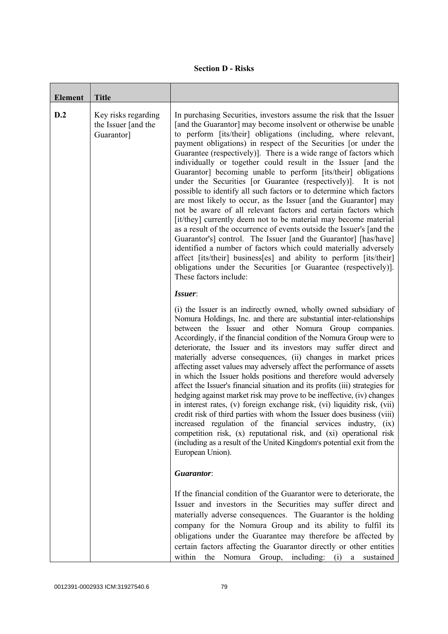|  | <b>Section D - Risks</b> |
|--|--------------------------|
|--|--------------------------|

| <b>Element</b> | <b>Title</b>                                             |                                                                                                                                                                                                                                                                                                                                                                                                                                                                                                                                                                                                                                                                                                                                                                                                                                                                                                                                                                                                                                                                                                                                                                                                                     |
|----------------|----------------------------------------------------------|---------------------------------------------------------------------------------------------------------------------------------------------------------------------------------------------------------------------------------------------------------------------------------------------------------------------------------------------------------------------------------------------------------------------------------------------------------------------------------------------------------------------------------------------------------------------------------------------------------------------------------------------------------------------------------------------------------------------------------------------------------------------------------------------------------------------------------------------------------------------------------------------------------------------------------------------------------------------------------------------------------------------------------------------------------------------------------------------------------------------------------------------------------------------------------------------------------------------|
| D.2            | Key risks regarding<br>the Issuer [and the<br>Guarantor] | In purchasing Securities, investors assume the risk that the Issuer<br>[and the Guarantor] may become insolvent or otherwise be unable<br>to perform [its/their] obligations (including, where relevant,<br>payment obligations) in respect of the Securities [or under the<br>Guarantee (respectively)]. There is a wide range of factors which<br>individually or together could result in the Issuer [and the<br>Guarantor] becoming unable to perform [its/their] obligations<br>under the Securities [or Guarantee (respectively)]. It is not<br>possible to identify all such factors or to determine which factors<br>are most likely to occur, as the Issuer [and the Guarantor] may<br>not be aware of all relevant factors and certain factors which<br>[it/they] currently deem not to be material may become material<br>as a result of the occurrence of events outside the Issuer's [and the<br>Guarantor's] control. The Issuer [and the Guarantor] [has/have]<br>identified a number of factors which could materially adversely<br>affect [its/their] business[es] and ability to perform [its/their]<br>obligations under the Securities [or Guarantee (respectively)].<br>These factors include: |
|                |                                                          | Issuer:<br>(i) the Issuer is an indirectly owned, wholly owned subsidiary of<br>Nomura Holdings, Inc. and there are substantial inter-relationships<br>between the Issuer and other Nomura Group companies.<br>Accordingly, if the financial condition of the Nomura Group were to<br>deteriorate, the Issuer and its investors may suffer direct and<br>materially adverse consequences, (ii) changes in market prices<br>affecting asset values may adversely affect the performance of assets<br>in which the Issuer holds positions and therefore would adversely<br>affect the Issuer's financial situation and its profits (iii) strategies for<br>hedging against market risk may prove to be ineffective, (iv) changes<br>in interest rates, (v) foreign exchange risk, (vi) liquidity risk, (vii)<br>credit risk of third parties with whom the Issuer does business (viii)<br>increased regulation of the financial services industry, (ix)<br>competition risk, (x) reputational risk, and (xi) operational risk<br>(including as a result of the United Kingdom's potential exit from the<br>European Union).                                                                                           |
|                |                                                          | Guarantor:<br>If the financial condition of the Guarantor were to deteriorate, the<br>Issuer and investors in the Securities may suffer direct and<br>materially adverse consequences. The Guarantor is the holding<br>company for the Nomura Group and its ability to fulfil its<br>obligations under the Guarantee may therefore be affected by<br>certain factors affecting the Guarantor directly or other entities<br>within<br>the Nomura Group, including: (i) a sustained                                                                                                                                                                                                                                                                                                                                                                                                                                                                                                                                                                                                                                                                                                                                   |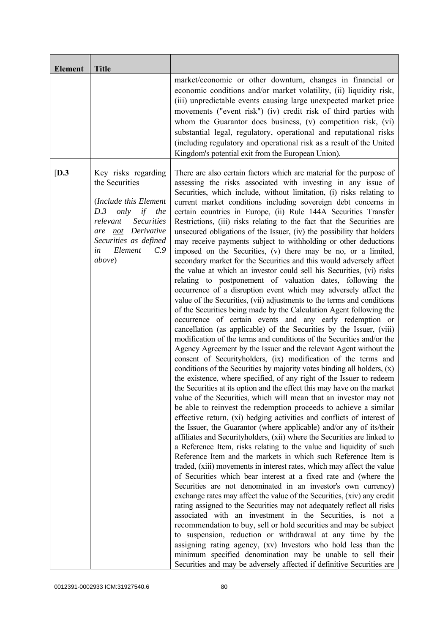| <b>Element</b> | <b>Title</b>                                                                                                                                                                                                    |                                                                                                                                                                                                                                                                                                                                                                                                                                                                                                                                                                                                                                                                                                                                                                                                                                                                                                                                                                                                                                                                                                                                                                                                                                                                                                                                                                                                                                                                                                                                                                                                                                                                                                                                                                                                                                                                                                                                                                                                                                                                                                                                                                                                                                                                                                                                                                                                                                                                                                                                                                                                                                                                                                                                                                                                                                                                                                                                                           |
|----------------|-----------------------------------------------------------------------------------------------------------------------------------------------------------------------------------------------------------------|-----------------------------------------------------------------------------------------------------------------------------------------------------------------------------------------------------------------------------------------------------------------------------------------------------------------------------------------------------------------------------------------------------------------------------------------------------------------------------------------------------------------------------------------------------------------------------------------------------------------------------------------------------------------------------------------------------------------------------------------------------------------------------------------------------------------------------------------------------------------------------------------------------------------------------------------------------------------------------------------------------------------------------------------------------------------------------------------------------------------------------------------------------------------------------------------------------------------------------------------------------------------------------------------------------------------------------------------------------------------------------------------------------------------------------------------------------------------------------------------------------------------------------------------------------------------------------------------------------------------------------------------------------------------------------------------------------------------------------------------------------------------------------------------------------------------------------------------------------------------------------------------------------------------------------------------------------------------------------------------------------------------------------------------------------------------------------------------------------------------------------------------------------------------------------------------------------------------------------------------------------------------------------------------------------------------------------------------------------------------------------------------------------------------------------------------------------------------------------------------------------------------------------------------------------------------------------------------------------------------------------------------------------------------------------------------------------------------------------------------------------------------------------------------------------------------------------------------------------------------------------------------------------------------------------------------------------------|
|                |                                                                                                                                                                                                                 | market/economic or other downturn, changes in financial or<br>economic conditions and/or market volatility, (ii) liquidity risk,<br>(iii) unpredictable events causing large unexpected market price<br>movements ("event risk") (iv) credit risk of third parties with<br>whom the Guarantor does business, (v) competition risk, (vi)<br>substantial legal, regulatory, operational and reputational risks<br>(including regulatory and operational risk as a result of the United<br>Kingdom's potential exit from the European Union).                                                                                                                                                                                                                                                                                                                                                                                                                                                                                                                                                                                                                                                                                                                                                                                                                                                                                                                                                                                                                                                                                                                                                                                                                                                                                                                                                                                                                                                                                                                                                                                                                                                                                                                                                                                                                                                                                                                                                                                                                                                                                                                                                                                                                                                                                                                                                                                                                |
| [D.3]          | Key risks regarding<br>the Securities<br>(Include this Element<br>only<br>D.3<br>if<br>the<br>relevant<br><b>Securities</b><br>not Derivative<br>are<br>Securities as defined<br>Element<br>C.9<br>in<br>above) | There are also certain factors which are material for the purpose of<br>assessing the risks associated with investing in any issue of<br>Securities, which include, without limitation, (i) risks relating to<br>current market conditions including sovereign debt concerns in<br>certain countries in Europe, (ii) Rule 144A Securities Transfer<br>Restrictions, (iii) risks relating to the fact that the Securities are<br>unsecured obligations of the Issuer, (iv) the possibility that holders<br>may receive payments subject to withholding or other deductions<br>imposed on the Securities, (v) there may be no, or a limited,<br>secondary market for the Securities and this would adversely affect<br>the value at which an investor could sell his Securities, (vi) risks<br>relating to postponement of valuation dates, following the<br>occurrence of a disruption event which may adversely affect the<br>value of the Securities, (vii) adjustments to the terms and conditions<br>of the Securities being made by the Calculation Agent following the<br>occurrence of certain events and any early redemption or<br>cancellation (as applicable) of the Securities by the Issuer, (viii)<br>modification of the terms and conditions of the Securities and/or the<br>Agency Agreement by the Issuer and the relevant Agent without the<br>consent of Securityholders, (ix) modification of the terms and<br>conditions of the Securities by majority votes binding all holders, (x)<br>the existence, where specified, of any right of the Issuer to redeem<br>the Securities at its option and the effect this may have on the market<br>value of the Securities, which will mean that an investor may not<br>be able to reinvest the redemption proceeds to achieve a similar<br>effective return, (xi) hedging activities and conflicts of interest of<br>the Issuer, the Guarantor (where applicable) and/or any of its/their<br>affiliates and Securityholders, (xii) where the Securities are linked to<br>a Reference Item, risks relating to the value and liquidity of such<br>Reference Item and the markets in which such Reference Item is<br>traded, (xiii) movements in interest rates, which may affect the value<br>of Securities which bear interest at a fixed rate and (where the<br>Securities are not denominated in an investor's own currency)<br>exchange rates may affect the value of the Securities, (xiv) any credit<br>rating assigned to the Securities may not adequately reflect all risks<br>associated with an investment in the Securities, is not a<br>recommendation to buy, sell or hold securities and may be subject<br>to suspension, reduction or withdrawal at any time by the<br>assigning rating agency, (xv) Investors who hold less than the<br>minimum specified denomination may be unable to sell their<br>Securities and may be adversely affected if definitive Securities are |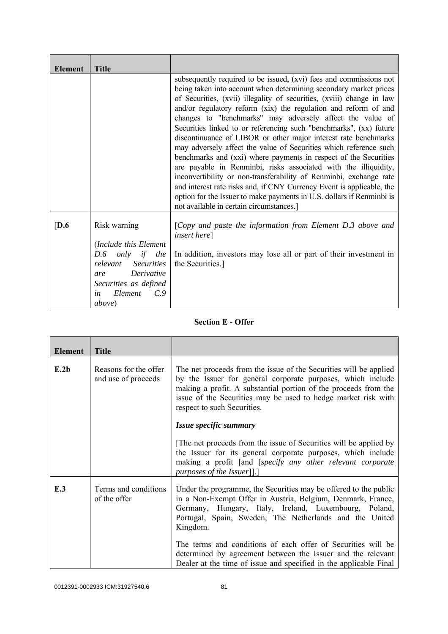| <b>Element</b>   | <b>Title</b>                                                                                                                                                                                             |                                                                                                                                                                                                                                                                                                                                                                                                                                                                                                                                                                                                                                                                                                                                                                                                                                                                                                                                                                           |
|------------------|----------------------------------------------------------------------------------------------------------------------------------------------------------------------------------------------------------|---------------------------------------------------------------------------------------------------------------------------------------------------------------------------------------------------------------------------------------------------------------------------------------------------------------------------------------------------------------------------------------------------------------------------------------------------------------------------------------------------------------------------------------------------------------------------------------------------------------------------------------------------------------------------------------------------------------------------------------------------------------------------------------------------------------------------------------------------------------------------------------------------------------------------------------------------------------------------|
|                  |                                                                                                                                                                                                          | subsequently required to be issued, (xvi) fees and commissions not<br>being taken into account when determining secondary market prices<br>of Securities, (xvii) illegality of securities, (xviii) change in law<br>and/or regulatory reform (xix) the regulation and reform of and<br>changes to "benchmarks" may adversely affect the value of<br>Securities linked to or referencing such "benchmarks", (xx) future<br>discontinuance of LIBOR or other major interest rate benchmarks<br>may adversely affect the value of Securities which reference such<br>benchmarks and (xxi) where payments in respect of the Securities<br>are payable in Renminbi, risks associated with the illiquidity,<br>inconvertibility or non-transferability of Renminbi, exchange rate<br>and interest rate risks and, if CNY Currency Event is applicable, the<br>option for the Issuer to make payments in U.S. dollars if Renminbi is<br>not available in certain circumstances.] |
| $\overline{D.6}$ | Risk warning<br>(Include this Element<br><i>only</i> if<br>D.6<br>the<br><b>Securities</b><br>relevant<br>Derivative<br>are<br>Securities as defined<br>Element<br>$C_{\cdot}$ 9<br>in<br><i>above</i> ) | [Copy and paste the information from Element D.3 above and<br><i>insert here</i> ]<br>In addition, investors may lose all or part of their investment in<br>the Securities.]                                                                                                                                                                                                                                                                                                                                                                                                                                                                                                                                                                                                                                                                                                                                                                                              |

## **Section E - Offer**

| <b>Element</b> | <b>Title</b>                                 |                                                                                                                                                                                                                                                                                                                                 |
|----------------|----------------------------------------------|---------------------------------------------------------------------------------------------------------------------------------------------------------------------------------------------------------------------------------------------------------------------------------------------------------------------------------|
| E.2b           | Reasons for the offer<br>and use of proceeds | The net proceeds from the issue of the Securities will be applied<br>by the Issuer for general corporate purposes, which include<br>making a profit. A substantial portion of the proceeds from the<br>issue of the Securities may be used to hedge market risk with<br>respect to such Securities.                             |
|                |                                              | Issue specific summary                                                                                                                                                                                                                                                                                                          |
|                |                                              | The net proceeds from the issue of Securities will be applied by<br>the Issuer for its general corporate purposes, which include<br>making a profit [and [specify any other relevant corporate<br><i>purposes of the Issuer</i> ].                                                                                              |
| E.3            | Terms and conditions<br>of the offer         | Under the programme, the Securities may be offered to the public<br>in a Non-Exempt Offer in Austria, Belgium, Denmark, France,<br>Germany, Hungary, Italy, Ireland, Luxembourg, Poland,<br>Portugal, Spain, Sweden, The Netherlands and the United<br>Kingdom.<br>The terms and conditions of each offer of Securities will be |
|                |                                              | determined by agreement between the Issuer and the relevant<br>Dealer at the time of issue and specified in the applicable Final                                                                                                                                                                                                |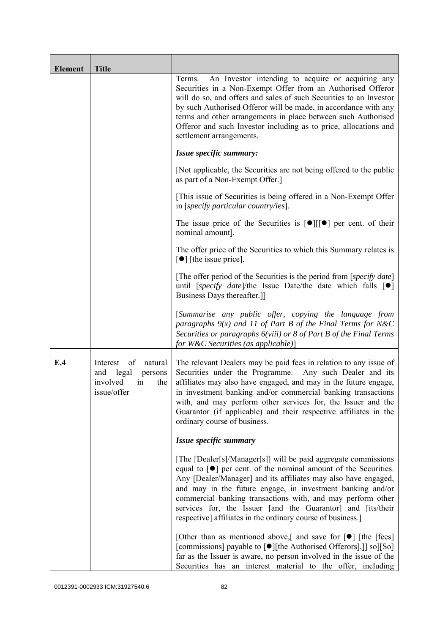| <b>Element</b> | <b>Title</b>                                                                                 |                                                                                                                                                                                                                                                                                                                                                                                                                                                                                    |
|----------------|----------------------------------------------------------------------------------------------|------------------------------------------------------------------------------------------------------------------------------------------------------------------------------------------------------------------------------------------------------------------------------------------------------------------------------------------------------------------------------------------------------------------------------------------------------------------------------------|
|                |                                                                                              | An Investor intending to acquire or acquiring any<br>Terms.<br>Securities in a Non-Exempt Offer from an Authorised Offeror<br>will do so, and offers and sales of such Securities to an Investor<br>by such Authorised Offeror will be made, in accordance with any<br>terms and other arrangements in place between such Authorised<br>Offeror and such Investor including as to price, allocations and<br>settlement arrangements.                                               |
|                |                                                                                              | Issue specific summary:                                                                                                                                                                                                                                                                                                                                                                                                                                                            |
|                |                                                                                              | [Not applicable, the Securities are not being offered to the public<br>as part of a Non-Exempt Offer.]                                                                                                                                                                                                                                                                                                                                                                             |
|                |                                                                                              | [This issue of Securities is being offered in a Non-Exempt Offer<br>in [specify particular country/ies].                                                                                                                                                                                                                                                                                                                                                                           |
|                |                                                                                              | The issue price of the Securities is $[\bullet] [[\bullet] ]$ per cent. of their<br>nominal amount].                                                                                                                                                                                                                                                                                                                                                                               |
|                |                                                                                              | The offer price of the Securities to which this Summary relates is<br>$\lceil \bullet \rceil$ [the issue price].                                                                                                                                                                                                                                                                                                                                                                   |
|                |                                                                                              | [The offer period of the Securities is the period from [ <i>specify date</i> ]<br>until [specify date]/the Issue Date/the date which falls $[\bullet]$<br>Business Days thereafter.]                                                                                                                                                                                                                                                                                               |
|                |                                                                                              | [Summarise any public offer, copying the language from<br>paragraphs $9(x)$ and 11 of Part B of the Final Terms for N&C<br>Securities or paragraphs 6(viii) or 8 of Part B of the Final Terms<br>for W&C Securities (as applicable)]                                                                                                                                                                                                                                               |
| E.4            | of<br>natural<br>Interest<br>and<br>legal<br>persons<br>involved<br>the<br>in<br>issue/offer | The relevant Dealers may be paid fees in relation to any issue of<br>Securities under the Programme.<br>Any such Dealer and its<br>affiliates may also have engaged, and may in the future engage,<br>in investment banking and/or commercial banking transactions<br>with, and may perform other services for, the Issuer and the<br>Guarantor (if applicable) and their respective affiliates in the<br>ordinary course of business.                                             |
|                |                                                                                              | Issue specific summary                                                                                                                                                                                                                                                                                                                                                                                                                                                             |
|                |                                                                                              | [The [Dealer[s]/Manager[s]] will be paid aggregate commissions<br>equal to $\lceil \bullet \rceil$ per cent. of the nominal amount of the Securities.<br>Any [Dealer/Manager] and its affiliates may also have engaged,<br>and may in the future engage, in investment banking and/or<br>commercial banking transactions with, and may perform other<br>services for, the Issuer [and the Guarantor] and [its/their<br>respective] affiliates in the ordinary course of business.] |
|                |                                                                                              | [Other than as mentioned above,] and save for $\lceil \bullet \rceil$ [the [fees]<br>[commissions] payable to [●][the Authorised Offerors],]] so][So]<br>far as the Issuer is aware, no person involved in the issue of the<br>Securities has an interest material to the offer, including                                                                                                                                                                                         |